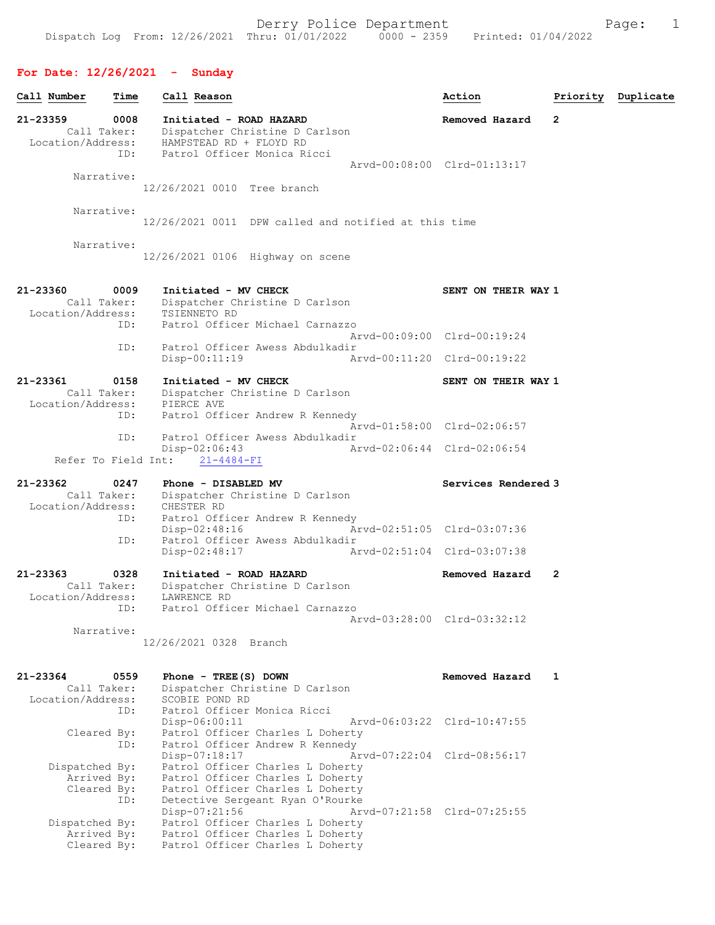# For Date: 12/26/2021 - Sunday

 Arrived By: Patrol Officer Charles L Doherty Cleared By: Patrol Officer Charles L Doherty

| Call Number                                  | Time | Call Reason                                          |                                                                      | Action                      |   | Priority Duplicate |
|----------------------------------------------|------|------------------------------------------------------|----------------------------------------------------------------------|-----------------------------|---|--------------------|
| 21-23359<br>Call Taker:<br>Location/Address: | 0008 | Initiated - ROAD HAZARD<br>HAMPSTEAD RD + FLOYD RD   | Dispatcher Christine D Carlson                                       | Removed Hazard              | 2 |                    |
|                                              | ID:  | Patrol Officer Monica Ricci                          |                                                                      |                             |   |                    |
| Narrative:                                   |      |                                                      |                                                                      | Arvd-00:08:00 Clrd-01:13:17 |   |                    |
|                                              |      | 12/26/2021 0010 Tree branch                          |                                                                      |                             |   |                    |
| Narrative:                                   |      |                                                      |                                                                      |                             |   |                    |
|                                              |      | 12/26/2021 0011 DPW called and notified at this time |                                                                      |                             |   |                    |
| Narrative:                                   |      | 12/26/2021 0106 Highway on scene                     |                                                                      |                             |   |                    |
| 21-23360                                     | 0009 | Initiated - MV CHECK                                 |                                                                      |                             |   |                    |
| Call Taker:                                  |      |                                                      | Dispatcher Christine D Carlson                                       | SENT ON THEIR WAY 1         |   |                    |
| Location/Address:                            |      | TSIENNETO RD                                         |                                                                      |                             |   |                    |
|                                              | ID:  |                                                      | Patrol Officer Michael Carnazzo                                      | Arvd-00:09:00 Clrd-00:19:24 |   |                    |
|                                              | ID:  |                                                      | Patrol Officer Awess Abdulkadir                                      |                             |   |                    |
|                                              |      | Disp-00:11:19                                        |                                                                      | Arvd-00:11:20 Clrd-00:19:22 |   |                    |
| 21-23361                                     | 0158 | Initiated - MV CHECK                                 |                                                                      | SENT ON THEIR WAY 1         |   |                    |
| Call Taker:                                  |      |                                                      | Dispatcher Christine D Carlson                                       |                             |   |                    |
| Location/Address:                            | ID:  | PIERCE AVE                                           | Patrol Officer Andrew R Kennedy                                      |                             |   |                    |
|                                              |      |                                                      |                                                                      | Arvd-01:58:00 Clrd-02:06:57 |   |                    |
|                                              | ID:  |                                                      | Patrol Officer Awess Abdulkadir                                      |                             |   |                    |
| Refer To Field Int:                          |      | $Disp-02:06:43$<br>$21 - 4484 - FI$                  |                                                                      | Arvd-02:06:44 Clrd-02:06:54 |   |                    |
|                                              |      |                                                      |                                                                      |                             |   |                    |
| 21-23362                                     | 0247 | Phone - DISABLED MV                                  |                                                                      | Services Rendered 3         |   |                    |
| Call Taker:<br>Location/Address:             |      | CHESTER RD                                           | Dispatcher Christine D Carlson                                       |                             |   |                    |
|                                              | ID:  |                                                      | Patrol Officer Andrew R Kennedy                                      |                             |   |                    |
|                                              |      | $Disp-02:48:16$                                      |                                                                      | Arvd-02:51:05 Clrd-03:07:36 |   |                    |
|                                              | ID:  | $Disp-02:48:17$                                      | Patrol Officer Awess Abdulkadir                                      | Arvd-02:51:04 Clrd-03:07:38 |   |                    |
| 21-23363                                     | 0328 | Initiated - ROAD HAZARD                              |                                                                      | Removed Hazard              | 2 |                    |
| Call Taker:                                  |      |                                                      | Dispatcher Christine D Carlson                                       |                             |   |                    |
| Location/Address:                            |      | LAWRENCE RD                                          |                                                                      |                             |   |                    |
|                                              | ID:  |                                                      | Patrol Officer Michael Carnazzo                                      |                             |   |                    |
| Narrative:                                   |      |                                                      |                                                                      | Arvd-03:28:00 Clrd-03:32:12 |   |                    |
|                                              |      | 12/26/2021 0328 Branch                               |                                                                      |                             |   |                    |
| 21-23364                                     | 0559 |                                                      |                                                                      |                             |   |                    |
| Call Taker:                                  |      | Phone - TREE (S) DOWN                                | Dispatcher Christine D Carlson                                       | Removed Hazard              | 1 |                    |
| Location/Address:                            |      | SCOBIE POND RD                                       |                                                                      |                             |   |                    |
|                                              | ID:  | Patrol Officer Monica Ricci                          |                                                                      |                             |   |                    |
| Cleared By:                                  |      | Disp-06:00:11                                        | Patrol Officer Charles L Doherty                                     | Arvd-06:03:22 Clrd-10:47:55 |   |                    |
|                                              | ID:  |                                                      | Patrol Officer Andrew R Kennedy                                      |                             |   |                    |
|                                              |      | $Disp-07:18:17$                                      |                                                                      | Arvd-07:22:04 Clrd-08:56:17 |   |                    |
| Dispatched By:                               |      |                                                      | Patrol Officer Charles L Doherty                                     |                             |   |                    |
| Arrived By:<br>Cleared By:                   |      |                                                      | Patrol Officer Charles L Doherty<br>Patrol Officer Charles L Doherty |                             |   |                    |
|                                              | ID:  |                                                      | Detective Sergeant Ryan O'Rourke                                     |                             |   |                    |
|                                              |      | Disp-07:21:56                                        |                                                                      | Arvd-07:21:58 Clrd-07:25:55 |   |                    |
| Dispatched By:                               |      |                                                      | Patrol Officer Charles L Doherty                                     |                             |   |                    |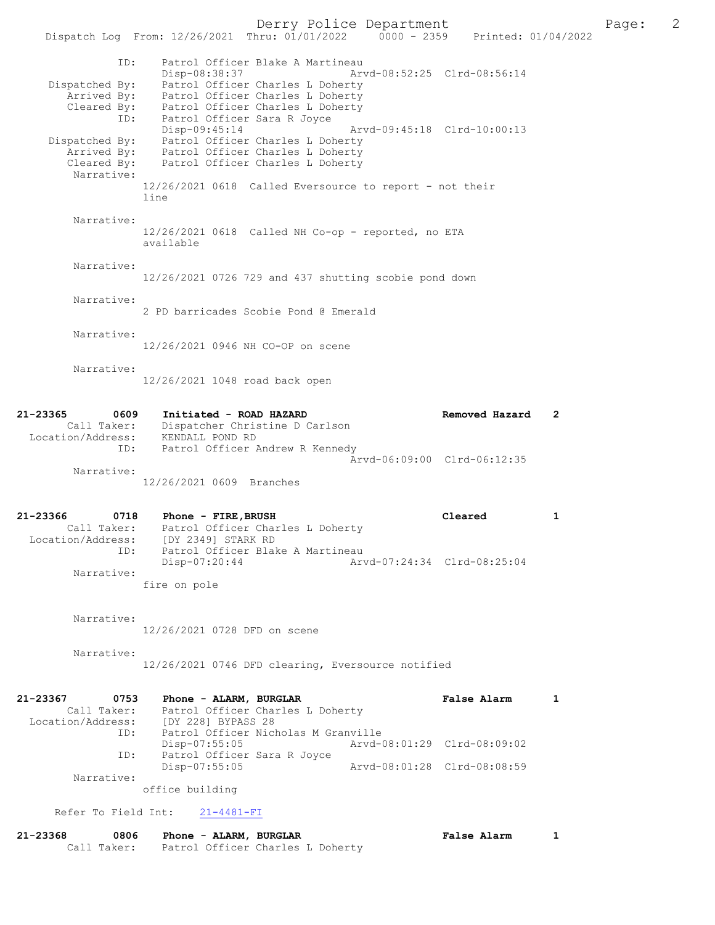Derry Police Department The Page: 2 Dispatch Log From: 12/26/2021 Thru: 01/01/2022 0000 - 2359 Printed: 01/04/2022 ID: Patrol Officer Blake A Martineau<br>Disp-08:38:37 Mrvd-08:52:25 Clrd-08:56:14 Disp-08:38:37 Arvd-08:52:25 Clrd-08:56:14 Dispatched By: Patrol Officer Charles L Doherty Arrived By: Patrol Officer Charles L Doherty Cleared By: Patrol Officer Charles L Doherty ID: Patrol Officer Sara R Joyce Disp-09:45:14 Arvd-09:45:18 Clrd-10:00:13 Dispatched By: Patrol Officer Charles L Doherty Arrived By: Patrol Officer Charles L Doherty Cleared By: Patrol Officer Charles L Doherty Narrative: 12/26/2021 0618 Called Eversource to report - not their line Narrative: 12/26/2021 0618 Called NH Co-op - reported, no ETA available Narrative: 12/26/2021 0726 729 and 437 shutting scobie pond down Narrative: 2 PD barricades Scobie Pond @ Emerald Narrative: 12/26/2021 0946 NH CO-OP on scene Narrative: 12/26/2021 1048 road back open 21-23365 0609 Initiated - ROAD HAZARD Removed Hazard 2 Call Taker: Dispatcher Christine D Carlson Location/Address: KENDALL POND RD ID: Patrol Officer Andrew R Kennedy Arvd-06:09:00 Clrd-06:12:35 Narrative: 12/26/2021 0609 Branches 21-23366 0718 Phone - FIRE,BRUSH Cleared 1 Call Taker: Patrol Officer Charles L Doherty Location/Address: [DY 2349] STARK RD ID: Patrol Officer Blake A Martineau Disp-07:20:44 Arvd-07:24:34 Clrd-08:25:04 Narrative: fire on pole Narrative: 12/26/2021 0728 DFD on scene Narrative: 12/26/2021 0746 DFD clearing, Eversource notified

21-23367 0753 Phone - ALARM, BURGLAR CHARM False Alarm 1 Call Taker: Patrol Officer Charles L Doherty Location/Address: [DY 228] BYPASS 28 ID: Patrol Officer Nicholas M Granville Disp-07:55:05 Arvd-08:01:29 Clrd-08:09:02<br>ID: Patrol Officer Sara R Jovce Patrol Officer Sara R Joyce<br>Disp-07:55:05 Disp-07:55:05 Arvd-08:01:28 Clrd-08:08:59 Narrative: office building

Refer To Field Int: 21-4481-FI

| 21-23368 | 0806        | Phone - ALARM, BURGLAR |                                  | <b>False Alarm</b> |  |
|----------|-------------|------------------------|----------------------------------|--------------------|--|
|          | Call Taker: |                        | Patrol Officer Charles L Doherty |                    |  |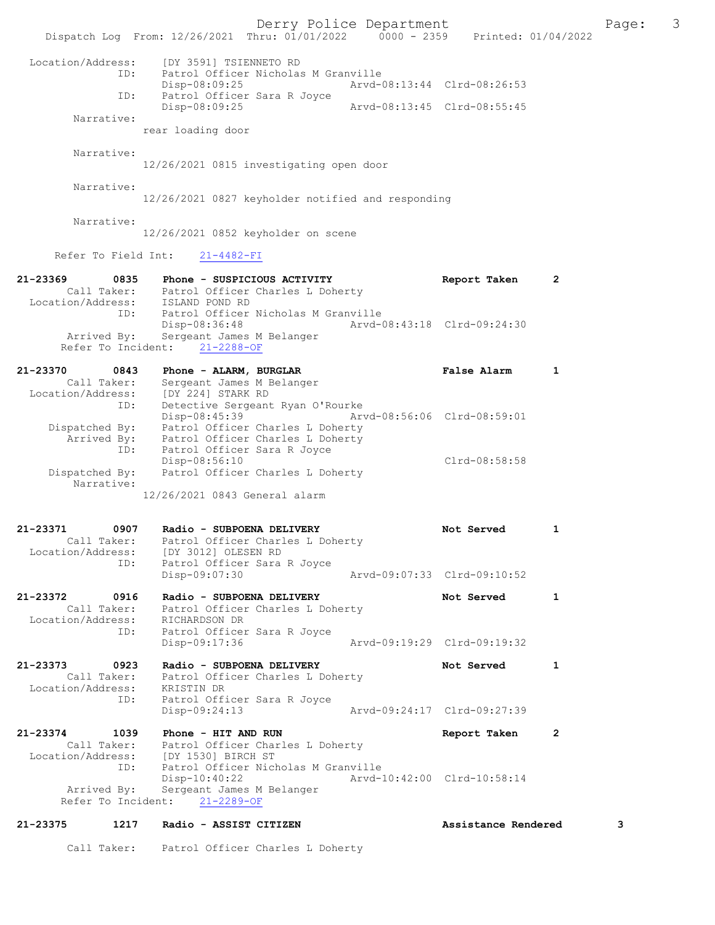Derry Police Department Fage: 3 Dispatch Log From: 12/26/2021 Thru: 01/01/2022 0000 - 2359 Printed: 01/04/2022 Location/Address: [DY 3591] TSIENNETO RD ID: Patrol Officer Nicholas M Granville Disp-08:09:25 Arvd-08:13:44 Clrd-08:26:53 ID: Patrol Officer Sara R Joyce<br>Disp-08:09:25 Disp-08:09:25 Arvd-08:13:45 Clrd-08:55:45 Narrative: rear loading door Narrative: 12/26/2021 0815 investigating open door Narrative: 12/26/2021 0827 keyholder notified and responding Narrative: 12/26/2021 0852 keyholder on scene Refer To Field Int: 21-4482-FI 21-23369 0835 Phone - SUSPICIOUS ACTIVITY Report Taken 2 Call Taker: Patrol Officer Charles L Doherty Location/Address: ISLAND POND RD ID: Patrol Officer Nicholas M Granville Disp-08:36:48 Arvd-08:43:18 Clrd-09:24:30 Arrived By: Sergeant James M Belanger Refer To Incident: 21-2288-OF 21-23370 0843 Phone - ALARM, BURGLAR False Alarm 1 Call Taker: Sergeant James M Belanger Location/Address: [DY 224] STARK RD ID: Detective Sergeant Ryan O'Rourke Disp-08:45:39 Arvd-08:56:06 Clrd-08:59:01 Dispatched By: Patrol Officer Charles L Doherty Arrived By: Patrol Officer Charles L Doherty ID: Patrol Officer Sara R Joyce Disp-08:56:10 Clrd-08:58:58 Dispatched By: Patrol Officer Charles L Doherty Narrative: 12/26/2021 0843 General alarm 21-23371 0907 Radio - SUBPOENA DELIVERY Not Served 1 Call Taker: Patrol Officer Charles L Doherty Location/Address: [DY 3012] OLESEN RD ID: Patrol Officer Sara R Joyce<br>Disp-09:07:30 Disp-09:07:30 Arvd-09:07:33 Clrd-09:10:52 21-23372 0916 Radio - SUBPOENA DELIVERY Not Served 1 Call Taker: Patrol Officer Charles L Doherty Location/Address: RICHARDSON DR ID: Patrol Officer Sara R Joyce Disp-09:17:36 Arvd-09:19:29 Clrd-09:19:32 21-23373 0923 Radio - SUBPOENA DELIVERY Not Served 1 Call Taker: Patrol Officer Charles L Doherty Location/Address: KRISTIN DR ID: Patrol Officer Sara R Joyce Disp-09:24:13 Arvd-09:24:17 Clrd-09:27:39 21-23374 1039 Phone - HIT AND RUN Report Taken 2 Call Taker: Patrol Officer Charles L Doherty Location/Address: [DY 1530] BIRCH ST ID: Patrol Officer Nicholas M Granville Disp-10:40:22 Arvd-10:42:00 Clrd-10:58:14 Arrived By: Sergeant James M Belanger Refer To Incident: 21-2289-OF 21-23375 1217 Radio - ASSIST CITIZEN Assistance Rendered 3

Call Taker: Patrol Officer Charles L Doherty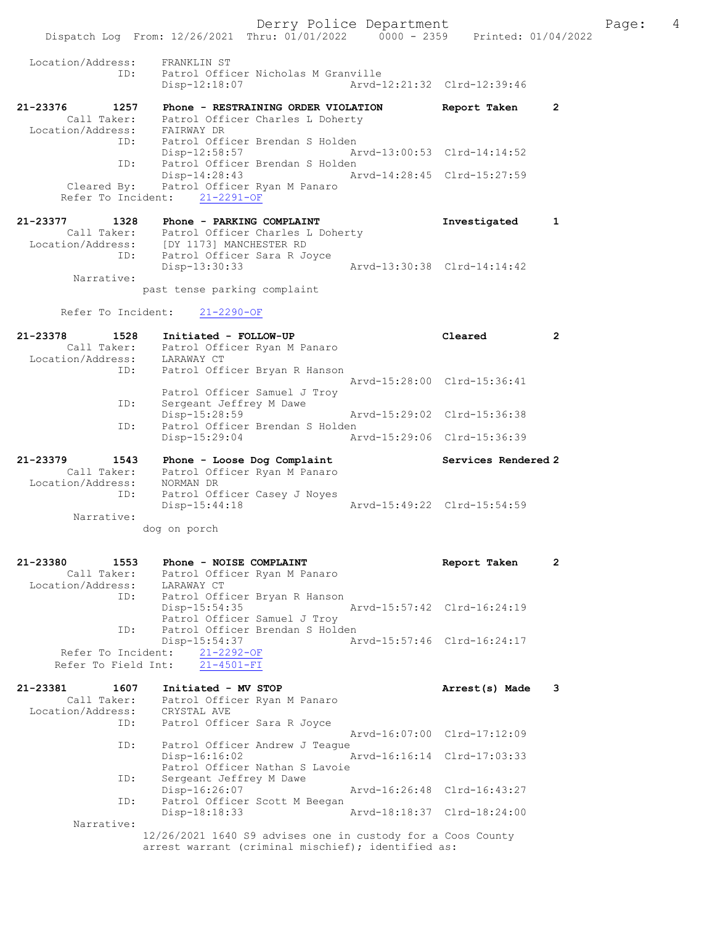Derry Police Department Fage: 4 Dispatch Log From: 12/26/2021 Thru: 01/01/2022 0000 - 2359 Printed: 01/04/2022 Location/Address: FRANKLIN ST<br>ID: Patrol Offic Patrol Officer Nicholas M Granville Disp-12:18:07 Arvd-12:21:32 Clrd-12:39:46 21-23376 1257 Phone - RESTRAINING ORDER VIOLATION Report Taken 2 Call Taker: Patrol Officer Charles L Doherty Location/Address: FAIRWAY DR ID: Patrol Officer Brendan S Holden Disp-12:58:57 Arvd-13:00:53 Clrd-14:14:52 ID: Patrol Officer Brendan S Holden Disp-14:28:43 Arvd-14:28:45 Clrd-15:27:59 Cleared By: Patrol Officer Ryan M Panaro Refer To Incident: 21-2291-OF 21-23377 1328 Phone - PARKING COMPLAINT Investigated 1 Call Taker: Patrol Officer Charles L Doherty Location/Address: [DY 1173] MANCHESTER RD ID: Patrol Officer Sara R Joyce Disp-13:30:33 Arvd-13:30:38 Clrd-14:14:42 Narrative: past tense parking complaint Refer To Incident: 21-2290-OF 21-23378 1528 Initiated - FOLLOW-UP Cleared 2 Call Taker: Patrol Officer Ryan M Panaro Location/Address: LARAWAY CT ID: Patrol Officer Bryan R Hanson Arvd-15:28:00 Clrd-15:36:41 Patrol Officer Samuel J Troy ID: Sergeant Jeffrey M Dawe Disp-15:28:59 Arvd-15:29:02 Clrd-15:36:38 ID: Patrol Officer Brendan S Holden Disp-15:29:04 Arvd-15:29:06 Clrd-15:36:39 21-23379 1543 Phone - Loose Dog Complaint Services Rendered 2 Call Taker: Patrol Officer Ryan M Panaro Location/Address: NORMAN DR ID: Patrol Officer Casey J Noyes Disp-15:44:18 Arvd-15:49:22 Clrd-15:54:59 Narrative: dog on porch 21-23380 1553 Phone - NOISE COMPLAINT Report Taken 2 Call Taker: Patrol Officer Ryan M Panaro Location/Address: LARAWAY CT ID: Patrol Officer Bryan R Hanson Disp-15:54:35 Arvd-15:57:42 Clrd-16:24:19 Patrol Officer Samuel J Troy<br>TD: Patrol Officer Brendan S Hold Patrol Officer Brendan S Holden<br>Disp-15:54:37 Ar Disp-15:54:37 Arvd-15:57:46 Clrd-16:24:17 Refer To Incident: 21-2292-OF Refer To Field Int: 21-4501-FI 21-23381 1607 Initiated - MV STOP Arrest(s) Made 3 Call Taker: Patrol Officer Ryan M Panaro Location/Address: CRYSTAL AVE ID: Patrol Officer Sara R Joyce Arvd-16:07:00 Clrd-17:12:09 ID: Patrol Officer Andrew J Teague<br>Disp-16:16:02 A Disp-16:16:02 Arvd-16:16:14 Clrd-17:03:33 Patrol Officer Nathan S Lavoie<br>ID: Sergeant Jeffrey M Dawe Sergeant Jeffrey M Dawe<br>Disp-16:26:07 Disp-16:26:07 <br>
Disp-16:26:07 <br>
Disposit M Beegan<br>
Disposit M Beegan Patrol Officer Scott M Beegan<br>Disp-18:18:33 Disp-18:18:33 Arvd-18:18:37 Clrd-18:24:00 Narrative: 12/26/2021 1640 S9 advises one in custody for a Coos County

arrest warrant (criminal mischief); identified as: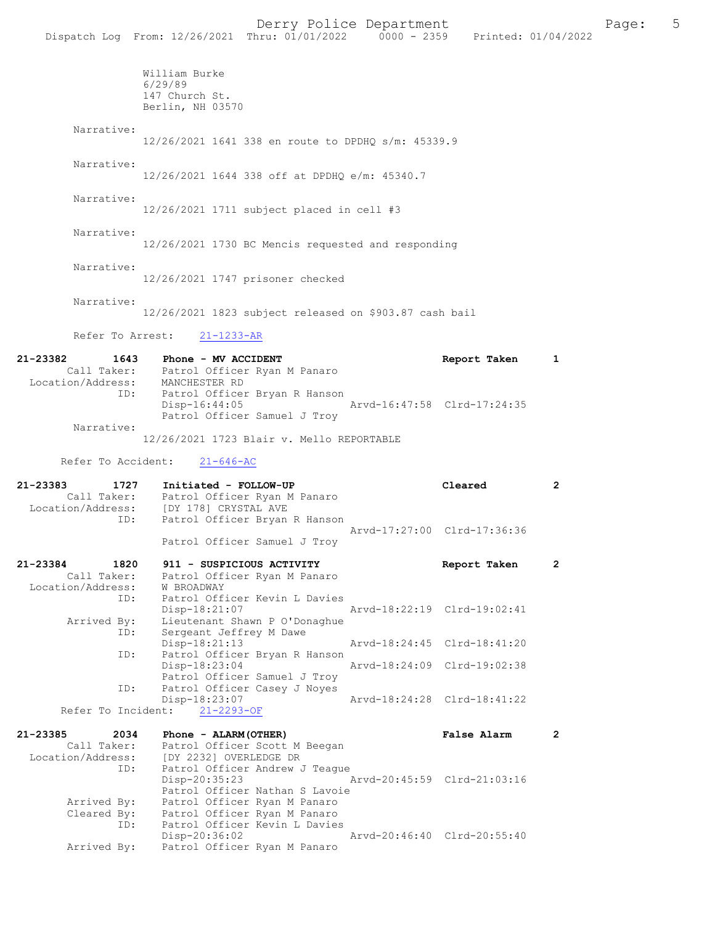William Burke 6/29/89 147 Church St. Berlin, NH 03570 Narrative: 12/26/2021 1641 338 en route to DPDHQ s/m: 45339.9 Narrative: 12/26/2021 1644 338 off at DPDHQ e/m: 45340.7 Narrative: 12/26/2021 1711 subject placed in cell #3 Narrative: 12/26/2021 1730 BC Mencis requested and responding Narrative: 12/26/2021 1747 prisoner checked Narrative: 12/26/2021 1823 subject released on \$903.87 cash bail Refer To Arrest: 21-1233-AR 21-23382 1643 Phone - MV ACCIDENT Report Taken 1 Call Taker: Patrol Officer Ryan M Panaro<br>ion/Address: MANCHESTER RD Location/Address: ID: Patrol Officer Bryan R Hanson Disp-16:44:05 Arvd-16:47:58 Clrd-17:24:35 Patrol Officer Samuel J Troy Narrative: 12/26/2021 1723 Blair v. Mello REPORTABLE Refer To Accident: 21-646-AC 21-23383 1727 Initiated - FOLLOW-UP Cleared 2 Call Taker: Patrol Officer Ryan M Panaro<br>Location/Address: [DY 178] CRYSTAL AVE ess: [DY 178] CRYSTAL AVE<br>ID: Patrol Officer Bryan R Patrol Officer Bryan R Hanson Arvd-17:27:00 Clrd-17:36:36 Patrol Officer Samuel J Troy 21-23384 1820 911 - SUSPICIOUS ACTIVITY Report Taken 2 Call Taker: Patrol Officer Ryan M Panaro Location/Address: W BROADWAY<br>ID: Patrol Off Patrol Officer Kevin L Davies<br>Disp-18:21:07 Disp-18:21:07 Arvd-18:22:19 Clrd-19:02:41<br>Arrived By: Lieutenant Shawn P O'Donaghue Lieutenant Shawn P O'Donaghue ID: Sergeant Jeffrey M Dawe<br>Disp-18:21:13 Disp-18:21:13 Arvd-18:24:45 Clrd-18:41:20<br>ID: Patrol Officer Brvan R Hanson Patrol Officer Bryan R Hanson<br>Disp-18:23:04 Disp-18:23:04 Arvd-18:24:09 Clrd-19:02:38 Patrol Officer Samuel J Troy<br>ID: Patrol Officer Casey J Noves Patrol Officer Casey J Noyes<br>Disp-18:23:07 Disp-18:23:07 Arvd-18:24:28 Clrd-18:41:22 Refer To Incident: 21-2293-OF 21-23385 2034 Phone - ALARM(OTHER) False Alarm 2 Call Taker: Patrol Officer Scott M Beegan Location/Address: [DY 2232] OVERLEDGE DR ID: Patrol Officer Andrew J Teague<br>Disp-20:35:23 Disp-20:35:23 Arvd-20:45:59 Clrd-21:03:16

Patrol Officer Nathan S Lavoie<br>Arrived By: Patrol Officer Ryan M Panaro Arrived By: Patrol Officer Ryan M Panaro Cleared By: Patrol Officer Ryan M Panaro ID: Factor Officer Kevin L Davies<br>ID: Patrol Officer Kevin L Davies<br>Disp-20:36:02 Disp-20:36:02 Arvd-20:46:40 Clrd-20:55:40 Arrived By: Patrol Officer Ryan M Panaro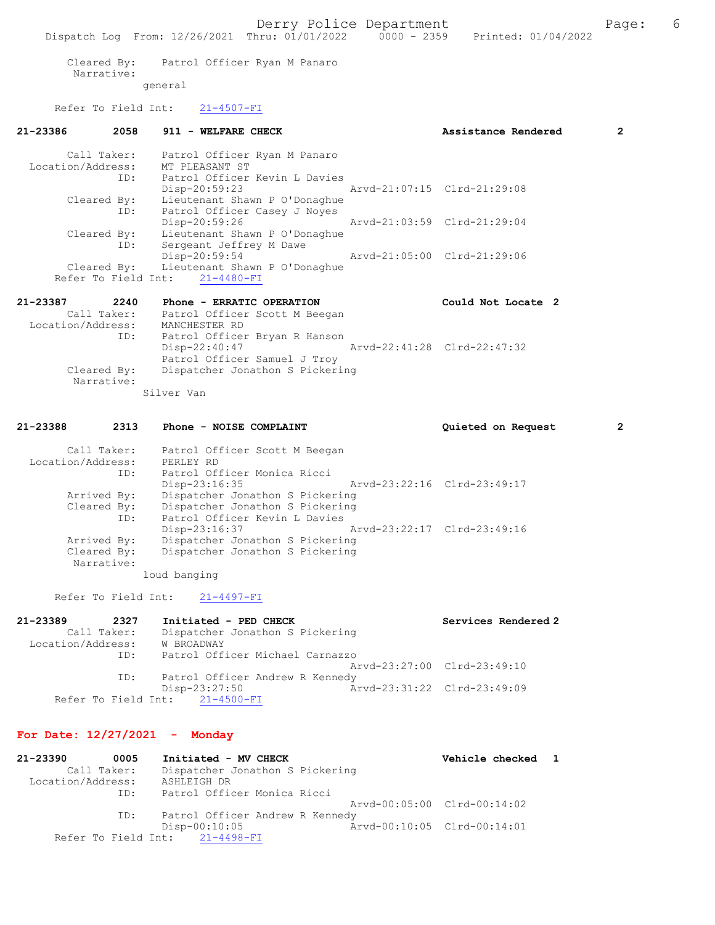Cleared By: Patrol Officer Ryan M Panaro Narrative: general

Refer To Field Int: 21-4507-FI

| 21-23386          |             | 2058 911 - WELFARE CHECK                  |                             | Assistance Rendered | $\overline{2}$ |
|-------------------|-------------|-------------------------------------------|-----------------------------|---------------------|----------------|
|                   |             | Call Taker: Patrol Officer Ryan M Panaro  |                             |                     |                |
|                   |             | Location/Address: MT PLEASANT ST          |                             |                     |                |
|                   | ID:         | Patrol Officer Kevin L Davies             |                             |                     |                |
|                   |             | Disp-20:59:23 Arvd-21:07:15 Clrd-21:29:08 |                             |                     |                |
|                   | Cleared By: | Lieutenant Shawn P O'Donaghue             |                             |                     |                |
|                   | ID:         | Patrol Officer Casey J Noyes              |                             |                     |                |
|                   |             | Disp-20:59:26                             | Arvd-21:03:59 Clrd-21:29:04 |                     |                |
|                   | Cleared By: | Lieutenant Shawn P O'Donaghue             |                             |                     |                |
|                   | ID:         | Sergeant Jeffrey M Dawe                   |                             |                     |                |
|                   |             | $Disp-20:59:54$                           | Arvd-21:05:00 Clrd-21:29:06 |                     |                |
|                   |             | Cleared By: Lieutenant Shawn P O'Donaghue |                             |                     |                |
|                   |             | Refer To Field Int: 21-4480-FI            |                             |                     |                |
| 21-23387 2240     |             | Phone - ERRATIC OPERATION                 |                             | Could Not Locate 2  |                |
|                   |             | Call Taker: Patrol Officer Scott M Beegan |                             |                     |                |
| Location/Address: |             | MANCHESTER RD                             |                             |                     |                |
|                   | ID:         | Patrol Officer Bryan R Hanson             |                             |                     |                |
|                   |             | Disp-22:40:47 Arvd-22:41:28 Clrd-22:47:32 |                             |                     |                |
|                   |             | Patrol Officer Samuel J Troy              |                             |                     |                |
|                   | Cleared By: | Dispatcher Jonathon S Pickering           |                             |                     |                |
|                   | Narrative:  |                                           |                             |                     |                |
|                   |             |                                           |                             |                     |                |

Silver Van

| 21-23388          | 2313                      | Phone - NOISE COMPLAINT         | Quieted on Request          | $\overline{2}$ |
|-------------------|---------------------------|---------------------------------|-----------------------------|----------------|
|                   | Call Taker:               | Patrol Officer Scott M Beegan   |                             |                |
| Location/Address: |                           | PERLEY RD                       |                             |                |
|                   | ID:                       | Patrol Officer Monica Ricci     |                             |                |
|                   |                           | Disp-23:16:35                   | Arvd-23:22:16 Clrd-23:49:17 |                |
|                   | Arrived By:               | Dispatcher Jonathon S Pickering |                             |                |
|                   | Cleared By:               | Dispatcher Jonathon S Pickering |                             |                |
|                   | ID:                       | Patrol Officer Kevin L Davies   |                             |                |
|                   |                           | $Disp-23:16:37$                 | Arvd-23:22:17 Clrd-23:49:16 |                |
|                   | Arrived By:               | Dispatcher Jonathon S Pickering |                             |                |
|                   | Cleared By:<br>Narrative: | Dispatcher Jonathon S Pickering |                             |                |

loud banging

Refer To Field Int: 21-4497-FI

| 21-23389          | 2327        | Initiated - PED CHECK           | Services Rendered 2         |
|-------------------|-------------|---------------------------------|-----------------------------|
|                   | Call Taker: | Dispatcher Jonathon S Pickering |                             |
| Location/Address: |             | W BROADWAY                      |                             |
|                   | ID:         | Patrol Officer Michael Carnazzo |                             |
|                   |             |                                 | Aryd-23:27:00 Clrd-23:49:10 |
|                   | ID:         | Patrol Officer Andrew R Kennedy |                             |
|                   |             | $Disp-23:27:50$                 | Arvd-23:31:22 Clrd-23:49:09 |
|                   |             | Refer To Field Int: 21-4500-FI  |                             |

# For Date: 12/27/2021 - Monday

| 21-23390          | 0005        | Initiated - MV CHECK            | Vehicle checked 1           |  |
|-------------------|-------------|---------------------------------|-----------------------------|--|
|                   | Call Taker: | Dispatcher Jonathon S Pickering |                             |  |
| Location/Address: |             | ASHLEIGH DR                     |                             |  |
|                   | ID:         | Patrol Officer Monica Ricci     |                             |  |
|                   |             |                                 | Arvd-00:05:00 Clrd-00:14:02 |  |
|                   | ID:         | Patrol Officer Andrew R Kennedy |                             |  |
|                   |             | $Disp-00:10:05$                 | Arvd-00:10:05 Clrd-00:14:01 |  |
|                   |             | Refer To Field Int: 21-4498-FI  |                             |  |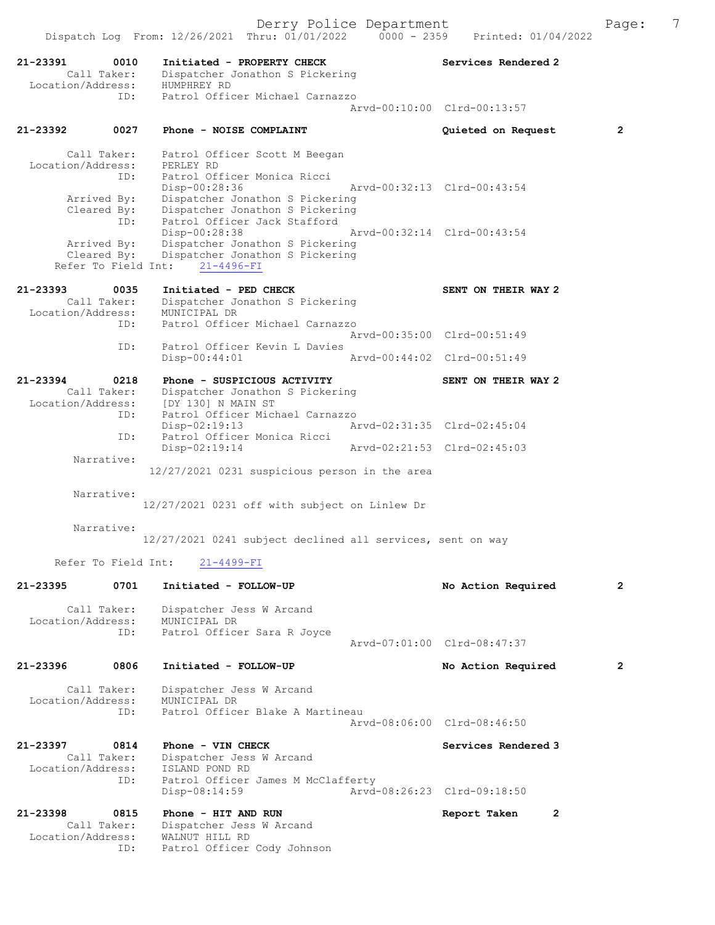| 21-23391<br>0010<br>Call Taker:    | Initiated - PROPERTY CHECK<br>Dispatcher Jonathon S Pickering                  | Services Rendered 2         |                |
|------------------------------------|--------------------------------------------------------------------------------|-----------------------------|----------------|
| Location/Address:<br>ID:           | HUMPHREY RD<br>Patrol Officer Michael Carnazzo                                 |                             |                |
|                                    |                                                                                | Arvd-00:10:00 Clrd-00:13:57 |                |
| 21-23392<br>0027                   | Phone - NOISE COMPLAINT                                                        | Quieted on Request          | $\overline{2}$ |
| Call Taker:                        | Patrol Officer Scott M Beegan                                                  |                             |                |
| Location/Address:<br>ID:           | PERLEY RD<br>Patrol Officer Monica Ricci                                       |                             |                |
|                                    | Disp-00:28:36                                                                  | Arvd-00:32:13 Clrd-00:43:54 |                |
| Arrived By:<br>Cleared By:         | Dispatcher Jonathon S Pickering<br>Dispatcher Jonathon S Pickering             |                             |                |
| ID:                                | Patrol Officer Jack Stafford<br>Disp-00:28:38                                  | Arvd-00:32:14 Clrd-00:43:54 |                |
| Arrived By:                        | Dispatcher Jonathon S Pickering                                                |                             |                |
| Cleared By:<br>Refer To Field Int: | Dispatcher Jonathon S Pickering<br>$21 - 4496 - FI$                            |                             |                |
| 21-23393<br>0035                   | Initiated - PED CHECK                                                          | SENT ON THEIR WAY 2         |                |
| Call Taker:                        | Dispatcher Jonathon S Pickering                                                |                             |                |
| Location/Address:<br>ID:           | MUNICIPAL DR<br>Patrol Officer Michael Carnazzo                                |                             |                |
|                                    |                                                                                | Arvd-00:35:00 Clrd-00:51:49 |                |
| ID:                                | Patrol Officer Kevin L Davies<br>$Disp-00:44:01$                               | Arvd-00:44:02 Clrd-00:51:49 |                |
| 21-23394<br>0218                   | Phone - SUSPICIOUS ACTIVITY                                                    | SENT ON THEIR WAY 2         |                |
| Call Taker:<br>Location/Address:   | Dispatcher Jonathon S Pickering<br>[DY 130] N MAIN ST                          |                             |                |
| ID:                                | Patrol Officer Michael Carnazzo                                                |                             |                |
| ID:                                | $Disp-02:19:13$<br>Patrol Officer Monica Ricci                                 | Arvd-02:31:35 Clrd-02:45:04 |                |
| Narrative:                         | Disp-02:19:14                                                                  | Arvd-02:21:53 Clrd-02:45:03 |                |
|                                    | 12/27/2021 0231 suspicious person in the area                                  |                             |                |
| Narrative:                         |                                                                                |                             |                |
|                                    | 12/27/2021 0231 off with subject on Linlew Dr                                  |                             |                |
| Narrative:                         |                                                                                |                             |                |
| Refer To Field Int:                | 12/27/2021 0241 subject declined all services, sent on way<br>$21 - 4499 - FI$ |                             |                |
|                                    |                                                                                |                             |                |
| 0701<br>21-23395                   | Initiated - FOLLOW-UP                                                          | No Action Required          | $\mathbf{2}$   |
| Call Taker:<br>Location/Address:   | Dispatcher Jess W Arcand<br>MUNICIPAL DR                                       |                             |                |
| ID:                                | Patrol Officer Sara R Joyce                                                    |                             |                |
|                                    |                                                                                | Arvd-07:01:00 Clrd-08:47:37 |                |
| 0806<br>21-23396                   | Initiated - FOLLOW-UP                                                          | No Action Required          | 2              |
| Call Taker:<br>Location/Address:   | Dispatcher Jess W Arcand<br>MUNICIPAL DR                                       |                             |                |
| ID:                                | Patrol Officer Blake A Martineau                                               |                             |                |
|                                    |                                                                                | Arvd-08:06:00 Clrd-08:46:50 |                |
| 21-23397<br>0814<br>Call Taker:    | Phone - VIN CHECK                                                              | Services Rendered 3         |                |
| Location/Address:                  | Dispatcher Jess W Arcand<br>ISLAND POND RD                                     |                             |                |
| ID:                                | Patrol Officer James M McClafferty<br>$Disp-08:14:59$                          | Arvd-08:26:23 Clrd-09:18:50 |                |
|                                    |                                                                                |                             |                |
| 21-23398<br>0815<br>Call Taker:    | Phone - HIT AND RUN<br>Dispatcher Jess W Arcand                                | Report Taken                | $\mathbf{2}$   |
| Location/Address:<br>ID:           | WALNUT HILL RD<br>Patrol Officer Cody Johnson                                  |                             |                |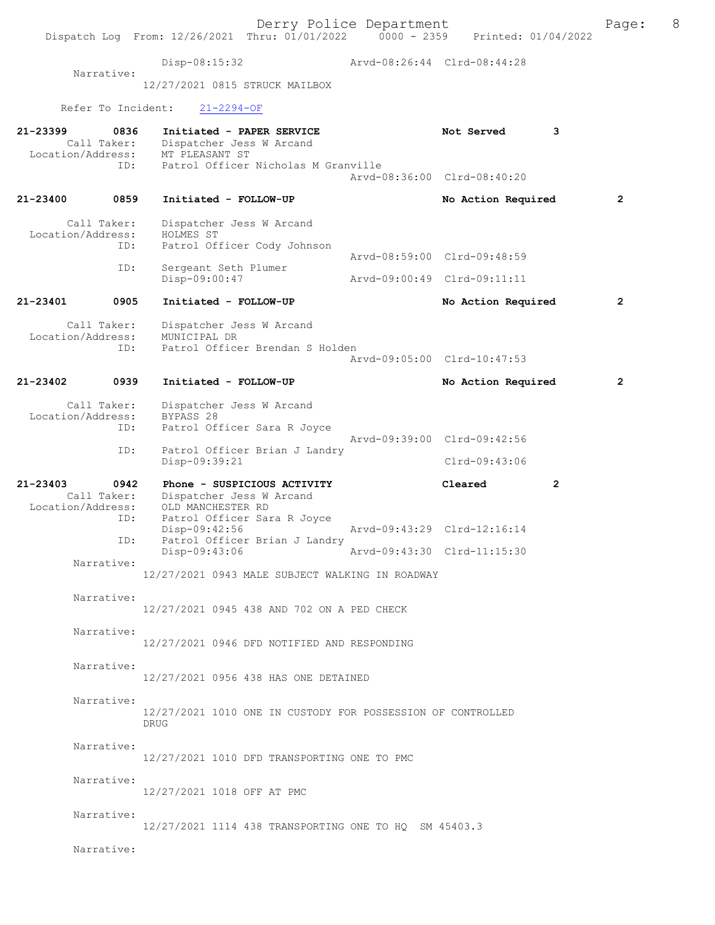|                               |                            | Dispatch Log From: 12/26/2021 Thru: 01/01/2022 0000 - 2359                                                             | Derry Police Department     | Printed: 01/04/2022                          | Page:        | 8 |
|-------------------------------|----------------------------|------------------------------------------------------------------------------------------------------------------------|-----------------------------|----------------------------------------------|--------------|---|
|                               |                            | Disp-08:15:32                                                                                                          | Arvd-08:26:44 Clrd-08:44:28 |                                              |              |   |
|                               | Narrative:                 | 12/27/2021 0815 STRUCK MAILBOX                                                                                         |                             |                                              |              |   |
|                               | Refer To Incident:         | $21 - 2294 - OF$                                                                                                       |                             |                                              |              |   |
| 21-23399                      | 0836                       | Initiated - PAPER SERVICE<br>Call Taker: Dispatcher Jess W Arcand<br>Location/Address: MT PLEASANT ST                  |                             | Not Served<br>3                              |              |   |
|                               | ID:                        | Patrol Officer Nicholas M Granville                                                                                    |                             | Arvd-08:36:00 Clrd-08:40:20                  |              |   |
| 21-23400                      | 0859                       | Initiated - FOLLOW-UP                                                                                                  |                             | No Action Required                           | 2            |   |
| Location/Address:             | Call Taker:<br>ID:         | Dispatcher Jess W Arcand<br>HOLMES ST<br>Patrol Officer Cody Johnson                                                   |                             |                                              |              |   |
|                               | ID:                        | Sergeant Seth Plumer                                                                                                   |                             | Arvd-08:59:00 Clrd-09:48:59                  |              |   |
|                               |                            | Disp-09:00:47                                                                                                          |                             | Arvd-09:00:49 Clrd-09:11:11                  |              |   |
| 21-23401                      | 0905                       | Initiated - FOLLOW-UP                                                                                                  |                             | No Action Required                           | $\mathbf{2}$ |   |
| Location/Address:             | Call Taker:<br>ID:         | Dispatcher Jess W Arcand<br>MUNICIPAL DR<br>Patrol Officer Brendan S Holden                                            |                             | Arvd-09:05:00 Clrd-10:47:53                  |              |   |
| 21-23402                      | 0939                       | Initiated - FOLLOW-UP                                                                                                  |                             | No Action Required                           | 2            |   |
| Location/Address:             | Call Taker:<br>ID:<br>ID:  | Dispatcher Jess W Arcand<br>BYPASS 28<br>Patrol Officer Sara R Joyce<br>Patrol Officer Brian J Landry<br>Disp-09:39:21 |                             | Arvd-09:39:00 Clrd-09:42:56<br>Clrd-09:43:06 |              |   |
| 21-23403<br>Location/Address: | 0942<br>Call Taker:<br>ID: | Phone - SUSPICIOUS ACTIVITY<br>Dispatcher Jess W Arcand<br>OLD MANCHESTER RD<br>Patrol Officer Sara R Joyce            |                             | Cleared<br>$\mathbf{2}$                      |              |   |
|                               | ID:                        | Disp-09:42:56<br>Patrol Officer Brian J Landry                                                                         |                             | Arvd-09:43:29 Clrd-12:16:14                  |              |   |
|                               | Narrative:                 | Disp-09:43:06                                                                                                          | Arvd-09:43:30 Clrd-11:15:30 |                                              |              |   |
|                               |                            | 12/27/2021 0943 MALE SUBJECT WALKING IN ROADWAY                                                                        |                             |                                              |              |   |
|                               | Narrative:                 | 12/27/2021 0945 438 AND 702 ON A PED CHECK                                                                             |                             |                                              |              |   |
|                               | Narrative:                 | 12/27/2021 0946 DFD NOTIFIED AND RESPONDING                                                                            |                             |                                              |              |   |
|                               | Narrative:                 | 12/27/2021 0956 438 HAS ONE DETAINED                                                                                   |                             |                                              |              |   |
|                               | Narrative:                 | 12/27/2021 1010 ONE IN CUSTODY FOR POSSESSION OF CONTROLLED<br><b>DRUG</b>                                             |                             |                                              |              |   |
|                               | Narrative:                 | 12/27/2021 1010 DFD TRANSPORTING ONE TO PMC                                                                            |                             |                                              |              |   |
|                               | Narrative:                 | 12/27/2021 1018 OFF AT PMC                                                                                             |                             |                                              |              |   |
|                               | Narrative:                 | 12/27/2021 1114 438 TRANSPORTING ONE TO HQ SM 45403.3                                                                  |                             |                                              |              |   |
|                               | Narrative:                 |                                                                                                                        |                             |                                              |              |   |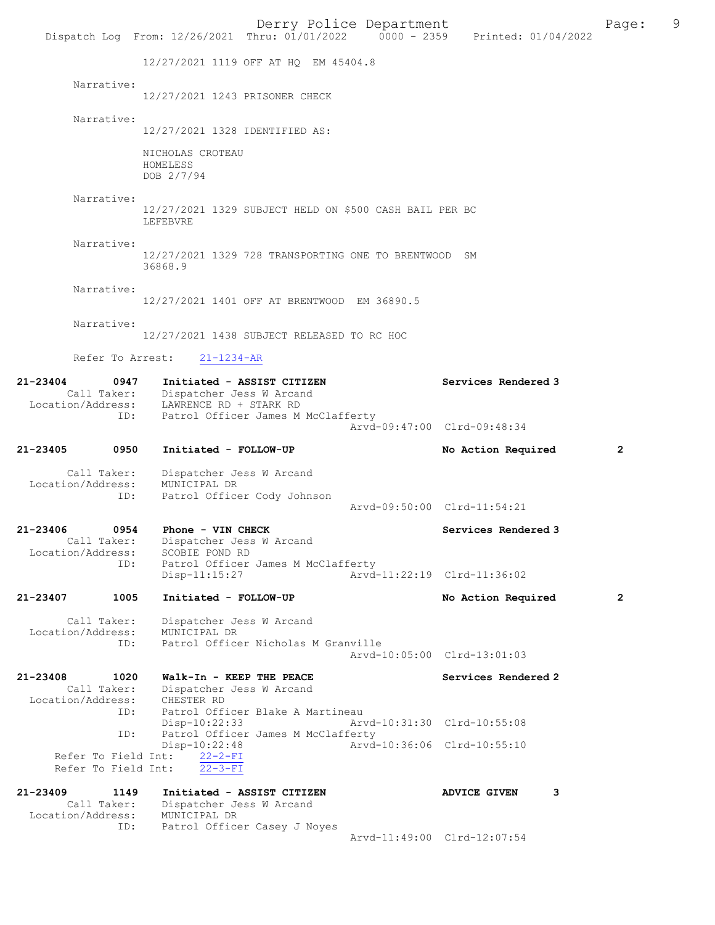Derry Police Department Page: 9 Dispatch Log From: 12/26/2021 Thru: 01/01/2022 12/27/2021 1119 OFF AT HQ EM 45404.8 Narrative: 12/27/2021 1243 PRISONER CHECK Narrative: 12/27/2021 1328 IDENTIFIED AS: NICHOLAS CROTEAU HOMELESS DOB 2/7/94 Narrative: 12/27/2021 1329 SUBJECT HELD ON \$500 CASH BAIL PER BC LEFEBVRE Narrative: 12/27/2021 1329 728 TRANSPORTING ONE TO BRENTWOOD SM 36868.9 Narrative: 12/27/2021 1401 OFF AT BRENTWOOD EM 36890.5 Narrative: 12/27/2021 1438 SUBJECT RELEASED TO RC HOC Refer To Arrest: 21-1234-AR 21-23404 0947 Initiated - ASSIST CITIZEN Services Rendered 3<br>Call Taker: Dispatcher Jess W Arcand Dispatcher Jess W Arcand Location/Address: LAWRENCE RD + STARK RD<br>TD: Patrol Officer James M Patrol Officer James M McClafferty Arvd-09:47:00 Clrd-09:48:34 21-23405 0950 Initiated - FOLLOW-UP No Action Required 2 Call Taker: Dispatcher Jess W Arcand Location/Address: MUNICIPAL DR ID: Patrol Officer Cody Johnson Arvd-09:50:00 Clrd-11:54:21 21-23406 0954 Phone - VIN CHECK Services Rendered 3<br>Call Taker: Dispatcher Jess W Arcand Dispatcher Jess W Arcand<br>SCOBIE POND RD Location/Address:<br>TD: Patrol Officer James M McClafferty<br>Disp-11:15:27 Arvd-Arvd-11:22:19 Clrd-11:36:02 21-23407 1005 Initiated - FOLLOW-UP No Action Required 2 Call Taker: Dispatcher Jess W Arcand<br>ion/Address: MUNICIPAL DR Location/Address: ID: Patrol Officer Nicholas M Granville Arvd-10:05:00 Clrd-13:01:03 21-23408 1020 Walk-In - KEEP THE PEACE Services Rendered 2<br>Call Taker: Dispatcher Jess W Arcand Dispatcher Jess W Arcand<br>CHESTER RD Location/Address:<br>ID: Patrol Officer Blake A Martineau<br>Disp-10:22:33 Art Disp-10:22:33 Arvd-10:31:30 Clrd-10:55:08 ID: Patrol Officer James M McClafferty<br>Disp-10:22:48 Arvd -10:22:48 Arvd-10:36:06 Clrd-10:55:10<br>22-2-FI Refer To Field Int:  $\frac{22-2-FI}{22-3-FI}$ <br>Refer To Field Int:  $\frac{22-3-FI}{22-3-FI}$ Refer To Field Int: 21-23409 1149 Initiated - ASSIST CITIZEN ADVICE GIVEN 3 Call Taker: Dispatcher Jess W Arcand Location/Address: MUNICIPAL DR<br>TD: Patrol Office Patrol Officer Casey J Noyes Arvd-11:49:00 Clrd-12:07:54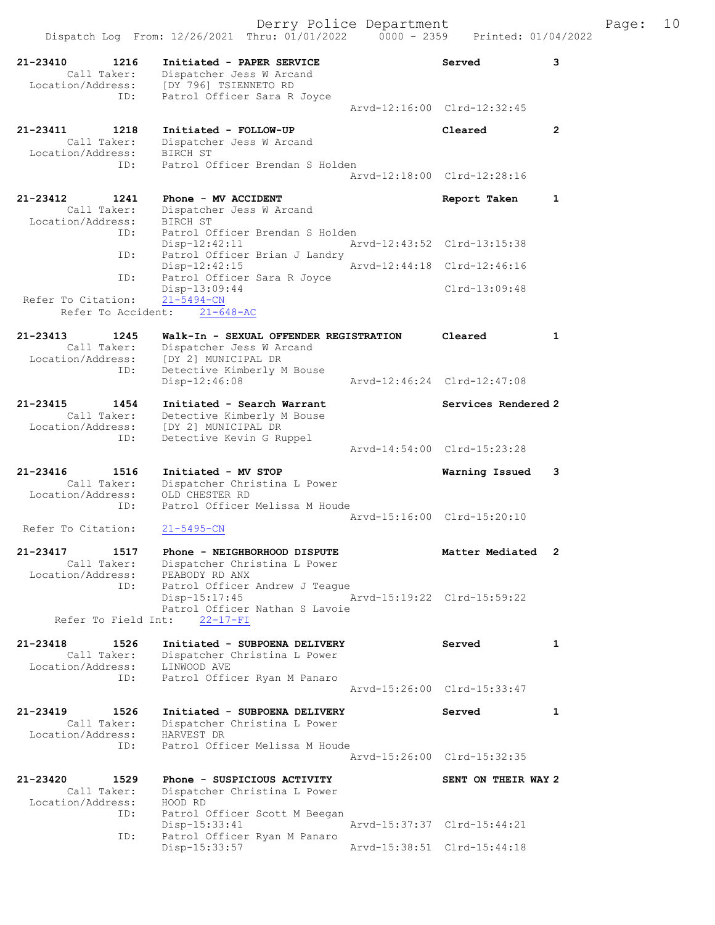|                                                               | Dispatch Log From: 12/26/2021 Thru: 01/01/2022 0000 - 2359 Printed: 01/04/2022                                                            | Derry Police Department     |                             |              | Page: | 10 |
|---------------------------------------------------------------|-------------------------------------------------------------------------------------------------------------------------------------------|-----------------------------|-----------------------------|--------------|-------|----|
| 21-23410<br>1216<br>Call Taker:<br>ID:                        | Initiated - PAPER SERVICE<br>Dispatcher Jess W Arcand<br>Location/Address: [DY 796] TSIENNETO RD<br>Patrol Officer Sara R Joyce           |                             | Served                      | 3            |       |    |
|                                                               |                                                                                                                                           |                             | Arvd-12:16:00 Clrd-12:32:45 |              |       |    |
| 21-23411<br>1218<br>Call Taker:<br>Location/Address: BIRCH ST | Initiated - FOLLOW-UP<br>Dispatcher Jess W Arcand                                                                                         |                             | Cleared                     | $\mathbf{2}$ |       |    |
| ID:                                                           | Patrol Officer Brendan S Holden                                                                                                           |                             | Arvd-12:18:00 Clrd-12:28:16 |              |       |    |
| 21-23412<br>1241<br>Call Taker:<br>Location/Address: BIRCH ST | Phone - MV ACCIDENT<br>Dispatcher Jess W Arcand                                                                                           |                             | Report Taken                | $\mathbf{1}$ |       |    |
| ID:                                                           | Patrol Officer Brendan S Holden<br>$Disp-12:42:11$                                                                                        |                             | Arvd-12:43:52 Clrd-13:15:38 |              |       |    |
| ID:                                                           | Patrol Officer Brian J Landry<br>Disp-12:42:15                                                                                            | Arvd-12:44:18 Clrd-12:46:16 |                             |              |       |    |
| ID:<br>Refer To Citation:                                     | Patrol Officer Sara R Joyce<br>Disp-13:09:44<br>$21 - 5494 - CN$                                                                          |                             | $Clrd-13:09:48$             |              |       |    |
| Refer To Accident:                                            | $21 - 648 - AC$                                                                                                                           |                             |                             |              |       |    |
| 21-23413<br>1245<br>Call Taker:                               | Walk-In - SEXUAL OFFENDER REGISTRATION<br>Dispatcher Jess W Arcand<br>Location/Address: [DY 2] MUNICIPAL DR                               |                             | Cleared                     | $\mathbf{1}$ |       |    |
| ID:                                                           | Detective Kimberly M Bouse<br>$Disp-12:46:08$                                                                                             | Arvd-12:46:24 Clrd-12:47:08 |                             |              |       |    |
| 21-23415<br>1454<br>ID:                                       | Initiated - Search Warrant<br>Call Taker: Detective Kimberly M Bouse<br>Location/Address: [DY 2] MUNICIPAL DR<br>Detective Kevin G Ruppel |                             | Services Rendered 2         |              |       |    |
|                                                               |                                                                                                                                           |                             | Arvd-14:54:00 Clrd-15:23:28 |              |       |    |
| 21-23416<br>1516<br>Call Taker:<br>Location/Address:<br>ID:   | Initiated - MV STOP<br>Dispatcher Christina L Power<br>OLD CHESTER RD<br>Patrol Officer Melissa M Houde                                   |                             | Warning Issued              | 3            |       |    |
| Refer To Citation:                                            | $21 - 5495 - CN$                                                                                                                          |                             | Arvd-15:16:00 Clrd-15:20:10 |              |       |    |
| 21-23417<br>1517<br>Location/Address:                         | Phone - NEIGHBORHOOD DISPUTE<br>Call Taker: Dispatcher Christina L Power<br>PEABODY RD ANX                                                |                             | Matter Mediated 2           |              |       |    |
| ID:<br>Refer To Field Int:                                    | Patrol Officer Andrew J Teague<br>Disp-15:17:45<br>Patrol Officer Nathan S Lavoie<br>$22 - 17 - FI$                                       |                             | Arvd-15:19:22 Clrd-15:59:22 |              |       |    |
| 21-23418<br>1526<br>Call Taker:<br>Location/Address:          | Initiated - SUBPOENA DELIVERY<br>Dispatcher Christina L Power<br>LINWOOD AVE                                                              |                             | Served                      | $\mathbf{1}$ |       |    |
| ID:                                                           | Patrol Officer Ryan M Panaro                                                                                                              |                             | Arvd-15:26:00 Clrd-15:33:47 |              |       |    |
| 21-23419<br>1526                                              | Initiated - SUBPOENA DELIVERY                                                                                                             |                             | Served                      | $\mathbf{1}$ |       |    |
| Call Taker:<br>Location/Address:<br>ID:                       | Dispatcher Christina L Power<br>HARVEST DR<br>Patrol Officer Melissa M Houde                                                              |                             |                             |              |       |    |
|                                                               |                                                                                                                                           |                             | Arvd-15:26:00 Clrd-15:32:35 |              |       |    |
| 21-23420<br>1529<br>Call Taker:<br>Location/Address:          | Phone - SUSPICIOUS ACTIVITY<br>Dispatcher Christina L Power<br>HOOD RD                                                                    |                             | SENT ON THEIR WAY 2         |              |       |    |
| ID:                                                           | Patrol Officer Scott M Beegan<br>Disp-15:33:41                                                                                            |                             | Arvd-15:37:37 Clrd-15:44:21 |              |       |    |
| ID:                                                           | Patrol Officer Ryan M Panaro<br>Disp-15:33:57                                                                                             | Arvd-15:38:51 Clrd-15:44:18 |                             |              |       |    |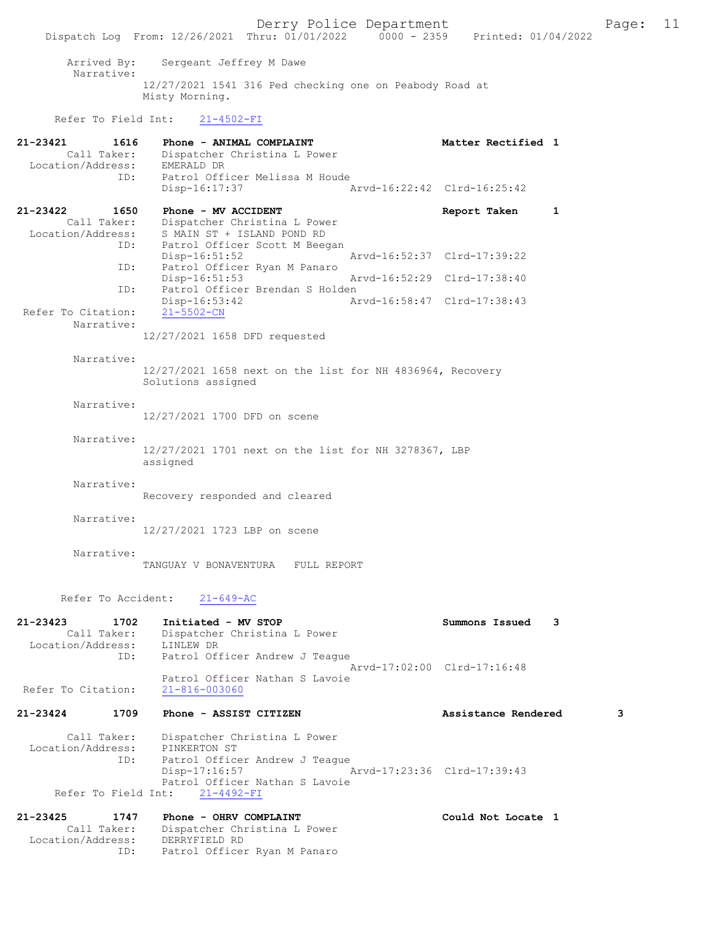Derry Police Department<br>
Page: 11 Phru: 01/01/2022 0000 - 2359 Printed: 01/04/2022 Dispatch Log From: 12/26/2021 Thru: 01/01/2022 Arrived By: Sergeant Jeffrey M Dawe Narrative: 12/27/2021 1541 316 Ped checking one on Peabody Road at Misty Morning. Refer To Field Int: 21-4502-FI 21-23421 1616 Phone - ANIMAL COMPLAINT Nettler Rectified 1 Call Taker: Dispatcher Christina L Power Location/Address: EMERALD DR ID: Patrol Officer Melissa M Houde<br>Disp-16:17:37 Disp-16:17:37 Arvd-16:22:42 Clrd-16:25:42 21-23422 1650 Phone - MV ACCIDENT Report Taken 1 Call Taker: Dispatcher Christina L Power Location/Address: S MAIN ST + ISLAND POND RD ID: Patrol Officer Scott M Beegan Disp-16:51:52 Arvd-16:52:37 Clrd-17:39:22 ID: Patrol Officer Ryan M Panaro Disp-16:51:53 Arvd-16:52:29 Clrd-17:38:40 ID: Patrol Officer Brendan S Holden Disp-16:53:42 Arvd-16:58:47 Clrd-17:38:43 Refer To Citation: 21-5502-CN Narrative: 12/27/2021 1658 DFD requested Narrative: 12/27/2021 1658 next on the list for NH 4836964, Recovery Solutions assigned Narrative: 12/27/2021 1700 DFD on scene

Refer To Accident: 21-649-AC

assigned

Recovery responded and cleared

12/27/2021 1723 LBP on scene

TANGUAY V BONAVENTURA FULL REPORT

Narrative:

Narrative:

Narrative:

Narrative:

| 21-23423           | 1702        | Initiated - MV STOP            | Summons Issued 3            |  |
|--------------------|-------------|--------------------------------|-----------------------------|--|
|                    | Call Taker: | Dispatcher Christina L Power   |                             |  |
| Location/Address:  |             | LINLEW DR                      |                             |  |
|                    | ID:         | Patrol Officer Andrew J Teague |                             |  |
|                    |             |                                | Aryd-17:02:00 Clrd-17:16:48 |  |
|                    |             | Patrol Officer Nathan S Lavoie |                             |  |
| Refer To Citation: |             | $21 - 816 - 003060$            |                             |  |

12/27/2021 1701 next on the list for NH 3278367, LBP

# 21-23424 1709 Phone - ASSIST CITIZEN Assistance Rendered 3

Could Not Locate 1

Call Taker: Dispatcher Christina L Power<br>ion/Address: PINKERTON ST Location/Address: ID: Patrol Officer Andrew J Teague<br>Disp-17:16:57 Disp-17:16:57 Arvd-17:23:36 Clrd-17:39:43 Patrol Officer Nathan S Lavoie Refer To Field Int: 21-4492-FI

| 21-23425          | 1747        | Phone - OHRV COMPLAINT       |
|-------------------|-------------|------------------------------|
|                   | Call Taker: | Dispatcher Christina L Power |
| Location/Address: |             | DERRYFIELD RD                |
|                   | TD:         | Patrol Officer Ryan M Panaro |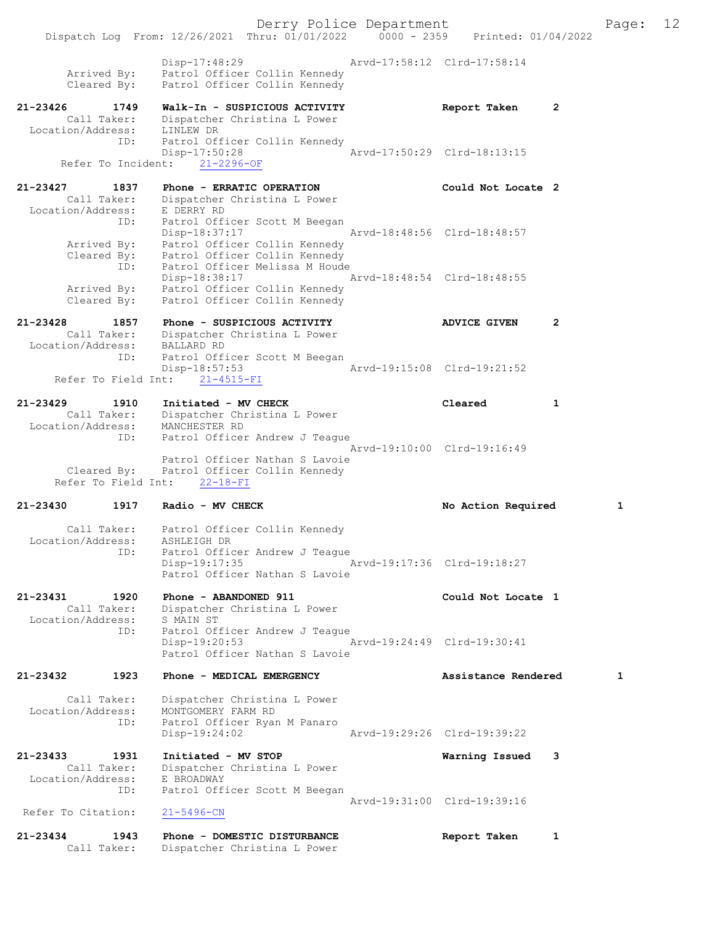Derry Police Department Fage: 12 Dispatch Log From: 12/26/2021 Thru: 01/01/2022 0000 - 2359 Printed: 01/04/2022 Disp-17:48:29 Arvd-17:58:12 Clrd-17:58:14 Arrived By: Patrol Officer Collin Kennedy Cleared By: Patrol Officer Collin Kennedy 21-23426 1749 Walk-In - SUSPICIOUS ACTIVITY Report Taken 2 Call Taker: Dispatcher Christina L Power Location/Address: LINLEW DR ID: Patrol Officer Collin Kennedy Disp-17:50:28 Arvd-17:50:29 Clrd-18:13:15 Refer To Incident: 21-2296-OF 21-23427 1837 Phone - ERRATIC OPERATION Could Not Locate 2 Call Taker: Dispatcher Christina L Power Location/Address: E DERRY RD ID: Patrol Officer Scott M Beegan Disp-18:37:17 Arvd-18:48:56 Clrd-18:48:57 Arrived By: Patrol Officer Collin Kennedy Cleared By: Patrol Officer Collin Kennedy ID: Patrol Officer Melissa M Houde Disp-18:38:17 Arvd-18:48:54 Clrd-18:48:55 Arrived By: Patrol Officer Collin Kennedy Cleared By: Patrol Officer Collin Kennedy 21-23428 1857 Phone - SUSPICIOUS ACTIVITY ADVICE GIVEN 2 Call Taker: Dispatcher Christina L Power Location/Address: BALLARD RD ID: Patrol Officer Scott M Beegan Disp-18:57:53 Arvd-19:15:08 Clrd-19:21:52 Refer To Field Int: 21-4515-FI 21-23429 1910 Initiated - MV CHECK Cleared 1 Call Taker: Dispatcher Christina L Power Location/Address: MANCHESTER RD ID: Patrol Officer Andrew J Teague Arvd-19:10:00 Clrd-19:16:49 Patrol Officer Nathan S Lavoie Cleared By: Patrol Officer Collin Kennedy Refer To Field Int: 22-18-FI 21-23430 1917 Radio - MV CHECK No Action Required 1 Call Taker: Patrol Officer Collin Kennedy Location/Address: ASHLEIGH DR ID: Patrol Officer Andrew J Teague Disp-19:17:35 Arvd-19:17:36 Clrd-19:18:27 Patrol Officer Nathan S Lavoie 21-23431 1920 Phone - ABANDONED 911 Could Not Locate 1 Call Taker: Dispatcher Christina L Power Location/Address: S MAIN ST ID: Patrol Officer Andrew J Teague Disp-19:20:53 Arvd-19:24:49 Clrd-19:30:41 Patrol Officer Nathan S Lavoie 21-23432 1923 Phone - MEDICAL EMERGENCY Assistance Rendered 1 Call Taker: Dispatcher Christina L Power Location/Address: MONTGOMERY FARM RD ID: Patrol Officer Ryan M Panaro -<br>Arvd-19:29:26 Clrd-19:39:22 21-23433 1931 Initiated - MV STOP Warning Issued 3 Call Taker: Dispatcher Christina L Power Location/Address: E BROADWAY ID: Patrol Officer Scott M Beegan Arvd-19:31:00 Clrd-19:39:16<br>21-5496-CN Refer To Citation: 21-23434 1943 Phone - DOMESTIC DISTURBANCE Report Taken 1 Call Taker: Dispatcher Christina L Power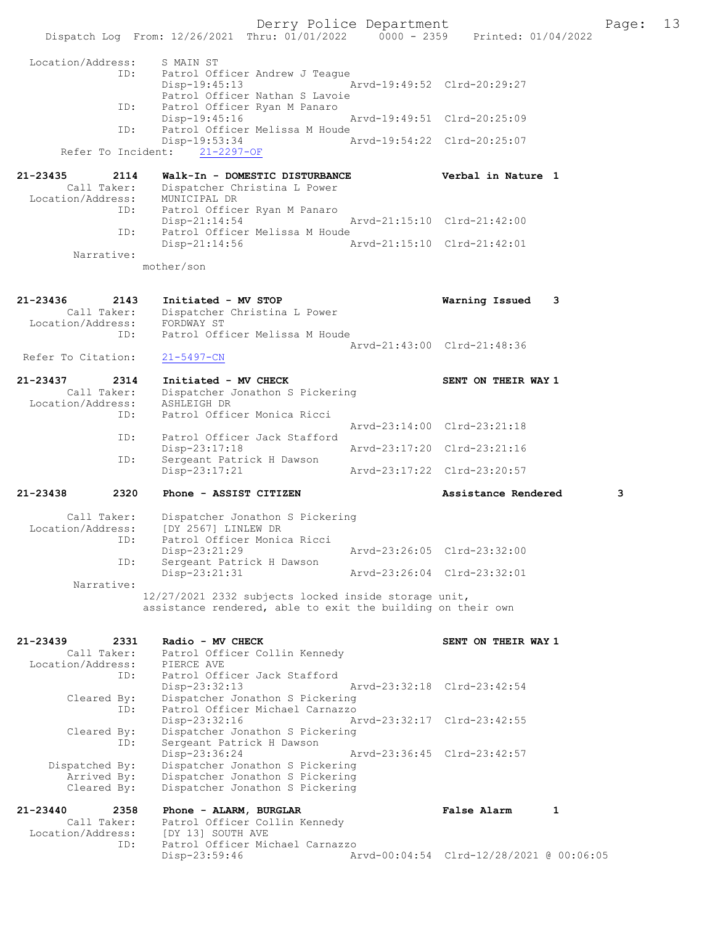Derry Police Department The Page: 13 Dispatch Log From: 12/26/2021 Thru: 01/01/2022 0000 - 2359 Printed: 01/04/2022 Location/Address: S MAIN ST ID: Patrol Officer Andrew J Teague<br>Disp-19:45:13 Mrvd-19:49:52 Clrd-20:29:27 Disp-19:45:13 Patrol Officer Nathan S Lavoie<br>ID: Patrol Officer Ryan M Panaro Patrol Officer Ryan M Panaro<br>Disp-19:45:16 Arvd-19:49:51 Clrd-20:25:09 ID: Patrol Officer Melissa M Houde<br>Disp-19:53:34 Disp-19:53:34 Arvd-19:54:22 Clrd-20:25:07 Refer To Incident: 21-2297-OF 21-23435 2114 Walk-In - DOMESTIC DISTURBANCE Verbal in Nature 1 Call Taker: Dispatcher Christina L Power Location/Address: MUNICIPAL DR ID: Patrol Officer Ryan M Panaro Disp-21:14:54 Arvd-21:15:10 Clrd-21:42:00<br>TD: Patrol Officer Melissa M Houde Patrol Officer Melissa M Houde<br>Disp-21:14:56 A Arvd-21:15:10 Clrd-21:42:01 Narrative: mother/son 21-23436 2143 Initiated - MV STOP Warning Issued 3 Call Taker: Dispatcher Christina L Power Location/Address: FORDWAY ST ID: Patrol Officer Melissa M Houde Arvd-21:43:00 Clrd-21:48:36<br>21-5497-CN Refer To Citation: 21-23437 2314 Initiated - MV CHECK SENT ON THEIR WAY 1 Call Taker: Dispatcher Jonathon S Pickering Location/Address: ASHLEIGH DR<br>TD: Patrol Offic Patrol Officer Monica Ricci Arvd-23:14:00 Clrd-23:21:18<br>ID: Patrol Officer Jack Stafford Patrol Officer Jack Stafford<br>Disp-23:17:18 Disp-23:17:18 Arvd-23:17:20 Clrd-23:21:16<br>ID: Sergeant Patrick H Dawson Sergeant Patrick H Dawson<br>Disp-23:17:21 Disp-23:17:21 Arvd-23:17:22 Clrd-23:20:57 21-23438 2320 Phone - ASSIST CITIZEN Assistance Rendered 3 Call Taker: Dispatcher Jonathon S Pickering<br>Location/Address: [DY 2567] LINLEW DR ess: [DY 2567] LINLEW DR<br>ID: Patrol Officer Monic Patrol Officer Monica Ricci<br>Disp-23:21:29 Disp-23:21:29 Arvd-23:26:05 Clrd-23:32:00<br>ID: Sergeant Patrick H Dawson Sergeant Patrick H Dawson<br>Disp-23:21:31 Disp-23:21:31 Arvd-23:26:04 Clrd-23:32:01 Narrative: 12/27/2021 2332 subjects locked inside storage unit, assistance rendered, able to exit the building on their own 21-23439 2331 Radio - MV CHECK SENT ON THEIR WAY 1 Call Taker: Patrol Officer Collin Kennedy Call Taker: Patrol Office.<br>Location/Address: PIERCE AVE ID: Patrol Officer Jack Stafford<br>Disp-23:32:13 Disp-23:32:13 Arvd-23:32:18 Clrd-23:42:54 Cleared By: Dispatcher Jonathon S Pickering ID: Patrol Officer Michael Carnazzo Disp-23:32:16 Arvd-23:32:17 Clrd-23:42:55 Cleared By: Dispatcher Jonathon S Pickering ID: Sergeant Patrick H Dawson<br>Disp-23:36:24 Disp-23:36:24 Arvd-23:36:45 Clrd-23:42:57 Dispatched By: Dispatcher Jonathon S Pickering Arrived By: Dispatcher Jonathon S Pickering Cleared By: Dispatcher Jonathon S Pickering

21-23440 2358 Phone - ALARM, BURGLAR False Alarm 1 Call Taker: Patrol Officer Collin Kennedy Location/Address: [DY 13] SOUTH AVE<br>ID: Patrol Officer Mic Patrol Officer Michael Carnazzo<br>Disp-23:59:46 Am Disp-23:59:46 Arvd-00:04:54 Clrd-12/28/2021 @ 00:06:05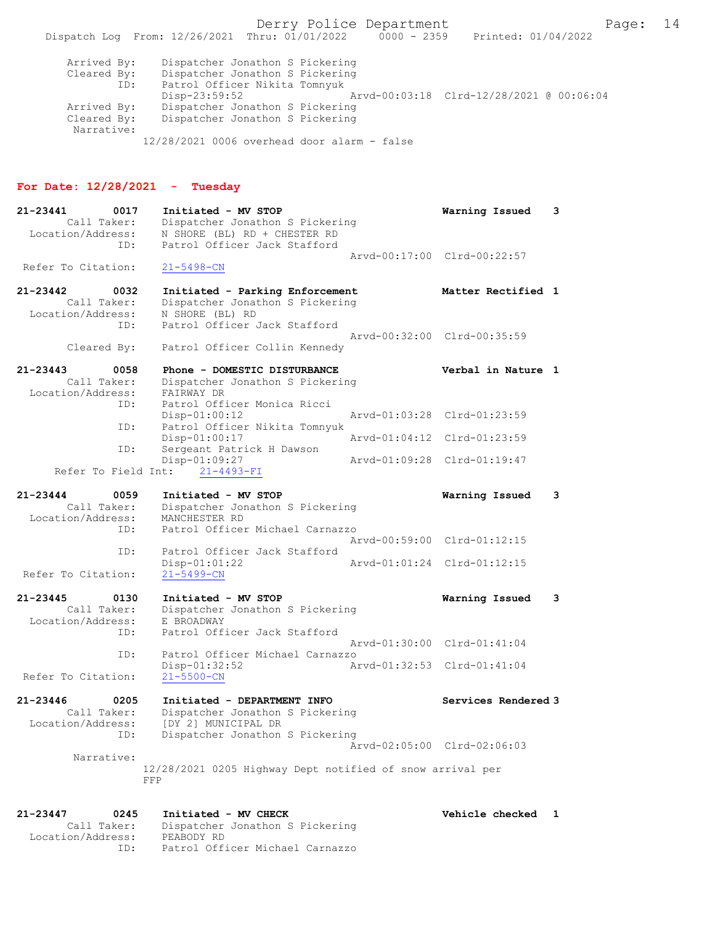Derry Police Department Fage: 14 Dispatch Log From: 12/26/2021 Thru: 01/01/2022 0000 - 2359 Printed: 01/04/2022 Arrived By: Dispatcher Jonathon S Pickering Cleared By: Dispatcher Jonathon S Pickering ID: Patrol Officer Nikita Tomnyuk Disp-23:59:52 Arvd-00:03:18 Clrd-12/28/2021 @ 00:06:04 Arrived By: Dispatcher Jonathon S Pickering<br>Cleared By: Dispatcher Jonathon S Pickering Dispatcher Jonathon S Pickering Narrative:

12/28/2021 0006 overhead door alarm - false

#### For Date: 12/28/2021 - Tuesday

21-23441 0017 Initiated - MV STOP Warning Issued 3 Call Taker: Dispatcher Jonathon S Pickering Location/Address: N SHORE (BL) RD + CHESTER RD ID: Patrol Officer Jack Stafford Arvd-00:17:00 Clrd-00:22:57 Refer To Citation: 21-5498-CN 21-23442 0032 Initiated - Parking Enforcement Matter Rectified 1 Call Taker: Dispatcher Jonathon S Pickering Location/Address: N SHORE (BL) RD ID: Patrol Officer Jack Stafford Arvd-00:32:00 Clrd-00:35:59 Cleared By: Patrol Officer Collin Kennedy 21-23443 0058 Phone - DOMESTIC DISTURBANCE Verbal in Nature 1 Call Taker: Dispatcher Jonathon S Pickering Call Taker: Dispatcher<br>Location/Address: FAIRWAY DR<br>TD: Patrol Offi Patrol Officer Monica Ricci<br>Disp-01:00:12 Arvd-01:03:28 Clrd-01:23:59 ID: Patrol Officer Nikita Tomnyuk Disp-01:00:17 Arvd-01:04:12 Clrd-01:23:59 ID: Sergeant Patrick H Dawson<br>Disp-01:09:27 Disp-01:09:27 Arvd-01:09:28 Clrd-01:19:47 Refer To Field Int: 21-4493-FI 21-23444 0059 Initiated - MV STOP Warning Issued 3 Call Taker: Dispatcher Jonathon S Pickering Location/Address: MANCHESTER RD ID: Patrol Officer Michael Carnazzo Arvd-00:59:00 Clrd-01:12:15 ID: Patrol Officer Jack Stafford Arvd-01:01:24 Clrd-01:12:15 Refer To Citation: 21-5499-CN 21-23445 0130 Initiated - MV STOP Warning Issued 3 Call Taker: Dispatcher Jonathon S Pickering Location/Address: E BROADWAY ID: Patrol Officer Jack Stafford Arvd-01:30:00 Clrd-01:41:04 ID: Patrol Officer Michael Carnazzo Disp-01:32:52 Arvd-01:32:53 Clrd-01:41:04 Refer To Citation: 21-23446 0205 Initiated - DEPARTMENT INFO Services Rendered 3 Call Taker: Dispatcher Jonathon S Pickering Location/Address: [DY 2] MUNICIPAL DR ID: Dispatcher Jonathon S Pickering Arvd-02:05:00 Clrd-02:06:03 Narrative: 12/28/2021 0205 Highway Dept notified of snow arrival per FFP

#### 21-23447 0245 Initiated - MV CHECK Vehicle checked 1 Call Taker: Dispatcher Jonathon S Pickering Location/Address: PEABODY RD ID: Patrol Officer Michael Carnazzo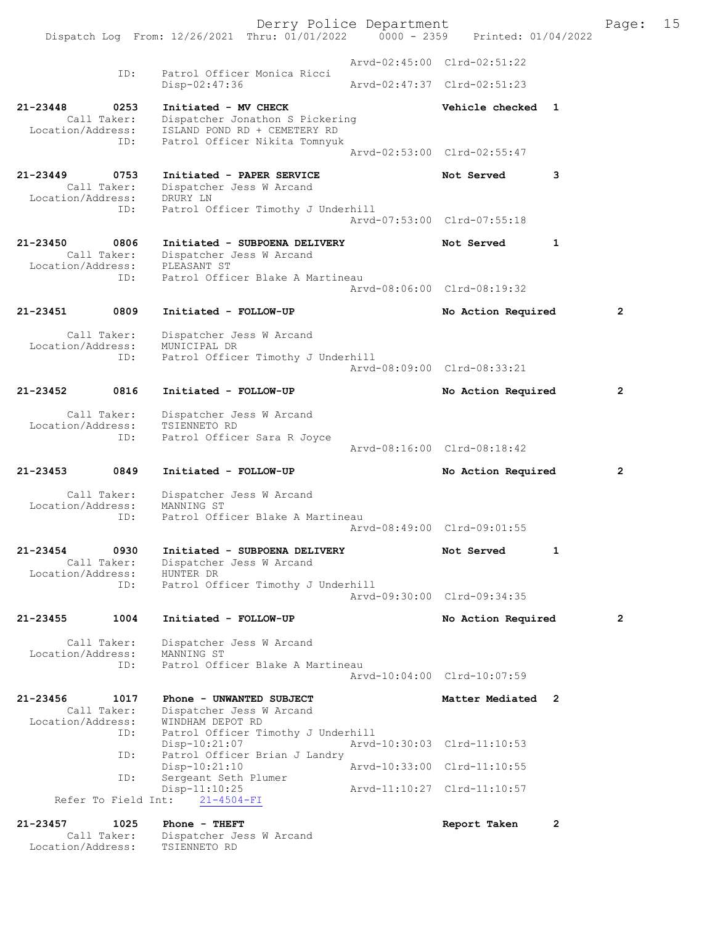Derry Police Department Page: 15 Dispatch Log From:  $12/26/2021$  Thru:  $01/01/2022$  0000 - 2359 Arvd-02:45:00 Clrd-02:51:22 ID: Patrol Officer Monica Ricci Disp-02:47:36 Arvd-02:47:37 Clrd-02:51:23 21-23448 0253 Initiated - MV CHECK Vehicle checked 1 Call Taker: Dispatcher Jonathon S Pickering<br>Location/Address: ISLAND POND RD + CEMETERY RD ess: ISLAND POND RD + CEMETERY RD<br>ID: Patrol Officer Nikita Tomnyuk Patrol Officer Nikita Tomnyuk Arvd-02:53:00 Clrd-02:55:47 21-23449 0753 Initiated - PAPER SERVICE Not Served 3 Call Taker: Dispatcher Jess W Arcand<br>ion/Address: DRURY LN Location/Address:<br>ID: Patrol Officer Timothy J Underhill Arvd-07:53:00 Clrd-07:55:18 21-23450 0806 Initiated - SUBPOENA DELIVERY Not Served 1 Call Taker: Dispatcher Jess W Arcand<br>ion/Address: PLEASANT ST Location/Address:<br>TD: Patrol Officer Blake A Martineau Arvd-08:06:00 Clrd-08:19:32 21-23451 0809 Initiated - FOLLOW-UP No Action Required 2 Call Taker: Dispatcher Jess W Arcand<br>ion/Address: MUNICIPAL DR Location/Address: ID: Patrol Officer Timothy J Underhill Arvd-08:09:00 Clrd-08:33:21 21-23452 0816 Initiated - FOLLOW-UP No Action Required 2 Call Taker: Dispatcher Jess W Arcand<br>ion/Address: TSIENNETO RD Location/Address:<br>ID: Patrol Officer Sara R Joyce Arvd-08:16:00 Clrd-08:18:42 21-23453 0849 Initiated - FOLLOW-UP No Action Required 2 Call Taker: Dispatcher Jess W Arcand<br>ion/Address: MANNING ST Location/Address: ID: Patrol Officer Blake A Martineau Arvd-08:49:00 Clrd-09:01:55 21-23454 0930 Initiated - SUBPOENA DELIVERY Not Served 1 Call Taker: Dispatcher Jess W Arcand<br>ion/Address: HUNTER DR Location/Address: ID: Patrol Officer Timothy J Underhill Arvd-09:30:00 Clrd-09:34:35 21-23455 1004 Initiated - FOLLOW-UP No Action Required 2 Call Taker: Dispatcher Jess W Arcand<br>ion/Address: MANNING ST Location/Address: ID: Patrol Officer Blake A Martineau Arvd-10:04:00 Clrd-10:07:59 21-23456 1017 Phone - UNWANTED SUBJECT Matter Mediated 2 Call Taker: Dispatcher Jess W Arcand<br>ion/Address: WINDHAM DEPOT RD Location/Address: ID: Patrol Officer Timothy J Underhill Disp-10:21:07 <br>
Disp-10:21:07 <br>
Disposible Patrol Officer Brian J Landry Patrol Officer Brian J Landry<br>Disp-10:21:10 Disp-10:21:10 Arvd-10:33:00 Clrd-11:10:55 ID: Sergeant Seth Plumer 11:10:25 Arvd-11:10:27 Clrd-11:10:57<br>21-4504-FI Refer To Field Int: 21-23457 1025 Phone - THEFT 2000 2000 Report Taken 2 Call Taker: Dispatcher Jess W Arcand<br>ion/Address: TSIENNETO RD Location/Address: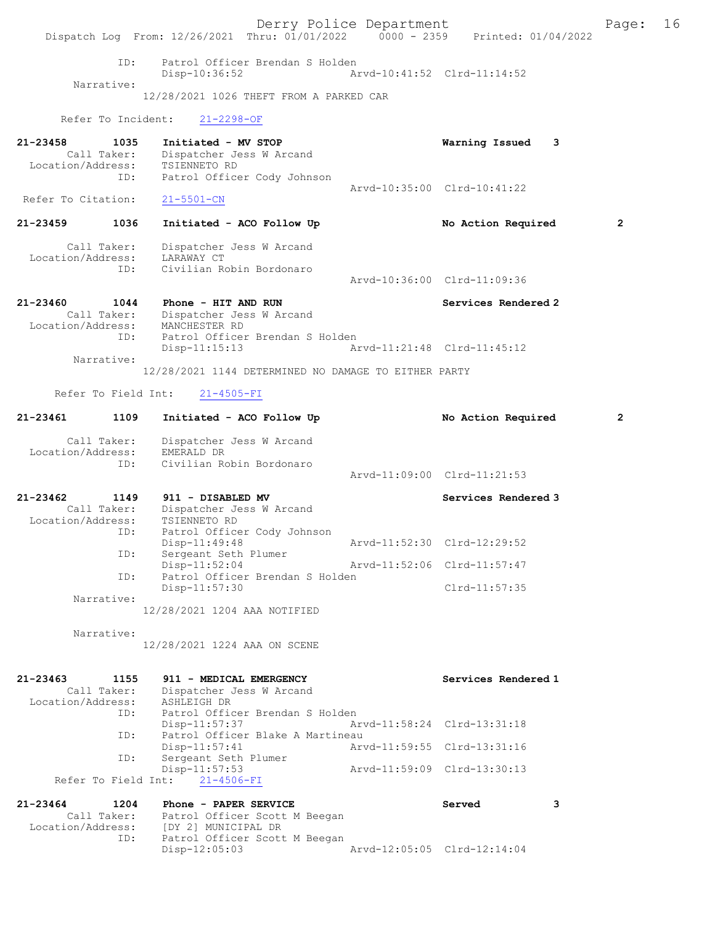Derry Police Department Fage: 16 Dispatch Log From: 12/26/2021 Thru: 01/01/2022 0000 - 2359 Printed: 01/04/2022 ID: Patrol Officer Brendan S Holden Disp-10:36:52 Arvd-10:41:52 Clrd-11:14:52 Narrative: 12/28/2021 1026 THEFT FROM A PARKED CAR Refer To Incident: 21-2298-OF 21-23458 1035 Initiated - MV STOP Warning Issued 3 Call Taker: Dispatcher Jess W Arcand Location/Address: TSIENNETO RD ID: Patrol Officer Cody Johnson Arvd-10:35:00 Clrd-10:41:22<br>21-5501-CN Refer To Citation: 21-23459 1036 Initiated - ACO Follow Up No Action Required 2 Call Taker: Dispatcher Jess W Arcand Location/Address: LARAWAY CT ID: Civilian Robin Bordonaro Arvd-10:36:00 Clrd-11:09:36 21-23460 1044 Phone - HIT AND RUN Services Rendered 2 Call Taker: Dispatcher Jess W Arcand Location/Address: MANCHESTER RD ID: Patrol Officer Brendan S Holden Disp-11:15:13 Arvd-11:21:48 Clrd-11:45:12 Narrative: 12/28/2021 1144 DETERMINED NO DAMAGE TO EITHER PARTY Refer To Field Int: 21-4505-FI 21-23461 1109 Initiated - ACO Follow Up No Action Required 2 Call Taker: Dispatcher Jess W Arcand Location/Address: EMERALD DR ID: Civilian Robin Bordonaro Arvd-11:09:00 Clrd-11:21:53 21-23462 1149 911 - DISABLED MV Services Rendered 3 Call Taker: Dispatcher Jess W Arcand Location/Address: TSIENNETO RD ID: Patrol Officer Cody Johnson<br>Disp-11:49:48 Arvd-11:52:30 Clrd-12:29:52 Disp-11:49:48 Arvd-11:52:30 Clrd-12:29:52 ID: Sergeant Seth Plumer Disp-11:52:04 Arvd-11:52:06 Clrd-11:57:47 ID: Patrol Officer Brendan S Holden Disp-11:57:30 Clrd-11:57:35 Narrative: 12/28/2021 1204 AAA NOTIFIED Narrative: 12/28/2021 1224 AAA ON SCENE 21-23463 1155 911 - MEDICAL EMERGENCY<br>Call Taker: Dispatcher Jess W Arcand Call Taker: Dispatcher Jess W Arcand Location/Address: ASHLEIGH DR ID: Patrol Officer Brendan S Holden<br>Disp-11:57:37 Ar Arvd-11:58:24 Clrd-13:31:18 ID: Patrol Officer Blake A Martineau Disp-11:57:41 Arvd-11:59:55 Clrd-13:31:16<br>ID: Sergeant Seth Plumer Sergeant Seth Plumer<br>Disp-11:57:53 Disp-11:57:53 Arvd-11:59:09 Clrd-13:30:13 Refer To Field Int:  $21-4506-FI$ 21-23464 1204 Phone - PAPER SERVICE 3 Call Taker: Patrol Officer Scott M Beegan Location/Address: [DY 2] MUNICIPAL DR<br>ID: Patrol Officer Scott M Be Patrol Officer Scott M Beegan<br>Disp-12:05:03 Disp-12:05:03 Arvd-12:05:05 Clrd-12:14:04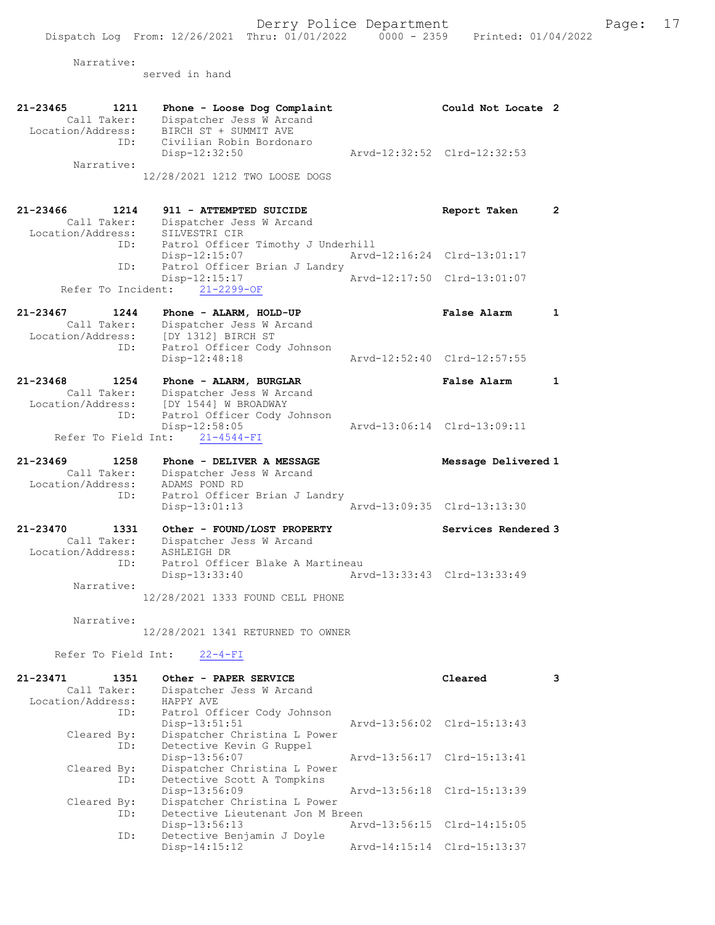Narrative:

served in hand

21-23465 1211 Phone - Loose Dog Complaint Could Not Locate 2 Call Taker: Dispatcher Jess W Arcand Location/Address: BIRCH ST + SUMMIT AVE ID: Civilian Robin Bordonaro Disp-12:32:50 Arvd-12:32:52 Clrd-12:32:53 Narrative: 12/28/2021 1212 TWO LOOSE DOGS 21-23466 1214 911 - ATTEMPTED SUICIDE Report Taken 2 Call Taker: Dispatcher Jess W Arcand -23466<br>Call Taker: Dispatener<br>Location/Address: SILVESTRI CIR<br>ID: Patrol Officer Patrol Officer Timothy J Underhill<br>Disp-12:15:07 Arvd-Disp-12:15:07 Arvd-12:16:24 Clrd-13:01:17<br>TD: Patrol Officer Brian J Landry Patrol Officer Brian J Landry<br>Disp-12:15:17 Disp-12:15:17 Arvd-12:17:50 Clrd-13:01:07 Refer To Incident: 21-2299-OF 21-23467 1244 Phone - ALARM, HOLD-UP False Alarm 1 Call Taker: Dispatcher Jess W Arcand Location/Address: [DY 1312] BIRCH ST ID: Patrol Officer Cody Johnson<br>Disp-12:48:18 Disp-12:48:18 Arvd-12:52:40 Clrd-12:57:55 21-23468 1254 Phone - ALARM, BURGLAR False Alarm 1 Call Taker: Dispatcher Jess W Arcand Location/Address: [DY 1544] W BROADWAY ID: Patrol Officer Cody Johnson Disp-12:58:05 Arvd-13:06:14 Clrd-13:09:11 Refer To Field Int: 21-4544-FI 21-23469 1258 Phone - DELIVER A MESSAGE Message Delivered 1 Call Taker: Dispatcher Jess W Arcand Location/Address: ADAMS POND RD ID: Patrol Officer Brian J Landry<br>Disp-13:01:13<br>Arvd-13:09:35 Clrd-13:13:30  $Disp-13:01:13$ 21-23470 1331 Other - FOUND/LOST PROPERTY Services Rendered 3 Call Taker: Dispatcher Jess W Arcand Location/Address: ASHLEIGH DR ID: Patrol Officer Blake A Martineau Disp-13:33:40 Arvd-13:33:43 Clrd-13:33:49 Narrative: 12/28/2021 1333 FOUND CELL PHONE Narrative: 12/28/2021 1341 RETURNED TO OWNER Refer To Field Int:  $22-4-FI$ 21-23471 1351 Other - PAPER SERVICE Cleared 3 Call Taker: Dispatcher Jess W Arcand Call Taker: Dispatcher<br>Location/Address: HAPPY AVE ID: Patrol Officer Cody Johnson Arvd-13:56:02 Clrd-15:13:43 Cleared By: Dispatcher Christina L Power ID: Detective Kevin G Ruppel Disp-13:56:07 Arvd-13:56:17 Clrd-15:13:41 Cleared By: Dispatcher Christina L Power ID: Detective Scott A Tompkins Disp-13:56:09 Arvd-13:56:18 Clrd-15:13:39 Cleared By: Dispatcher Christina L Power ID: Detective Lieutenant Jon M Breen Disp-13:56:13 Arvd-13:56:15 Clrd-14:15:05<br>TD: Detective Benjamin J Dovle Detective Benjamin J Doyle Disp-14:15:12 Arvd-14:15:14 Clrd-15:13:37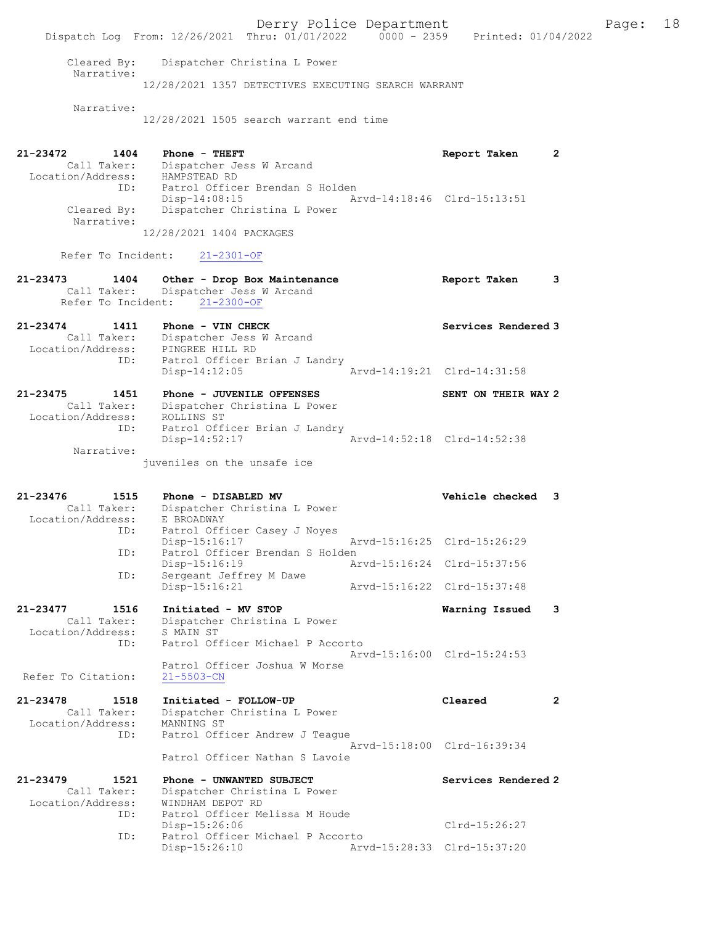Derry Police Department Fage: 18 Dispatch Log From: 12/26/2021 Thru: 01/01/2022 0000 - 2359 Printed: 01/04/2022 Cleared By: Dispatcher Christina L Power Narrative: 12/28/2021 1357 DETECTIVES EXECUTING SEARCH WARRANT Narrative: 12/28/2021 1505 search warrant end time 21-23472 1404 Phone - THEFT Report Taken 2 Call Taker: Dispatcher Jess W Arcand Location/Address: HAMPSTEAD RD ID: Patrol Officer Brendan S Holden Disp-14:08:15 Arvd-14:18:46 Clrd-15:13:51 Cleared By: Dispatcher Christina L Power Narrative: 12/28/2021 1404 PACKAGES Refer To Incident: 21-2301-OF 21-23473 1404 Other - Drop Box Maintenance Report Taken 3 Call Taker: Dispatcher Jess W Arcand Refer To Incident: 21-2300-OF 21-23474 1411 Phone - VIN CHECK Services Rendered 3 Call Taker: Dispatcher Jess W Arcand Location/Address: PINGREE HILL RD ID: Patrol Officer Brian J Landry Disp-14:12:05 Arvd-14:19:21 Clrd-14:31:58 21-23475 1451 Phone - JUVENILE OFFENSES SENT ON THEIR WAY 2 Call Taker: Dispatcher Christina L Power Location/Address: ROLLINS ST ID: Patrol Officer Brian J Landry Disp-14:52:17 Arvd-14:52:18 Clrd-14:52:38 Narrative: juveniles on the unsafe ice 21-23476 1515 Phone - DISABLED MV Vehicle checked 3 Call Taker: Dispatcher Christina L Power Location/Address: E BROADWAY ID: Patrol Officer Casey J Noyes Disp-15:16:17 Arvd-15:16:25 Clrd-15:26:29 ID: Patrol Officer Brendan S Holden Disp-15:16:19 Arvd-15:16:24 Clrd-15:37:56 ID: Sergeant Jeffrey M Dawe Disp-15:16:21 Arvd-15:16:22 Clrd-15:37:48 21-23477 1516 Initiated - MV STOP Warning Issued 3 Call Taker: Dispatcher Christina L Power Location/Address: S MAIN ST ID: Patrol Officer Michael P Accorto Arvd-15:16:00 Clrd-15:24:53 Patrol Officer Joshua W Morse<br>21-5503-CN Refer To Citation: 21-23478 1518 Initiated - FOLLOW-UP Cleared 2 Call Taker: Dispatcher Christina L Power Location/Address: MANNING ST ID: Patrol Officer Andrew J Teague Arvd-15:18:00 Clrd-16:39:34 Patrol Officer Nathan S Lavoie 21-23479 1521 Phone - UNWANTED SUBJECT Services Rendered 2 Call Taker: Dispatcher Christina L Power Location/Address: WINDHAM DEPOT RD ID: Patrol Officer Melissa M Houde Disp-15:26:06 Clrd-15:26:27 ID: Patrol Officer Michael P Accorto<br>Disp-15:26:10 Arve Disp-15:26:10 Arvd-15:28:33 Clrd-15:37:20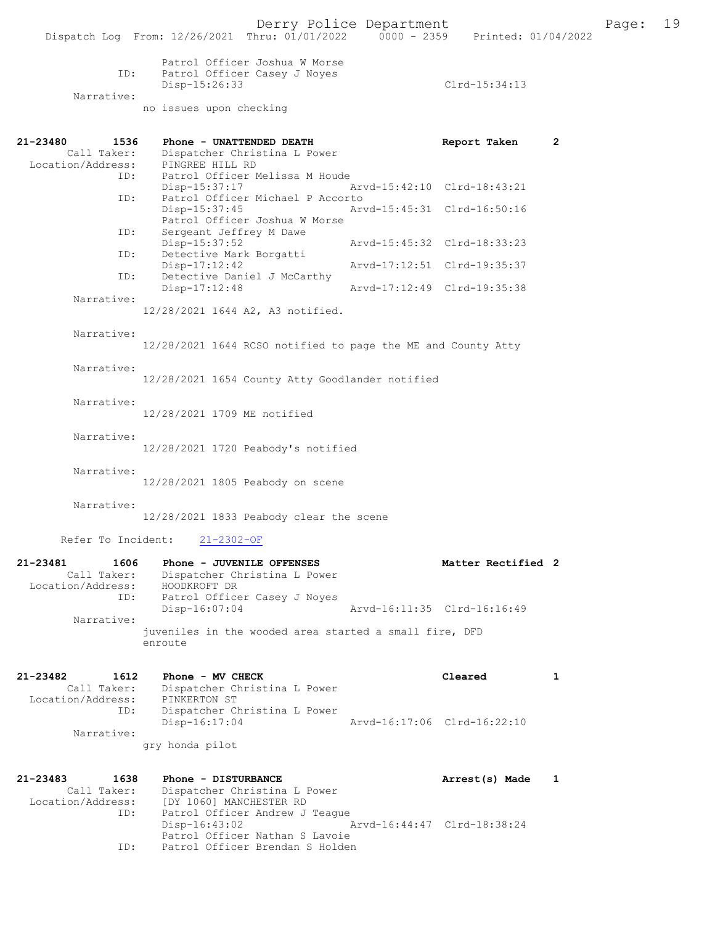|                                                      | Dispatch Log From: 12/26/2021 Thru: 01/01/2022                                                                         | 0000 - 2359 Printed: 01/04/2022 |              |
|------------------------------------------------------|------------------------------------------------------------------------------------------------------------------------|---------------------------------|--------------|
| ID:<br>Narrative:                                    | Patrol Officer Joshua W Morse<br>Patrol Officer Casey J Noyes<br>Disp-15:26:33                                         | Clrd-15:34:13                   |              |
|                                                      | no issues upon checking                                                                                                |                                 |              |
| 21-23480<br>1536<br>Call Taker:                      | Phone - UNATTENDED DEATH                                                                                               | Report Taken                    | $\mathbf{2}$ |
| Location/Address:<br>ID:                             | Dispatcher Christina L Power<br>PINGREE HILL RD<br>Patrol Officer Melissa M Houde                                      |                                 |              |
| ID:                                                  | Disp-15:37:17<br>Patrol Officer Michael P Accorto                                                                      | Arvd-15:42:10 Clrd-18:43:21     |              |
|                                                      | Disp-15:37:45<br>Patrol Officer Joshua W Morse                                                                         | Arvd-15:45:31 Clrd-16:50:16     |              |
| ID:<br>ID:                                           | Sergeant Jeffrey M Dawe<br>Disp-15:37:52<br>Detective Mark Borgatti                                                    | Arvd-15:45:32 Clrd-18:33:23     |              |
|                                                      | Disp-17:12:42                                                                                                          | Arvd-17:12:51 Clrd-19:35:37     |              |
| ID:                                                  | Detective Daniel J McCarthy<br>Disp-17:12:48                                                                           | Arvd-17:12:49 Clrd-19:35:38     |              |
| Narrative:                                           | 12/28/2021 1644 A2, A3 notified.                                                                                       |                                 |              |
| Narrative:                                           | 12/28/2021 1644 RCSO notified to page the ME and County Atty                                                           |                                 |              |
| Narrative:                                           | 12/28/2021 1654 County Atty Goodlander notified                                                                        |                                 |              |
| Narrative:                                           | 12/28/2021 1709 ME notified                                                                                            |                                 |              |
| Narrative:                                           | $12/28/2021$ 1720 Peabody's notified                                                                                   |                                 |              |
| Narrative:                                           | 12/28/2021 1805 Peabody on scene                                                                                       |                                 |              |
| Narrative:                                           | 12/28/2021 1833 Peabody clear the scene                                                                                |                                 |              |
| Refer To Incident:                                   | $21 - 2302 - OF$                                                                                                       |                                 |              |
| 21-23481<br>1606<br>Call Taker:<br>Location/Address: | Phone - JUVENILE OFFENSES<br>Dispatcher Christina L Power<br>HOODKROFT DR                                              | Matter Rectified 2              |              |
| ID:<br>Narrative:                                    | Patrol Officer Casey J Noyes<br>$Disp-16:07:04$                                                                        | Arvd-16:11:35 Clrd-16:16:49     |              |
|                                                      | juveniles in the wooded area started a small fire, DFD<br>enroute                                                      |                                 |              |
| 21-23482<br>1612<br>Call Taker:                      | Phone - MV CHECK<br>Dispatcher Christina L Power                                                                       | Cleared                         | 1            |
| Location/Address:<br>ID:                             | PINKERTON ST<br>Dispatcher Christina L Power                                                                           |                                 |              |
| Narrative:                                           | $Disp-16:17:04$<br>gry honda pilot                                                                                     | Arvd-16:17:06 Clrd-16:22:10     |              |
|                                                      |                                                                                                                        |                                 |              |
| 21-23483<br>1638<br>Call Taker:<br>Location/Address: | Phone - DISTURBANCE<br>Dispatcher Christina L Power<br>[DY 1060] MANCHESTER RD                                         | Arrest(s) Made                  | 1            |
| ID:<br>ID:                                           | Patrol Officer Andrew J Teague<br>$Disp-16:43:02$<br>Patrol Officer Nathan S Lavoie<br>Patrol Officer Brendan S Holden | Arvd-16:44:47 Clrd-18:38:24     |              |
|                                                      |                                                                                                                        |                                 |              |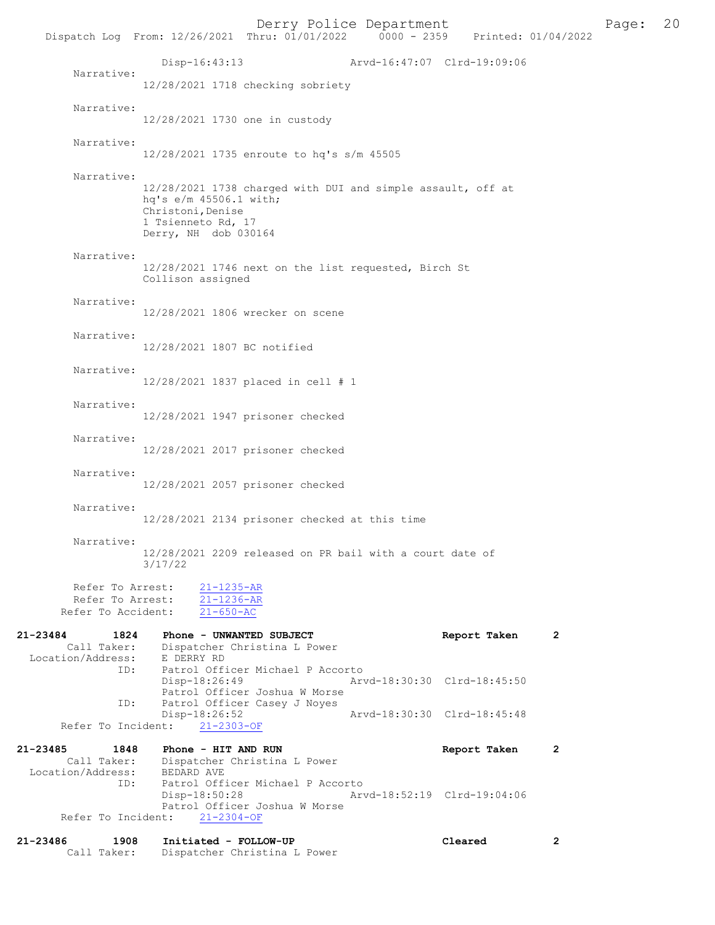Derry Police Department<br>
Page: 20<br>
Printed: 01/04/2022<br>
Printed: 01/04/2022 Dispatch Log From: 12/26/2021 Thru: 01/01/2022 Disp-16:43:13 Arvd-16:47:07 Clrd-19:09:06 Narrative: 12/28/2021 1718 checking sobriety Narrative: 12/28/2021 1730 one in custody Narrative: 12/28/2021 1735 enroute to hq's s/m 45505 Narrative: 12/28/2021 1738 charged with DUI and simple assault, off at hq's e/m 45506.1 with; Christoni, Denise 1 Tsienneto Rd, 17 Derry, NH dob 030164 Narrative: 12/28/2021 1746 next on the list requested, Birch St Collison assigned Narrative: 12/28/2021 1806 wrecker on scene Narrative: 12/28/2021 1807 BC notified Narrative: 12/28/2021 1837 placed in cell # 1 Narrative: 12/28/2021 1947 prisoner checked Narrative: 12/28/2021 2017 prisoner checked Narrative: 12/28/2021 2057 prisoner checked Narrative: 12/28/2021 2134 prisoner checked at this time Narrative: 12/28/2021 2209 released on PR bail with a court date of 3/17/22 Refer To Arrest:  $\frac{21-1235-AR}{21-1236-AR}$ Refer To Arrest:  $\frac{21-1236-A}{21-650-AC}$ Refer To Accident: 21-23484 1824 Phone - UNWANTED SUBJECT<br>
Call Taker: Dispatcher Christina L Power<br>
Report Taken 2 Dispatcher Christina L Power<br>E DERRY RD Location/Address:<br>ID: Patrol Officer Michael P Accorto<br>Disp-18:26:49 Arv Disp-18:26:49 Arvd-18:30:30 Clrd-18:45:50 Patrol Officer Joshua W Morse ID: Patrol Officer Casey J Noyes Disp-18:26:52 Arvd-18:30:30 Clrd-18:45:48 Refer To Incident: 21-23485 1848 Phone - HIT AND RUN Report Taken 2 Call Taker: Dispatcher Christina L Power<br>ion/Address: BEDARD AVE Location/Address:<br>ID: Patrol Officer Michael P Accorto<br>Disp-18:50:28 Art Arvd-18:52:19 Clrd-19:04:06 Patrol Officer Joshua W Morse Refer To Incident: 21-2304-OF

| 21-23486 | 1908        | Initiated - FOLLOW-UP        | Cleared |  |
|----------|-------------|------------------------------|---------|--|
|          | Call Taker: | Dispatcher Christina L Power |         |  |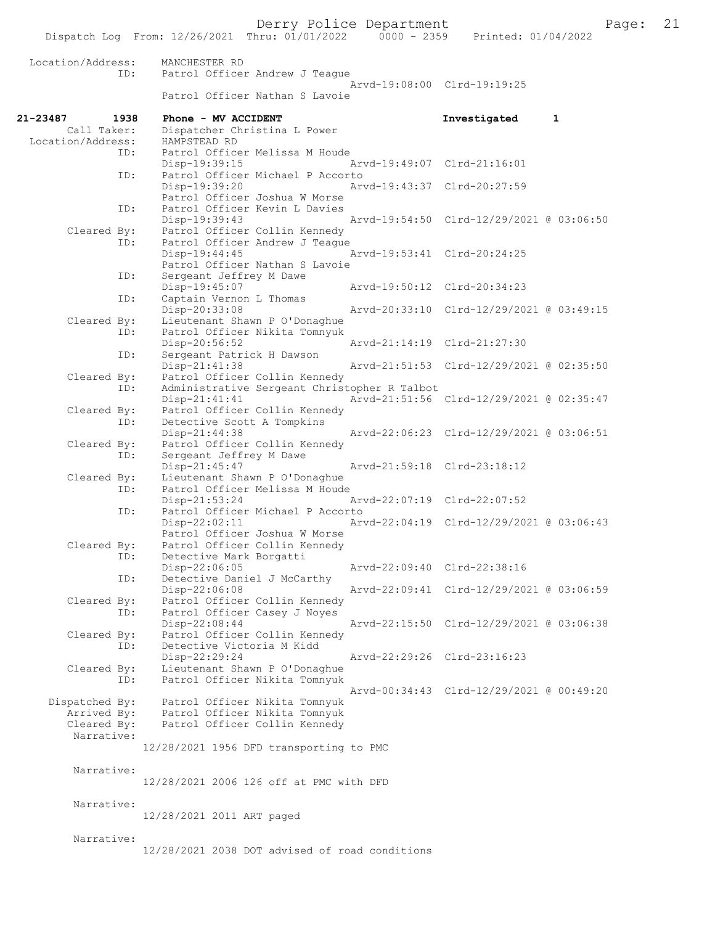Derry Police Department Fage: 21

|                           | Dispatch Log From: 12/26/2021 Thru: 01/01/2022<br>$0000 - 2359$               | Printed: 01/04/2022                      |
|---------------------------|-------------------------------------------------------------------------------|------------------------------------------|
| Location/Address:<br>ID:  | MANCHESTER RD<br>Patrol Officer Andrew J Teague                               |                                          |
|                           | Patrol Officer Nathan S Lavoie                                                | Arvd-19:08:00 Clrd-19:19:25              |
| 21-23487<br>1938          | Phone - MV ACCIDENT                                                           | Investigated<br>$\mathbf{1}$             |
| Call Taker:               | Dispatcher Christina L Power                                                  |                                          |
| Location/Address:<br>ID:  | HAMPSTEAD RD<br>Patrol Officer Melissa M Houde                                |                                          |
|                           | Disp-19:39:15                                                                 | Arvd-19:49:07 Clrd-21:16:01              |
| ID:                       | Patrol Officer Michael P Accorto                                              |                                          |
|                           | Disp-19:39:20                                                                 | Arvd-19:43:37 Clrd-20:27:59              |
| ID:                       | Patrol Officer Joshua W Morse<br>Patrol Officer Kevin L Davies                |                                          |
|                           | Disp-19:39:43                                                                 | Arvd-19:54:50 Clrd-12/29/2021 @ 03:06:50 |
| Cleared By:               | Patrol Officer Collin Kennedy                                                 |                                          |
| ID:                       | Patrol Officer Andrew J Teague                                                |                                          |
|                           | Disp-19:44:45<br>Patrol Officer Nathan S Lavoie                               | Arvd-19:53:41 Clrd-20:24:25              |
| ID:                       | Sergeant Jeffrey M Dawe                                                       |                                          |
|                           | Disp-19:45:07                                                                 | Arvd-19:50:12 Clrd-20:34:23              |
| ID:                       | Captain Vernon L Thomas                                                       |                                          |
| Cleared By:               | Disp-20:33:08                                                                 | Arvd-20:33:10 Clrd-12/29/2021 @ 03:49:15 |
| ID:                       | Lieutenant Shawn P O'Donaghue<br>Patrol Officer Nikita Tomnyuk                |                                          |
|                           | Disp-20:56:52                                                                 | Arvd-21:14:19 Clrd-21:27:30              |
| ID:                       | Sergeant Patrick H Dawson                                                     |                                          |
|                           | Disp-21:41:38                                                                 | Arvd-21:51:53 Clrd-12/29/2021 @ 02:35:50 |
| Cleared By:<br>ID:        | Patrol Officer Collin Kennedy<br>Administrative Sergeant Christopher R Talbot |                                          |
|                           | $Disp-21:41:41$                                                               | Arvd-21:51:56 Clrd-12/29/2021 @ 02:35:47 |
| Cleared By:               | Patrol Officer Collin Kennedy                                                 |                                          |
| ID:                       | Detective Scott A Tompkins                                                    |                                          |
| Cleared By:               | Disp-21:44:38<br>Patrol Officer Collin Kennedy                                | Arvd-22:06:23 Clrd-12/29/2021 @ 03:06:51 |
| ID:                       | Sergeant Jeffrey M Dawe                                                       |                                          |
|                           | Disp-21:45:47                                                                 | Arvd-21:59:18 Clrd-23:18:12              |
| Cleared By:               | Lieutenant Shawn P O'Donaghue                                                 |                                          |
| ID:                       | Patrol Officer Melissa M Houde<br>Disp-21:53:24                               | Arvd-22:07:19 Clrd-22:07:52              |
| ID:                       | Patrol Officer Michael P Accorto                                              |                                          |
|                           | Disp-22:02:11                                                                 | Arvd-22:04:19 Clrd-12/29/2021 @ 03:06:43 |
|                           | Patrol Officer Joshua W Morse                                                 |                                          |
| Cleared By:               | Patrol Officer Collin Kennedy                                                 |                                          |
| ID:                       | Detective Mark Borgatti<br>Disp-22:06:05                                      | Arvd-22:09:40 Clrd-22:38:16              |
| ID:                       | Detective Daniel J McCarthy                                                   |                                          |
|                           | Disp-22:06:08                                                                 | Arvd-22:09:41 Clrd-12/29/2021 @ 03:06:59 |
| Cleared By:               | Patrol Officer Collin Kennedy                                                 |                                          |
| ID:                       | Patrol Officer Casey J Noyes<br>Disp-22:08:44                                 | Arvd-22:15:50 Clrd-12/29/2021 @ 03:06:38 |
| Cleared By:               | Patrol Officer Collin Kennedy                                                 |                                          |
| ID:                       | Detective Victoria M Kidd                                                     |                                          |
|                           | Disp-22:29:24                                                                 | Arvd-22:29:26 Clrd-23:16:23              |
| Cleared By:<br>ID:        | Lieutenant Shawn P O'Donaghue<br>Patrol Officer Nikita Tomnyuk                |                                          |
|                           |                                                                               | Arvd-00:34:43 Clrd-12/29/2021 @ 00:49:20 |
| Dispatched By:            | Patrol Officer Nikita Tomnyuk                                                 |                                          |
| Arrived By:               | Patrol Officer Nikita Tomnyuk                                                 |                                          |
| Cleared By:<br>Narrative: | Patrol Officer Collin Kennedy                                                 |                                          |
|                           | 12/28/2021 1956 DFD transporting to PMC                                       |                                          |
|                           |                                                                               |                                          |
| Narrative:                |                                                                               |                                          |
|                           | 12/28/2021 2006 126 off at PMC with DFD                                       |                                          |
| Narrative:                |                                                                               |                                          |
|                           | 12/28/2021 2011 ART paged                                                     |                                          |
|                           |                                                                               |                                          |
| Narrative:                | 12/28/2021 2038 DOT advised of road conditions                                |                                          |
|                           |                                                                               |                                          |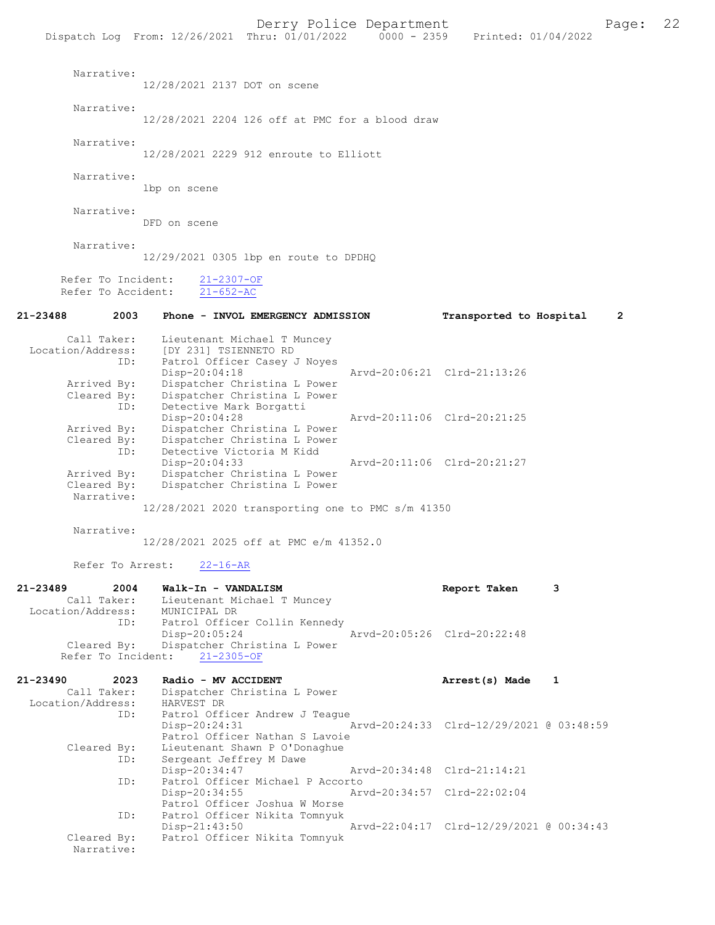|                                                             | Dispatch Log From: 12/26/2021 Thru: 01/01/2022                                                                                                                      | $0000 - 2359$<br>Printed: 01/04/2022      |
|-------------------------------------------------------------|---------------------------------------------------------------------------------------------------------------------------------------------------------------------|-------------------------------------------|
| Narrative:                                                  | 12/28/2021 2137 DOT on scene                                                                                                                                        |                                           |
| Narrative:                                                  | 12/28/2021 2204 126 off at PMC for a blood draw                                                                                                                     |                                           |
| Narrative:                                                  | 12/28/2021 2229 912 enroute to Elliott                                                                                                                              |                                           |
| Narrative:                                                  | lbp on scene                                                                                                                                                        |                                           |
| Narrative:                                                  | DFD on scene                                                                                                                                                        |                                           |
| Narrative:                                                  | 12/29/2021 0305 lbp en route to DPDHQ                                                                                                                               |                                           |
| Refer To Incident:<br>Refer To Accident:                    | $21 - 2307 - OF$<br>$21 - 652 - AC$                                                                                                                                 |                                           |
| 21-23488<br>2003                                            | Phone - INVOL EMERGENCY ADMISSION                                                                                                                                   | Transported to Hospital<br>$\overline{2}$ |
| ID:<br>Arrived By:                                          | Call Taker: Lieutenant Michael T Muncey<br>Location/Address: [DY 231] TSIENNETO RD<br>Patrol Officer Casey J Noyes<br>Disp-20:04:18<br>Dispatcher Christina L Power | Arvd-20:06:21 Clrd-21:13:26               |
| Cleared By:<br>ID:<br>Arrived By:                           | Dispatcher Christina L Power<br>Detective Mark Borgatti<br>Disp-20:04:28<br>Dispatcher Christina L Power                                                            | Arvd-20:11:06 Clrd-20:21:25               |
| Cleared By:<br>ID:<br>Arrived By:<br>Cleared By:            | Dispatcher Christina L Power<br>Detective Victoria M Kidd<br>Disp-20:04:33<br>Dispatcher Christina L Power<br>Dispatcher Christina L Power                          | Arvd-20:11:06 Clrd-20:21:27               |
| Narrative:                                                  | 12/28/2021 2020 transporting one to PMC s/m 41350                                                                                                                   |                                           |
| Narrative:                                                  | 12/28/2021 2025 off at PMC e/m 41352.0                                                                                                                              |                                           |
| Refer To Arrest:                                            | $22 - 16 - AR$                                                                                                                                                      |                                           |
| 21-23489<br>2004<br>Call Taker:<br>Location/Address:<br>ID: | Walk-In - VANDALISM<br>Lieutenant Michael T Muncey<br>MUNICIPAL DR<br>Patrol Officer Collin Kennedy                                                                 | Report Taken<br>3                         |
| Cleared By:<br>Refer To Incident:                           | $Disp-20:05:24$<br>Dispatcher Christina L Power<br>$21 - 2305 - OF$                                                                                                 | Arvd-20:05:26 Clrd-20:22:48               |
| 21-23490<br>2023<br>Call Taker:<br>Location/Address:        | Radio - MV ACCIDENT<br>Dispatcher Christina L Power<br>HARVEST DR                                                                                                   | Arrest(s) Made<br>1                       |
| ID:                                                         | Patrol Officer Andrew J Teague<br>$Disp-20:24:31$<br>Patrol Officer Nathan S Lavoie                                                                                 | Arvd-20:24:33 Clrd-12/29/2021 @ 03:48:59  |
| Cleared By:<br>ID:                                          | Lieutenant Shawn P O'Donaghue<br>Sergeant Jeffrey M Dawe<br>Disp-20:34:47                                                                                           | Arvd-20:34:48 Clrd-21:14:21               |
| ID:                                                         | Patrol Officer Michael P Accorto<br>Disp-20:34:55<br>Patrol Officer Joshua W Morse                                                                                  | Arvd-20:34:57 Clrd-22:02:04               |
| ID:<br>Cleared By:                                          | Patrol Officer Nikita Tomnyuk<br>$Disp-21:43:50$<br>Patrol Officer Nikita Tomnyuk                                                                                   | Arvd-22:04:17 Clrd-12/29/2021 @ 00:34:43  |
| Narrative:                                                  |                                                                                                                                                                     |                                           |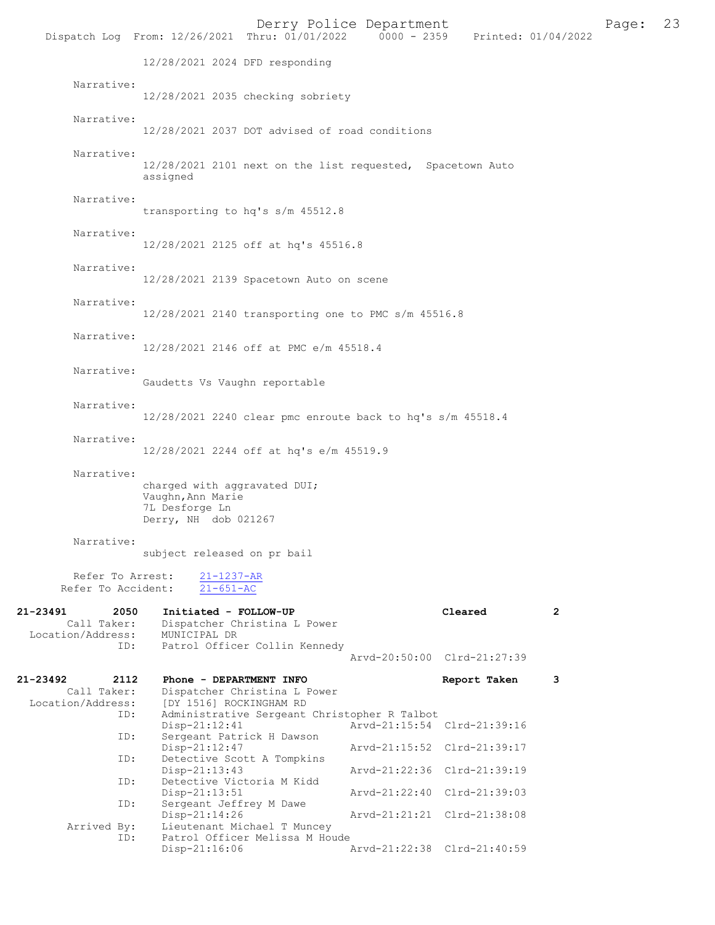|                                                             |                                                                                             | Derry Police Department<br>Dispatch Log From: 12/26/2021 Thru: 01/01/2022 | 0000 - 2359 Printed: 01/04/2022 |              |              | Page: | 23 |
|-------------------------------------------------------------|---------------------------------------------------------------------------------------------|---------------------------------------------------------------------------|---------------------------------|--------------|--------------|-------|----|
|                                                             | 12/28/2021 2024 DFD responding                                                              |                                                                           |                                 |              |              |       |    |
| Narrative:                                                  |                                                                                             | 12/28/2021 2035 checking sobriety                                         |                                 |              |              |       |    |
| Narrative:                                                  |                                                                                             | 12/28/2021 2037 DOT advised of road conditions                            |                                 |              |              |       |    |
| Narrative:                                                  | assigned                                                                                    | 12/28/2021 2101 next on the list requested, Spacetown Auto                |                                 |              |              |       |    |
| Narrative:                                                  |                                                                                             | transporting to hq's s/m 45512.8                                          |                                 |              |              |       |    |
| Narrative:                                                  |                                                                                             | 12/28/2021 2125 off at hq's 45516.8                                       |                                 |              |              |       |    |
| Narrative:                                                  |                                                                                             | 12/28/2021 2139 Spacetown Auto on scene                                   |                                 |              |              |       |    |
| Narrative:                                                  |                                                                                             | 12/28/2021 2140 transporting one to PMC s/m 45516.8                       |                                 |              |              |       |    |
| Narrative:                                                  |                                                                                             | 12/28/2021 2146 off at PMC e/m 45518.4                                    |                                 |              |              |       |    |
| Narrative:                                                  | Gaudetts Vs Vaughn reportable                                                               |                                                                           |                                 |              |              |       |    |
| Narrative:                                                  |                                                                                             | 12/28/2021 2240 clear pmc enroute back to hq's s/m 45518.4                |                                 |              |              |       |    |
| Narrative:                                                  |                                                                                             | 12/28/2021 2244 off at hq's e/m 45519.9                                   |                                 |              |              |       |    |
| Narrative:                                                  | charged with aggravated DUI;<br>Vaughn, Ann Marie<br>7L Desforge Ln<br>Derry, NH dob 021267 |                                                                           |                                 |              |              |       |    |
| Narrative:                                                  | subject released on pr bail                                                                 |                                                                           |                                 |              |              |       |    |
| Refer To Arrest:<br>Refer To Accident:                      | $21 - 1237 - AR$<br>$21 - 651 - AC$                                                         |                                                                           |                                 |              |              |       |    |
| 21-23491<br>2050<br>Call Taker:<br>Location/Address:<br>ID: | Initiated - FOLLOW-UP<br>MUNICIPAL DR                                                       | Dispatcher Christina L Power<br>Patrol Officer Collin Kennedy             |                                 | Cleared      | $\mathbf{2}$ |       |    |
|                                                             |                                                                                             |                                                                           | Arvd-20:50:00 Clrd-21:27:39     |              |              |       |    |
| 21-23492<br>2112<br>Call Taker:<br>Location/Address:        | Phone - DEPARTMENT INFO<br>[DY 1516] ROCKINGHAM RD                                          | Dispatcher Christina L Power                                              |                                 | Report Taken | 3            |       |    |
| ID:<br>ID:                                                  | $Disp-21:12:41$<br>Sergeant Patrick H Dawson                                                | Administrative Sergeant Christopher R Talbot                              | Arvd-21:15:54 Clrd-21:39:16     |              |              |       |    |
| ID:                                                         | Disp-21:12:47                                                                               | Detective Scott A Tompkins                                                | Arvd-21:15:52 Clrd-21:39:17     |              |              |       |    |
| ID:                                                         | Disp-21:13:43<br>Detective Victoria M Kidd                                                  |                                                                           | Arvd-21:22:36 Clrd-21:39:19     |              |              |       |    |
| ID:                                                         | $Disp-21:13:51$<br>Sergeant Jeffrey M Dawe                                                  |                                                                           | Arvd-21:22:40 Clrd-21:39:03     |              |              |       |    |
| Arrived By:                                                 | Disp-21:14:26                                                                               | Lieutenant Michael T Muncey                                               | Arvd-21:21:21 Clrd-21:38:08     |              |              |       |    |
| ID:                                                         | $Disp-21:16:06$                                                                             | Patrol Officer Melissa M Houde                                            | Arvd-21:22:38 Clrd-21:40:59     |              |              |       |    |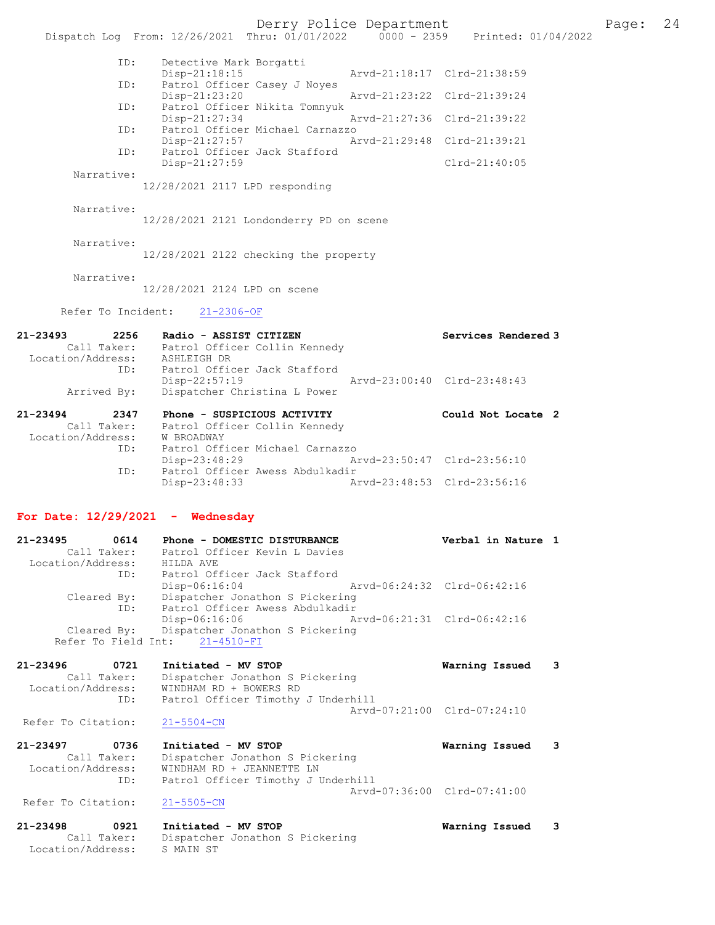Derry Police Department Fage: 24 Dispatch Log From: 12/26/2021 Thru: 01/01/2022 0000 - 2359 Printed: 01/04/2022 ID: Detective Mark Borgatti Disp-21:18:15 Arvd-21:18:17 Clrd-21:38:59<br>TD: Patrol Officer Casey J Noves Pisp 21.1991<br>Patrol Officer Casey J Noyes<br>Disp-21:23:20 Disp-21:23:20 Arvd-21:23:22 Clrd-21:39:24 ID: Patrol Officer Nikita Tomnyuk<br>Disp-21:27:34 Arvd-21:27:36 Clrd-21:39:22 Disp-21:27:34 Arvd-21:27:36 Clrd-21:39:22 ID: Patrol Officer Michael Carnazzo Disp-21:27:57 Arvd-21:29:48 Clrd-21:39:21 ID: Patrol Officer Jack Stafford Disp-21:27:59 Clrd-21:40:05 Narrative: 12/28/2021 2117 LPD responding Narrative: 12/28/2021 2121 Londonderry PD on scene Narrative: 12/28/2021 2122 checking the property Narrative: 12/28/2021 2124 LPD on scene Refer To Incident: 21-2306-OF 21-23493 2256 Radio - ASSIST CITIZEN Services Rendered 3 Call Taker: Patrol Officer Collin Kennedy Location/Address: ASHLEIGH DR ID: Patrol Officer Jack Stafford Disp-22:57:19 Arvd-23:00:40 Clrd-23:48:43 Arrived By: Dispatcher Christina L Power 21-23494 2347 Phone - SUSPICIOUS ACTIVITY Could Not Locate 2 Call Taker: Patrol Officer Collin Kennedy Location/Address: W BROADWAY ID: Patrol Officer Michael Carnazzo Disp-23:48:29 Arvd-23:50:47 Clrd-23:56:10 ID: Patrol Officer Awess Abdulkadir Disp-23:48:33 Arvd-23:48:53 Clrd-23:56:16 For Date: 12/29/2021 - Wednesday 21-23495 0614 Phone - DOMESTIC DISTURBANCE Verbal in Nature 1 Call Taker: Patrol Officer Kevin L Davies Location/Address: HILDA AVE ID: Patrol Officer Jack Stafford Disp-06:16:04 Arvd-06:24:32 Clrd-06:42:16 Cleared By: Dispatcher Jonathon S Pickering ID: Patrol Officer Awess Abdulkadir Disp-06:16:06 Arvd-06:21:31 Clrd-06:42:16 Cleared By: Dispatcher Jonathon S Pickering Refer To Field Int: 21-4510-FI 21-23496 0721 Initiated - MV STOP Warning Issued 3 Call Taker: Dispatcher Jonathon S Pickering Location/Address: WINDHAM RD + BOWERS RD ID: Patrol Officer Timothy J Underhill Arvd-07:21:00 Clrd-07:24:10 Refer To Citation: 21-5504-CN 21-23497 0736 Initiated - MV STOP Warning Issued 3 Call Taker: Dispatcher Jonathon S Pickering Location/Address: WINDHAM RD + JEANNETTE LN ID: Patrol Officer Timothy J Underhill Arvd-07:36:00 Clrd-07:41:00<br>21-5505-CN Refer To Citation: 21-23498 0921 Initiated - MV STOP Warning Issued 3 Call Taker: Dispatcher Jonathon S Pickering Location/Address: S MAIN ST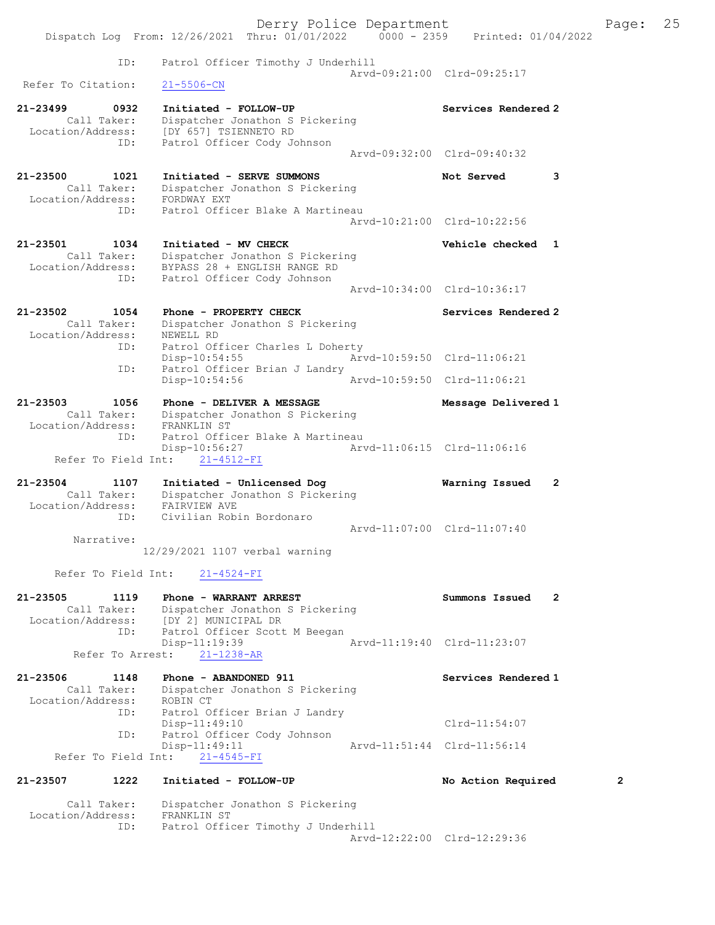|                                     |                                                                                    | Derry Police Department |                                  | Page:          | 25 |
|-------------------------------------|------------------------------------------------------------------------------------|-------------------------|----------------------------------|----------------|----|
|                                     | Dispatch Log From: 12/26/2021 Thru: 01/01/2022   0000 - 2359   Printed: 01/04/2022 |                         |                                  |                |    |
|                                     |                                                                                    |                         |                                  |                |    |
| ID:                                 | Patrol Officer Timothy J Underhill                                                 |                         | Arvd-09:21:00 Clrd-09:25:17      |                |    |
| Refer To Citation:                  | $21 - 5506 - CN$                                                                   |                         |                                  |                |    |
| 21-23499<br>0932                    | Initiated - FOLLOW-UP                                                              |                         | Services Rendered 2              |                |    |
| Call Taker:                         | Dispatcher Jonathon S Pickering                                                    |                         |                                  |                |    |
|                                     | Location/Address: [DY 657] TSIENNETO RD                                            |                         |                                  |                |    |
| ID:                                 | Patrol Officer Cody Johnson                                                        |                         | Arvd-09:32:00 Clrd-09:40:32      |                |    |
|                                     |                                                                                    |                         |                                  |                |    |
| 21-23500<br>1021                    | Initiated - SERVE SUMMONS                                                          |                         | Not Served<br>3                  |                |    |
| Call Taker:                         | Dispatcher Jonathon S Pickering                                                    |                         |                                  |                |    |
| Location/Address:                   | FORDWAY EXT                                                                        |                         |                                  |                |    |
| ID:                                 | Patrol Officer Blake A Martineau                                                   |                         | Arvd-10:21:00 Clrd-10:22:56      |                |    |
|                                     |                                                                                    |                         |                                  |                |    |
| 21-23501<br>1034                    | Initiated - MV CHECK                                                               |                         | Vehicle checked 1                |                |    |
| Call Taker:                         | Dispatcher Jonathon S Pickering                                                    |                         |                                  |                |    |
| Location/Address:<br>ID:            | BYPASS 28 + ENGLISH RANGE RD<br>Patrol Officer Cody Johnson                        |                         |                                  |                |    |
|                                     |                                                                                    |                         | Arvd-10:34:00 Clrd-10:36:17      |                |    |
|                                     |                                                                                    |                         |                                  |                |    |
| 21-23502<br>1054                    | Phone - PROPERTY CHECK                                                             |                         | Services Rendered 2              |                |    |
| Call Taker:                         | Dispatcher Jonathon S Pickering                                                    |                         |                                  |                |    |
| Location/Address:                   | NEWELL RD                                                                          |                         |                                  |                |    |
| ID:                                 | Patrol Officer Charles L Doherty<br>$Disp-10:54:55$                                |                         | Arvd-10:59:50 Clrd-11:06:21      |                |    |
| ID:                                 | Patrol Officer Brian J Landry                                                      |                         |                                  |                |    |
|                                     | $Disp-10:54:56$                                                                    |                         | Arvd-10:59:50 Clrd-11:06:21      |                |    |
|                                     |                                                                                    |                         |                                  |                |    |
| 21-23503<br>1056<br>Call Taker:     | Phone - DELIVER A MESSAGE                                                          |                         | Message Delivered 1              |                |    |
| Location/Address: FRANKLIN ST       | Dispatcher Jonathon S Pickering                                                    |                         |                                  |                |    |
| ID:                                 | Patrol Officer Blake A Martineau                                                   |                         |                                  |                |    |
|                                     | Disp-10:56:27                                                                      |                         | Arvd-11:06:15 Clrd-11:06:16      |                |    |
| Refer To Field Int:                 | $21 - 4512 - FI$                                                                   |                         |                                  |                |    |
|                                     |                                                                                    |                         |                                  |                |    |
| $21 - 23504$<br>1107<br>Call Taker: | Initiated - Unlicensed Dog<br>Dispatcher Jonathon S Pickering                      |                         | Warning Issued<br>$\overline{2}$ |                |    |
| Location/Address:                   | FAIRVIEW AVE                                                                       |                         |                                  |                |    |
| ID:                                 | Civilian Robin Bordonaro                                                           |                         |                                  |                |    |
|                                     |                                                                                    |                         | Arvd-11:07:00 Clrd-11:07:40      |                |    |
| Narrative:                          |                                                                                    |                         |                                  |                |    |
|                                     | 12/29/2021 1107 verbal warning                                                     |                         |                                  |                |    |
| Refer To Field Int:                 | $21 - 4524 - FI$                                                                   |                         |                                  |                |    |
| 21-23505<br>1119                    | Phone - WARRANT ARREST                                                             |                         | Summons Issued<br>$\mathbf{2}$   |                |    |
| Call Taker:                         | Dispatcher Jonathon S Pickering                                                    |                         |                                  |                |    |
| Location/Address:                   | [DY 2] MUNICIPAL DR                                                                |                         |                                  |                |    |
| ID:                                 | Patrol Officer Scott M Beegan                                                      |                         |                                  |                |    |
|                                     | Disp-11:19:39                                                                      |                         | Arvd-11:19:40 Clrd-11:23:07      |                |    |
| Refer To Arrest:                    | $21 - 1238 - AR$                                                                   |                         |                                  |                |    |
| 21-23506<br>1148                    | Phone - ABANDONED 911                                                              |                         | Services Rendered 1              |                |    |
| Call Taker:                         | Dispatcher Jonathon S Pickering                                                    |                         |                                  |                |    |
| Location/Address: ROBIN CT          |                                                                                    |                         |                                  |                |    |
| ID:                                 | Patrol Officer Brian J Landry                                                      |                         |                                  |                |    |
| ID:                                 | $Disp-11:49:10$<br>Patrol Officer Cody Johnson                                     |                         | $Clrd-11:54:07$                  |                |    |
|                                     | Disp-11:49:11                                                                      |                         | Arvd-11:51:44 Clrd-11:56:14      |                |    |
| Refer To Field Int:                 | $21 - 4545 - FI$                                                                   |                         |                                  |                |    |
|                                     |                                                                                    |                         |                                  |                |    |
| 21-23507<br>1222                    | Initiated - FOLLOW-UP                                                              |                         | No Action Required               | $\overline{2}$ |    |
| Call Taker:                         | Dispatcher Jonathon S Pickering                                                    |                         |                                  |                |    |
| Location/Address:                   | FRANKLIN ST                                                                        |                         |                                  |                |    |
| ID:                                 | Patrol Officer Timothy J Underhill                                                 |                         | Arvd-12:22:00 Clrd-12:29:36      |                |    |
|                                     |                                                                                    |                         |                                  |                |    |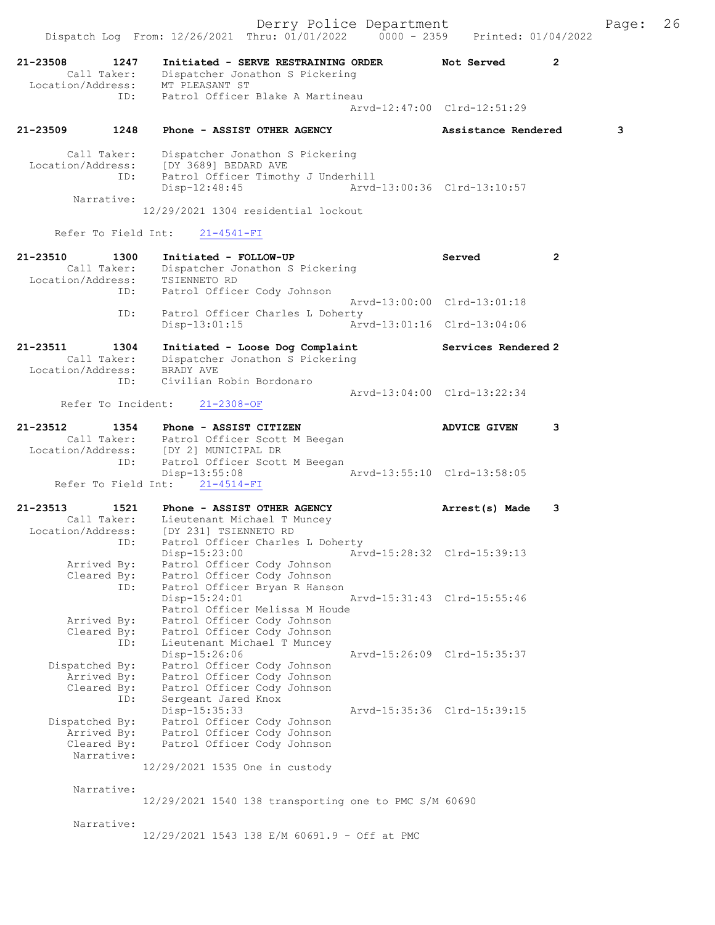|                               |                                          | Dispatch Log From: 12/26/2021 Thru: 01/01/2022 0000 - 2359 Printed: 01/04/2022                                                                                                                      | Derry Police Department     |                                                            |                | Page: | 26 |
|-------------------------------|------------------------------------------|-----------------------------------------------------------------------------------------------------------------------------------------------------------------------------------------------------|-----------------------------|------------------------------------------------------------|----------------|-------|----|
| 21-23508                      | 1247                                     | Initiated - SERVE RESTRAINING ORDER<br>Call Taker: Dispatcher Jonathon S Pickering<br>Location/Address: MT PLEASANT ST                                                                              |                             | Not Served                                                 | $\mathbf{2}$   |       |    |
|                               | ID:                                      | Patrol Officer Blake A Martineau                                                                                                                                                                    |                             | Arvd-12:47:00 Clrd-12:51:29                                |                |       |    |
| 21-23509                      | 1248                                     | Phone - ASSIST OTHER AGENCY                                                                                                                                                                         |                             | Assistance Rendered                                        |                | 3     |    |
|                               | Call Taker:<br>ID:<br>Narrative:         | Dispatcher Jonathon S Pickering<br>Location/Address: [DY 3689] BEDARD AVE<br>Patrol Officer Timothy J Underhill<br>Disp-12:48:45 Arvd-13:00:36 Clrd-13:10:57<br>12/29/2021 1304 residential lockout |                             |                                                            |                |       |    |
|                               |                                          | Refer To Field Int: 21-4541-FI                                                                                                                                                                      |                             |                                                            |                |       |    |
| 21-23510                      | 1300                                     | Initiated - FOLLOW-UP<br>Call Taker: Dispatcher Jonathon S Pickering<br>Location/Address: TSIENNETO RD                                                                                              |                             | Served                                                     | $\overline{2}$ |       |    |
|                               |                                          | ID: Patrol Officer Cody Johnson                                                                                                                                                                     |                             | Arvd-13:00:00 Clrd-13:01:18                                |                |       |    |
|                               | ID:                                      | Patrol Officer Charles L Doherty<br>Disp-13:01:15                                                                                                                                                   | Arvd-13:01:16 Clrd-13:04:06 |                                                            |                |       |    |
| 21-23511 1304                 |                                          | Initiated - Loose Dog Complaint<br>Call Taker: Dispatcher Jonathon S Pickering<br>Location/Address: BRADY AVE                                                                                       |                             | Services Rendered 2                                        |                |       |    |
|                               | ID:                                      | Civilian Robin Bordonaro<br>Refer To Incident: 21-2308-OF                                                                                                                                           |                             | Arvd-13:04:00 Clrd-13:22:34                                |                |       |    |
| 21-23512                      |                                          | 1354 Phone - ASSIST CITIZEN                                                                                                                                                                         |                             | ADVICE GIVEN                                               | 3              |       |    |
|                               | ID:                                      | Call Taker: Patrol Officer Scott M Beegan<br>Location/Address: [DY 2] MUNICIPAL DR<br>Patrol Officer Scott M Beegan<br>Disp-13:55:08                                                                | Arvd-13:55:10 Clrd-13:58:05 |                                                            |                |       |    |
|                               |                                          | Refer To Field Int: 21-4514-FI                                                                                                                                                                      |                             |                                                            |                |       |    |
| 21-23513<br>Location/Address: | 1521                                     | Phone - ASSIST OTHER AGENCY<br>Call Taker: Lieutenant Michael T Muncey<br>[DY 231] TSIENNETO RD<br>ID: Patrol Officer Charles L Doherty                                                             |                             | Arrest(s) Made                                             | 3              |       |    |
|                               | Arrived By:<br>Cleared By:<br>ID:        | Disp-15:23:00<br>Patrol Officer Cody Johnson<br>Patrol Officer Cody Johnson<br>Patrol Officer Bryan R Hanson<br>Disp-15:24:01                                                                       |                             | Arvd-15:28:32 Clrd-15:39:13<br>Arvd-15:31:43 Clrd-15:55:46 |                |       |    |
|                               | Arrived By:<br>Cleared By:<br>ID:        | Patrol Officer Melissa M Houde<br>Patrol Officer Cody Johnson<br>Patrol Officer Cody Johnson<br>Lieutenant Michael T Muncey                                                                         |                             |                                                            |                |       |    |
| Dispatched By:                | Arrived By:<br>Cleared By:<br>ID:        | Disp-15:26:06<br>Patrol Officer Cody Johnson<br>Patrol Officer Cody Johnson<br>Patrol Officer Cody Johnson<br>Sergeant Jared Knox                                                                   |                             | Arvd-15:26:09 Clrd-15:35:37                                |                |       |    |
| Dispatched By:                | Arrived By:<br>Cleared By:<br>Narrative: | Disp-15:35:33<br>Patrol Officer Cody Johnson<br>Patrol Officer Cody Johnson<br>Patrol Officer Cody Johnson                                                                                          |                             | Arvd-15:35:36 Clrd-15:39:15                                |                |       |    |
|                               |                                          | 12/29/2021 1535 One in custody                                                                                                                                                                      |                             |                                                            |                |       |    |
|                               | Narrative:                               | 12/29/2021 1540 138 transporting one to PMC S/M 60690                                                                                                                                               |                             |                                                            |                |       |    |
|                               | Narrative:                               | 12/29/2021 1543 138 E/M 60691.9 - Off at PMC                                                                                                                                                        |                             |                                                            |                |       |    |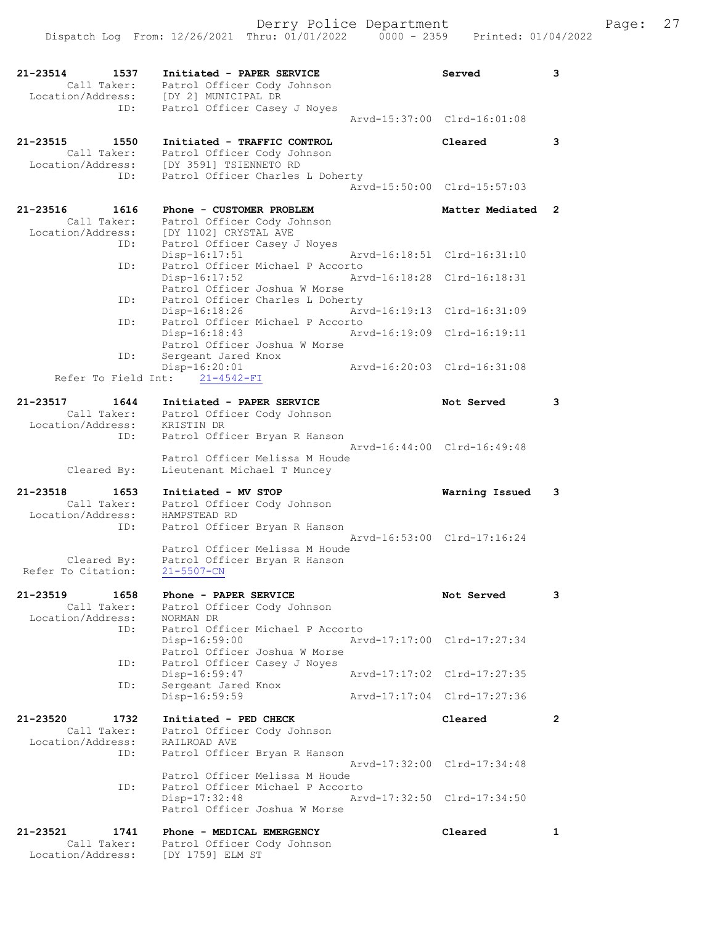| 21-23514<br>1537<br>Call Taker:<br>Location/Address: | Initiated - PAPER SERVICE<br>Patrol Officer Cody Johnson<br>[DY 2] MUNICIPAL DR  | Served                      | 3              |
|------------------------------------------------------|----------------------------------------------------------------------------------|-----------------------------|----------------|
| ID:                                                  | Patrol Officer Casey J Noyes                                                     | Arvd-15:37:00 Clrd-16:01:08 |                |
| 21-23515<br>1550                                     | Initiated - TRAFFIC CONTROL                                                      | Cleared                     | 3              |
| Call Taker:                                          | Patrol Officer Cody Johnson<br>[DY 3591] TSIENNETO RD                            |                             |                |
| Location/Address:<br>ID:                             | Patrol Officer Charles L Doherty                                                 |                             |                |
|                                                      |                                                                                  | Arvd-15:50:00 Clrd-15:57:03 |                |
| 21-23516<br>1616<br>Call Taker:<br>Location/Address: | Phone - CUSTOMER PROBLEM<br>Patrol Officer Cody Johnson<br>[DY 1102] CRYSTAL AVE | Matter Mediated             | 2              |
| ID:                                                  | Patrol Officer Casey J Noyes<br>Disp-16:17:51                                    | Arvd-16:18:51 Clrd-16:31:10 |                |
| ID:                                                  | Patrol Officer Michael P Accorto<br>Disp-16:17:52                                | Arvd-16:18:28 Clrd-16:18:31 |                |
|                                                      | Patrol Officer Joshua W Morse<br>Patrol Officer Charles L Doherty                |                             |                |
| ID:                                                  | Disp-16:18:26                                                                    | Arvd-16:19:13 Clrd-16:31:09 |                |
| ID:                                                  | Patrol Officer Michael P Accorto<br>Disp-16:18:43                                | Arvd-16:19:09 Clrd-16:19:11 |                |
| ID:                                                  | Patrol Officer Joshua W Morse<br>Sergeant Jared Knox                             |                             |                |
|                                                      | Disp-16:20:01                                                                    | Arvd-16:20:03 Clrd-16:31:08 |                |
|                                                      | Refer To Field Int: 21-4542-FI                                                   |                             |                |
| 21-23517<br>1644<br>Call Taker:                      | Initiated - PAPER SERVICE<br>Patrol Officer Cody Johnson                         | Not Served                  | 3              |
| Location/Address:                                    | KRISTIN DR                                                                       |                             |                |
| ID:                                                  | Patrol Officer Bryan R Hanson                                                    | Arvd-16:44:00 Clrd-16:49:48 |                |
| Cleared By:                                          | Patrol Officer Melissa M Houde<br>Lieutenant Michael T Muncey                    |                             |                |
| $21 - 23518$<br>1653                                 | Initiated - MV STOP                                                              | Warning Issued              | 3              |
| Call Taker:                                          | Patrol Officer Cody Johnson                                                      |                             |                |
| Location/Address:<br>ID:                             | HAMPSTEAD RD<br>Patrol Officer Bryan R Hanson                                    |                             |                |
|                                                      | Patrol Officer Melissa M Houde                                                   | Arvd-16:53:00 Clrd-17:16:24 |                |
| Cleared By:                                          | Patrol Officer Bryan R Hanson                                                    |                             |                |
| Refer To Citation:                                   | $21 - 5507 - CN$                                                                 |                             |                |
| 21-23519<br>1658<br>Call Taker:                      | Phone - PAPER SERVICE<br>Patrol Officer Cody Johnson                             | Not Served                  | 3              |
| Location/Address:                                    | NORMAN DR                                                                        |                             |                |
| ID:                                                  | Patrol Officer Michael P Accorto<br>Disp-16:59:00                                | Arvd-17:17:00 Clrd-17:27:34 |                |
| ID:                                                  | Patrol Officer Joshua W Morse<br>Patrol Officer Casey J Noyes                    |                             |                |
|                                                      | Disp-16:59:47                                                                    | Arvd-17:17:02 Clrd-17:27:35 |                |
| ID:                                                  | Sergeant Jared Knox<br>Disp-16:59:59                                             | Arvd-17:17:04 Clrd-17:27:36 |                |
| 21-23520<br>1732                                     | Initiated - PED CHECK                                                            | Cleared                     | $\overline{2}$ |
| Call Taker:                                          | Patrol Officer Cody Johnson                                                      |                             |                |
| Location/Address:<br>ID:                             | RAILROAD AVE<br>Patrol Officer Bryan R Hanson                                    |                             |                |
|                                                      | Patrol Officer Melissa M Houde                                                   | Arvd-17:32:00 Clrd-17:34:48 |                |
| ID:                                                  | Patrol Officer Michael P Accorto<br>Disp-17:32:48                                | Arvd-17:32:50 Clrd-17:34:50 |                |
|                                                      | Patrol Officer Joshua W Morse                                                    |                             |                |
| 21-23521<br>1741                                     | Phone - MEDICAL EMERGENCY                                                        | Cleared                     | 1              |
| Call Taker:<br>Location/Address:                     | Patrol Officer Cody Johnson<br>[DY 1759] ELM ST                                  |                             |                |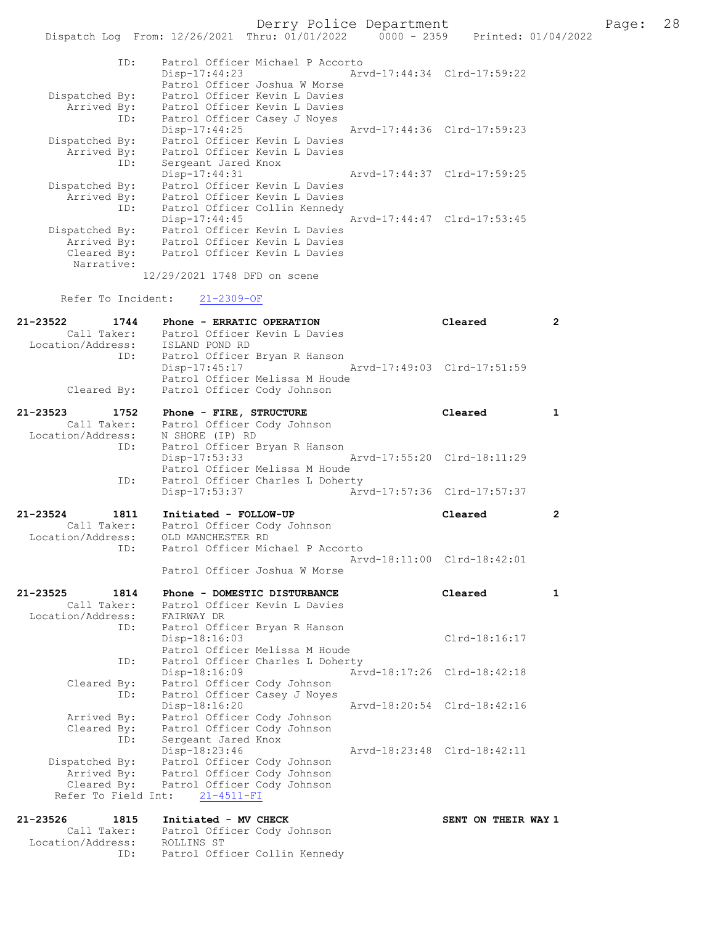Derry Police Department Fage: 28

|                                  | Dispatch Log From: 12/26/2021 Thru: 01/01/2022<br>$0000 - 2359$ |                             | Printed: 01/04/2022 |
|----------------------------------|-----------------------------------------------------------------|-----------------------------|---------------------|
| ID:                              | Patrol Officer Michael P Accorto                                |                             |                     |
|                                  | Disp-17:44:23                                                   | Arvd-17:44:34 Clrd-17:59:22 |                     |
|                                  | Patrol Officer Joshua W Morse                                   |                             |                     |
| Dispatched By:                   | Patrol Officer Kevin L Davies                                   |                             |                     |
| Arrived By:                      | Patrol Officer Kevin L Davies                                   |                             |                     |
| ID:                              | Patrol Officer Casey J Noyes                                    |                             |                     |
|                                  | $Disp-17:44:25$                                                 | Arvd-17:44:36 Clrd-17:59:23 |                     |
| Dispatched By:                   | Patrol Officer Kevin L Davies                                   |                             |                     |
| Arrived By:                      | Patrol Officer Kevin L Davies                                   |                             |                     |
| ID:                              | Sergeant Jared Knox<br>Disp-17:44:31                            | Arvd-17:44:37 Clrd-17:59:25 |                     |
| Dispatched By:                   | Patrol Officer Kevin L Davies                                   |                             |                     |
| Arrived By:                      | Patrol Officer Kevin L Davies                                   |                             |                     |
| ID:                              | Patrol Officer Collin Kennedy                                   |                             |                     |
|                                  | Disp-17:44:45                                                   | Arvd-17:44:47 Clrd-17:53:45 |                     |
|                                  | Dispatched By: Patrol Officer Kevin L Davies                    |                             |                     |
| Arrived By:                      | Patrol Officer Kevin L Davies                                   |                             |                     |
| Cleared By:                      | Patrol Officer Kevin L Davies                                   |                             |                     |
| Narrative:                       |                                                                 |                             |                     |
|                                  | 12/29/2021 1748 DFD on scene                                    |                             |                     |
| Refer To Incident:               | $21 - 2309 - OF$                                                |                             |                     |
| 21-23522<br>1744                 | Phone - ERRATIC OPERATION                                       | Cleared                     | $\mathbf{2}$        |
| Call Taker:                      | Patrol Officer Kevin L Davies                                   |                             |                     |
| Location/Address: ISLAND POND RD |                                                                 |                             |                     |
| ID:                              | Patrol Officer Bryan R Hanson                                   |                             |                     |
|                                  | Disp-17:45:17                                                   | Arvd-17:49:03 Clrd-17:51:59 |                     |
|                                  | Patrol Officer Melissa M Houde                                  |                             |                     |
| Cleared By:                      | Patrol Officer Cody Johnson                                     |                             |                     |
| 21-23523<br>1752                 | Phone - FIRE, STRUCTURE                                         | Cleared                     | 1                   |
| Call Taker:                      | Patrol Officer Cody Johnson                                     |                             |                     |
| Location/Address:                | N SHORE (IP) RD                                                 |                             |                     |
| ID:                              | Patrol Officer Bryan R Hanson                                   |                             |                     |
|                                  | Disp-17:53:33                                                   | Arvd-17:55:20 Clrd-18:11:29 |                     |
|                                  | Patrol Officer Melissa M Houde                                  |                             |                     |
| ID:                              | Patrol Officer Charles L Doherty                                | Arvd-17:57:36 Clrd-17:57:37 |                     |
|                                  | Disp-17:53:37                                                   |                             |                     |
| 21-23524<br>1811                 | Initiated - FOLLOW-UP                                           | Cleared                     | $\mathbf{2}$        |
| Call Taker:                      | Patrol Officer Cody Johnson                                     |                             |                     |
| Location/Address:                | OLD MANCHESTER RD                                               |                             |                     |
| ID:                              | Patrol Officer Michael P Accorto                                |                             |                     |
|                                  |                                                                 | Arvd-18:11:00 Clrd-18:42:01 |                     |
|                                  | Patrol Officer Joshua W Morse                                   |                             |                     |
| 21-23525<br>1814                 | Phone - DOMESTIC DISTURBANCE                                    | Cleared                     | $\mathbf{1}$        |
| Call Taker:                      | Patrol Officer Kevin L Davies                                   |                             |                     |
| Location/Address:                | FAIRWAY DR                                                      |                             |                     |
| ID:                              | Patrol Officer Bryan R Hanson                                   |                             |                     |
|                                  | $Disp-18:16:03$                                                 | $Clrd-18:16:17$             |                     |
|                                  | Patrol Officer Melissa M Houde                                  |                             |                     |
| ID:                              | Patrol Officer Charles L Doherty                                |                             |                     |
|                                  | Disp-18:16:09                                                   | Arvd-18:17:26 Clrd-18:42:18 |                     |
| Cleared By:                      | Patrol Officer Cody Johnson                                     |                             |                     |
| ID:                              | Patrol Officer Casey J Noyes                                    | Arvd-18:20:54 Clrd-18:42:16 |                     |
| Arrived By:                      | Disp-18:16:20<br>Patrol Officer Cody Johnson                    |                             |                     |
| Cleared By:                      | Patrol Officer Cody Johnson                                     |                             |                     |
| ID:                              | Sergeant Jared Knox                                             |                             |                     |
|                                  | Disp-18:23:46                                                   | Arvd-18:23:48 Clrd-18:42:11 |                     |
| Dispatched By:                   | Patrol Officer Cody Johnson                                     |                             |                     |
| Arrived By:                      | Patrol Officer Cody Johnson                                     |                             |                     |
| Cleared By:                      | Patrol Officer Cody Johnson                                     |                             |                     |
| Refer To Field Int:              | $21 - 4511 - FI$                                                |                             |                     |
| 21-23526<br>1815                 | Initiated - MV CHECK                                            | SENT ON THEIR WAY 1         |                     |
| Call Taker:                      | Patrol Officer Cody Johnson                                     |                             |                     |
| Location/Address:                | ROLLINS ST                                                      |                             |                     |

ID: Patrol Officer Collin Kennedy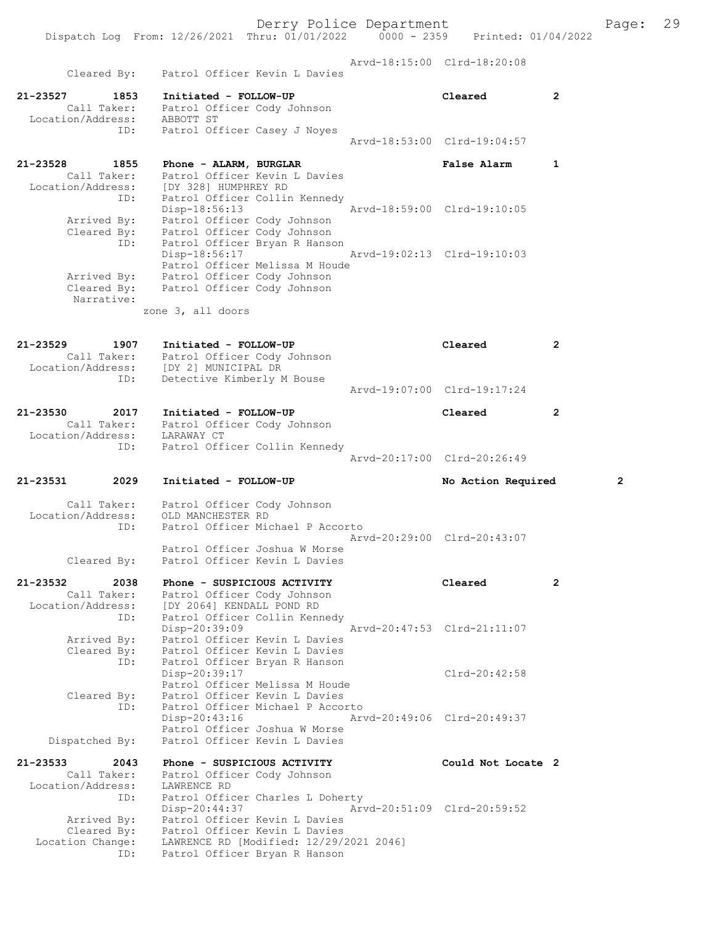Derry Police Department Fage: 29 Dispatch Log From: 12/26/2021 Thru: 01/01/2022 0000 - 2359 Printed: 01/04/2022 Arvd-18:15:00 Clrd-18:20:08 Cleared By: Patrol Officer Kevin L Davies 21-23527 1853 Initiated - FOLLOW-UP Cleared 2 Call Taker: Patrol Officer Cody Johnson Location/Address: ABBOTT ST ID: Patrol Officer Casey J Noyes Arvd-18:53:00 Clrd-19:04:57 21-23528 1855 Phone - ALARM, BURGLAR False Alarm 1 Call Taker: Patrol Officer Kevin L Davies Location/Address: [DY 328] HUMPHREY RD ID: Patrol Officer Collin Kennedy Disp-18:56:13 Arvd-18:59:00 Clrd-19:10:05 Arrived By: Patrol Officer Cody Johnson Cleared By: Patrol Officer Cody Johnson ID: Patrol Officer Bryan R Hanson Disp-18:56:17 Arvd-19:02:13 Clrd-19:10:03 Patrol Officer Melissa M Houde Arrived By: Patrol Officer Cody Johnson Cleared By: Patrol Officer Cody Johnson Narrative: zone 3, all doors 21-23529 1907 Initiated - FOLLOW-UP Cleared 2 Call Taker: Patrol Officer Cody Johnson Location/Address: [DY 2] MUNICIPAL DR ID: Detective Kimberly M Bouse Arvd-19:07:00 Clrd-19:17:24 21-23530 2017 Initiated - FOLLOW-UP Cleared 2 Call Taker: Patrol Officer Cody Johnson Location/Address: LARAWAY CT ID: Patrol Officer Collin Kennedy Arvd-20:17:00 Clrd-20:26:49 21-23531 2029 Initiated - FOLLOW-UP No Action Required 2 Call Taker: Patrol Officer Cody Johnson Location/Address: OLD MANCHESTER RD ID: Patrol Officer Michael P Accorto Arvd-20:29:00 Clrd-20:43:07 Patrol Officer Joshua W Morse Cleared By: Patrol Officer Kevin L Davies 21-23532 2038 Phone - SUSPICIOUS ACTIVITY Cleared 2 Call Taker: Patrol Officer Cody Johnson Location/Address: [DY 2064] KENDALL POND RD ID: Patrol Officer Collin Kennedy Disp-20:39:09 Arvd-20:47:53 Clrd-21:11:07 Arrived By: Patrol Officer Kevin L Davies Cleared By: Patrol Officer Kevin L Davies ID: Patrol Officer Bryan R Hanson Disp-20:39:17 Clrd-20:42:58 Patrol Officer Melissa M Houde Cleared By: Patrol Officer Kevin L Davies ID: Patrol Officer Michael P Accorto Disp-20:43:16 Arvd-20:49:06 Clrd-20:49:37 Patrol Officer Joshua W Morse Dispatched By: Patrol Officer Kevin L Davies 21-23533 2043 Phone - SUSPICIOUS ACTIVITY Could Not Locate 2 Call Taker: Patrol Officer Cody Johnson Location/Address: LAWRENCE RD ID: Patrol Officer Charles L Doherty<br>Disp-20:44:37 Arvd-20:51:09 Clrd-20:59:52 Disp-20:44:37 Arvd-20:51:09 Clrd-20:59:52 Arrived By: Patrol Officer Kevin L Davies Cleared By: Patrol Officer Kevin L Davies Location Change: LAWRENCE RD [Modified: 12/29/2021 2046]

ID: Patrol Officer Bryan R Hanson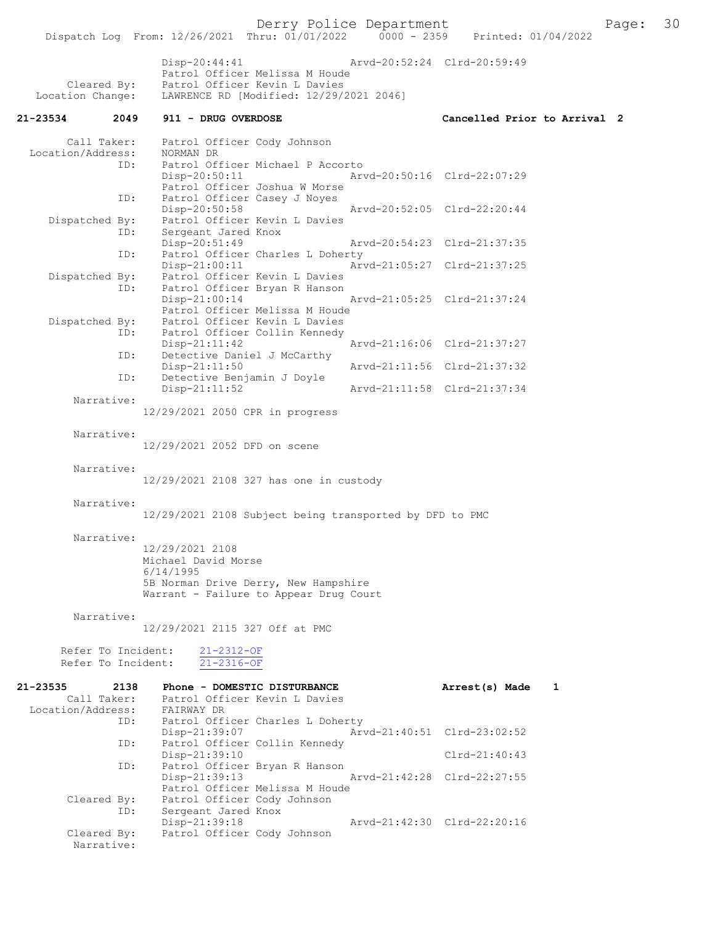Derry Police Department<br>
Page: 30 Printed: 01/04/2022<br>
Printed: 01/04/2022 Dispatch Log From: 12/26/2021 Thru: 01/01/2022 Disp-20:44:41 Arvd-20:52:24 Clrd-20:59:49 Patrol Officer Melissa M Houde<br>Cleared By: Patrol Officer Kevin L Davies Cleared By: Patrol Officer Kevin L Davies<br>Location Change: LAWRENCE RD [Modified: 12/29/ LAWRENCE RD [Modified: 12/29/2021 2046] 21-23534 2049 911 - DRUG OVERDOSE Cancelled Prior to Arrival 2 Call Taker: Patrol Officer Cody Johnson<br>.on/Address: NORMAN DR Location/Address: ID: Patrol Officer Michael P Accorto<br>Disp-20:50:11 Ar Arvd-20:50:16 Clrd-22:07:29 Patrol Officer Joshua W Morse<br>ID: Patrol Officer Casev J Noves Patrol Officer Casey J Noyes<br>Disp-20:50:58 Disp-20:50:58 Arvd-20:52:05 Clrd-22:20:44 Dispatched By: Patrol Officer Kevin L Davies<br>ID: Sergeant Jared Knox Sergeant Jared Knox<br>Disp-20:51:49 Disp-20:51:49 Arvd-20:54:23 Clrd-21:37:35<br>The Patrol Officer Charles L Doberty Patrol Officer Charles L Doherty<br>Disp-21:00:11 Ary Arvd-21:05:27 Clrd-21:37:25 Dispatched By: Patrol Officer Kevin L Davies<br>TD: Patrol Officer Bryan R Hanson Patrol Officer Bryan R Hanson<br>Disp-21:00:14 Disp-21:00:14 Arvd-21:05:25 Clrd-21:37:24 Patrol Officer Melissa M Houde Dispatched By: Patrol Officer Kevin L Davies ID: Patrol Officer Collin Kennedy Disp-21:11:42 Arvd-21:16:06 Clrd-21:37:27<br>TD: Detective Daniel J McCarthy Detective Daniel J McCarthy<br>Disp-21:11:50 Disp-21:11:50 Arvd-21:11:56 Clrd-21:37:32<br>ID: Detective Benjamin J Doyle Detective Benjamin J Doyle Disp-21:11:52 Arvd-21:11:58 Clrd-21:37:34 Narrative: 12/29/2021 2050 CPR in progress Narrative: 12/29/2021 2052 DFD on scene Narrative: 12/29/2021 2108 327 has one in custody Narrative: 12/29/2021 2108 Subject being transported by DFD to PMC Narrative: 12/29/2021 2108 Michael David Morse 6/14/1995 5B Norman Drive Derry, New Hampshire Warrant - Failure to Appear Drug Court Narrative: 12/29/2021 2115 327 Off at PMC Refer To Incident: 21-2312-OF Refer To Incident: 21-2316-OF 21-23535 2138 Phone - DOMESTIC DISTURBANCE Arrest(s) Made 1 Call Taker: Patrol Officer Kevin L Davies Location/Address:<br>ID: ID: Patrol Officer Charles L Doherty Disp-21:39:07 Arvd-21:40:51 Clrd-23:02:52<br>TD: Patrol Officer Collin Kennedy Patrol Officer Collin Kennedy Disp-21:39:10 Clrd-21:40:43 ID: Patrol Officer Bryan R Hanson<br>Disp-21:39:13 Arvd-21:42:28 Clrd-22:27:55 Patrol Officer Melissa M Houde<br>Cleared By: Patrol Officer Cody Johnson Patrol Officer Cody Johnson ID: Sergeant Jared Knox<br>Disp-21:39:18 Disp-21:39:18 Arvd-21:42:30 Clrd-22:20:16<br>Cleared By: Patrol Officer Cody Johnson Patrol Officer Cody Johnson

Narrative: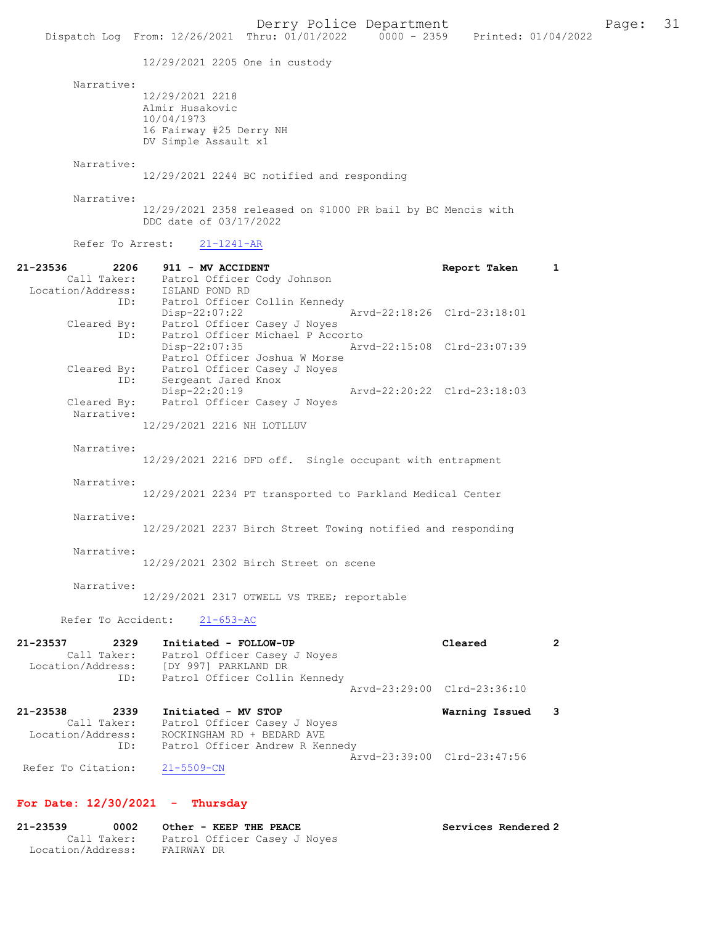12/29/2021 2205 One in custody

Narrative:

12/29/2021 2218 Almir Husakovic 10/04/1973 16 Fairway #25 Derry NH DV Simple Assault x1

Narrative:

12/29/2021 2244 BC notified and responding

Narrative:

12/29/2021 2358 released on \$1000 PR bail by BC Mencis with DDC date of 03/17/2022

Refer To Arrest: 21-1241-AR

| 21-23536<br>2206     | 911 - MV ACCIDENT                                           | Report Taken                | $\mathbf{1}$   |
|----------------------|-------------------------------------------------------------|-----------------------------|----------------|
| Call Taker:          | Patrol Officer Cody Johnson                                 |                             |                |
| Location/Address:    | ISLAND POND RD                                              |                             |                |
| ID:                  | Patrol Officer Collin Kennedy                               |                             |                |
|                      | Disp-22:07:22                                               | Arvd-22:18:26 Clrd-23:18:01 |                |
| Cleared By:          | Patrol Officer Casey J Noyes                                |                             |                |
| ID:                  | Patrol Officer Michael P Accorto                            |                             |                |
|                      | Disp-22:07:35                                               | Arvd-22:15:08 Clrd-23:07:39 |                |
|                      | Patrol Officer Joshua W Morse                               |                             |                |
| Cleared By:          | Patrol Officer Casey J Noyes                                |                             |                |
| ID:                  | Sergeant Jared Knox                                         |                             |                |
|                      | Disp-22:20:19                                               | Arvd-22:20:22 Clrd-23:18:03 |                |
| Cleared By:          | Patrol Officer Casey J Noyes                                |                             |                |
| Narrative:           |                                                             |                             |                |
|                      | 12/29/2021 2216 NH LOTLLUV                                  |                             |                |
|                      |                                                             |                             |                |
| Narrative:           |                                                             |                             |                |
|                      |                                                             |                             |                |
|                      | 12/29/2021 2216 DFD off. Single occupant with entrapment    |                             |                |
|                      |                                                             |                             |                |
| Narrative:           |                                                             |                             |                |
|                      | 12/29/2021 2234 PT transported to Parkland Medical Center   |                             |                |
|                      |                                                             |                             |                |
| Narrative:           |                                                             |                             |                |
|                      | 12/29/2021 2237 Birch Street Towing notified and responding |                             |                |
|                      |                                                             |                             |                |
| Narrative:           |                                                             |                             |                |
|                      | 12/29/2021 2302 Birch Street on scene                       |                             |                |
|                      |                                                             |                             |                |
| Narrative:           |                                                             |                             |                |
|                      | 12/29/2021 2317 OTWELL VS TREE; reportable                  |                             |                |
|                      |                                                             |                             |                |
| Refer To Accident:   | $21 - 653 - AC$                                             |                             |                |
|                      |                                                             |                             |                |
| $21 - 23537$<br>2329 | Initiated - FOLLOW-UP                                       | Cleared                     | $\overline{2}$ |
| Call Taker:          | Patrol Officer Casey J Noyes                                |                             |                |
| Location/Address:    | [DY 997] PARKLAND DR                                        |                             |                |
| ID:                  | Patrol Officer Collin Kennedy                               |                             |                |
|                      |                                                             | Arvd-23:29:00 Clrd-23:36:10 |                |
|                      |                                                             |                             |                |
| 21-23538<br>2339     | Initiated - MV STOP                                         | Warning Issued              | 3              |
| Call Taker:          | Patrol Officer Casey J Noyes                                |                             |                |
| Location/Address:    | ROCKINGHAM RD + BEDARD AVE                                  |                             |                |
| ID:                  | Patrol Officer Andrew R Kennedy                             |                             |                |
|                      |                                                             | Arvd-23:39:00 Clrd-23:47:56 |                |
| Refer To Citation:   | $21 - 5509 - CN$                                            |                             |                |

# For Date: 12/30/2021 - Thursday

| 21-23539          | 0002        | Other - KEEP THE PEACE       | Services Rendered 2 |
|-------------------|-------------|------------------------------|---------------------|
|                   | Call Taker: | Patrol Officer Casey J Noyes |                     |
| Location/Address: |             | FAIRWAY DR                   |                     |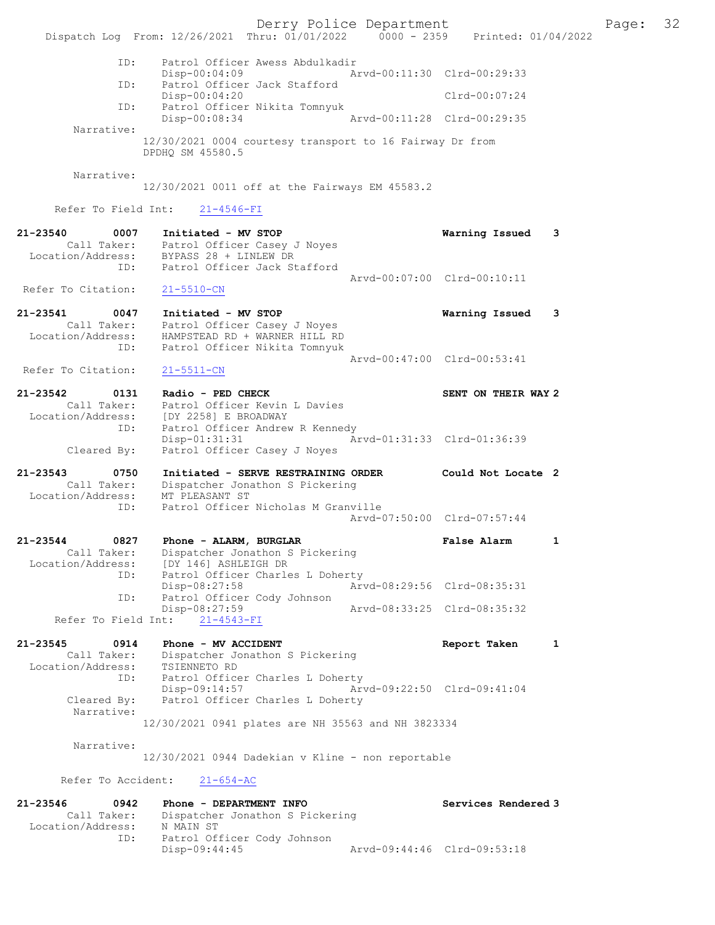Derry Police Department Fage: 32 Dispatch Log From: 12/26/2021 Thru: 01/01/2022 0000 - 2359 Printed: 01/04/2022 ID: Patrol Officer Awess Abdulkadir Disp-00:04:09 Arvd-00:11:30 Clrd-00:29:33<br>TD: Patrol Officer Jack Stafford ID: Patrol Officer Jack Stafford Disp-00:04:20 Clrd-00:07:24 ID: Patrol Officer Nikita Tomnyuk Arvd-00:11:28 Clrd-00:29:35 Narrative: 12/30/2021 0004 courtesy transport to 16 Fairway Dr from DPDHQ SM 45580.5 Narrative: 12/30/2021 0011 off at the Fairways EM 45583.2 Refer To Field Int: 21-4546-FI 21-23540 0007 Initiated - MV STOP Warning Issued 3 Call Taker: Patrol Officer Casey J Noyes Location/Address: BYPASS 28 + LINLEW DR ID: Patrol Officer Jack Stafford Arvd-00:07:00 Clrd-00:10:11 Refer To Citation: 21-5510-CN 21-23541 0047 Initiated - MV STOP Warning Issued 3 Call Taker: Patrol Officer Casey J Noyes Location/Address: HAMPSTEAD RD + WARNER HILL RD ID: Patrol Officer Nikita Tomnyuk Arvd-00:47:00 Clrd-00:53:41<br>
21-5511-CN Refer To Citation: 21-23542 0131 Radio - PED CHECK SENT ON THEIR WAY 2 Call Taker: Patrol Officer Kevin L Davies Location/Address: [DY 2258] E BROADWAY ID: Patrol Officer Andrew R Kennedy Disp-01:31:31 Arvd-01:31:33 Clrd-01:36:39 Cleared By: Patrol Officer Casey J Noyes 21-23543 0750 Initiated - SERVE RESTRAINING ORDER Could Not Locate 2 Call Taker: Dispatcher Jonathon S Pickering Location/Address: MT PLEASANT ST ID: Patrol Officer Nicholas M Granville Arvd-07:50:00 Clrd-07:57:44 21-23544 0827 Phone - ALARM, BURGLAR False Alarm 1 Call Taker: Dispatcher Jonathon S Pickering Location/Address: [DY 146] ASHLEIGH DR ID: Patrol Officer Charles L Doherty Disp-08:27:58 Arvd-08:29:56 Clrd-08:35:31<br>ID: Patrol Officer Cody Johnson Disprovizitor<br>Patrol Officer Cody Johnson<br>Disp-08:27:59 Arvd-08:33:25 Clrd-08:35:32 Refer To Field Int: 21-4543-FI 21-23545 0914 Phone - MV ACCIDENT Report Taken 1 Call Taker: Dispatcher Jonathon S Pickering Location/Address: TSIENNETO RD ID: Patrol Officer Charles L Doherty Disp-09:14:57 Arvd-09:22:50 Clrd-09:41:04<br>Cleared By: Patrol Officer Charles L Doherty Patrol Officer Charles L Doherty Narrative: 12/30/2021 0941 plates are NH 35563 and NH 3823334 Narrative: 12/30/2021 0944 Dadekian v Kline - non reportable Refer To Accident: 21-654-AC 21-23546 0942 Phone - DEPARTMENT INFO Services Rendered 3 Call Taker: Dispatcher Jonathon S Pickering Location/Address: ess: N MAIN ST<br>ID: Patrol Officer Cody Johnson<br>Disp-09:44:45 Disp-09:44:45 Arvd-09:44:46 Clrd-09:53:18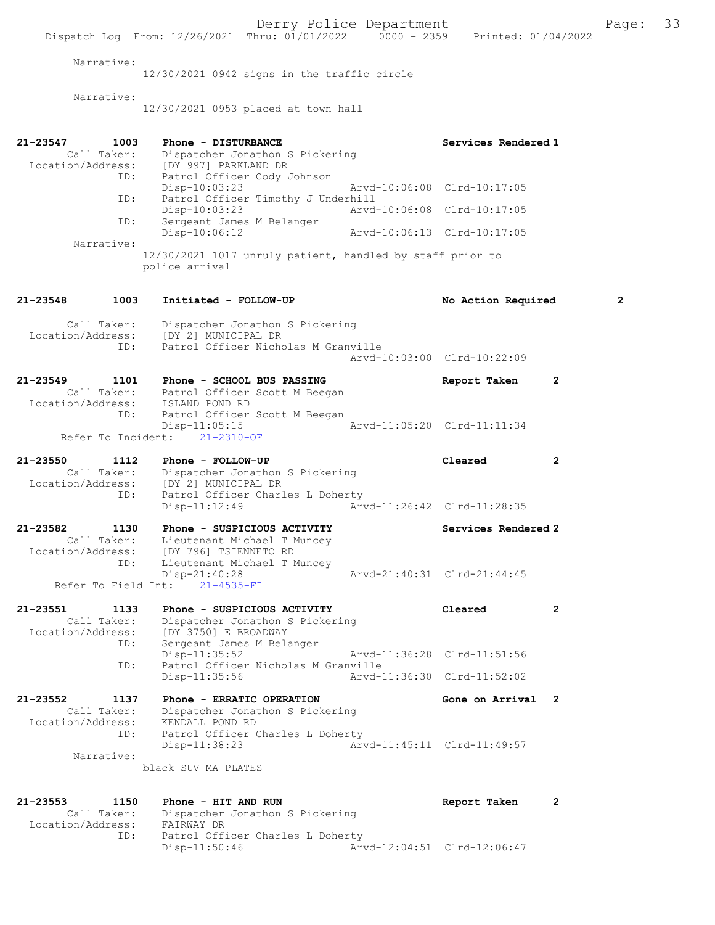Derry Police Department Fage: 33 Dispatch Log From: 12/26/2021 Thru: 01/01/2022 0000 - 2359 Printed: 01/04/2022 Narrative: 12/30/2021 0942 signs in the traffic circle Narrative: 12/30/2021 0953 placed at town hall 21-23547 1003 Phone - DISTURBANCE Call Taker: Dispatcher Jonathon S Pickering Services Rendered 1 Call Taker: Dispatcher Jonathon S Pickering Location/Address: [DY 997] PARKLAND DR ID: Patrol Officer Cody Johnson Disp-10:03:23 Arvd-10:06:08 Clrd-10:17:05<br>ID: Patrol Officer Timothy J Underhill Patrol Officer Timothy J Underhill<br>Disp-10:03:23 Arvd Disp-10:03:23 Arvd-10:06:08 Clrd-10:17:05 ID: Sergeant James M Belanger Disp-10:06:12 Arvd-10:06:13 Clrd-10:17:05 Narrative: 12/30/2021 1017 unruly patient, handled by staff prior to police arrival 21-23548 1003 Initiated - FOLLOW-UP No Action Required 2 Call Taker: Dispatcher Jonathon S Pickering Location/Address: [DY 2] MUNICIPAL DR ID: Patrol Officer Nicholas M Granville Arvd-10:03:00 Clrd-10:22:09 21-23549 1101 Phone - SCHOOL BUS PASSING Report Taken 2 Call Taker: Patrol Officer Scott M Beegan Location/Address: ISLAND POND RD ID: Patrol Officer Scott M Beegan<br>Disp-11:05:15 Disp-11:05:15 Arvd-11:05:20 Clrd-11:11:34 Refer To Incident: 21-2310-OF 21-23550 1112 Phone - FOLLOW-UP Cleared 2 Call Taker: Dispatcher Jonathon S Pickering Location/Address: [DY 2] MUNICIPAL DR ID: Patrol Officer Charles L Doherty<br>Disp-11:12:49 Arv Arvd-11:26:42 Clrd-11:28:35 21-23582 1130 Phone - SUSPICIOUS ACTIVITY Services Rendered 2 Call Taker: Lieutenant Michael T Muncey Location/Address: [DY 796] TSIENNETO RD ID: Lieutenant Michael T Muncey<br>Disp-21:40:28 Disp-21:40:28 Arvd-21:40:31 Clrd-21:44:45 Refer To Field Int: 21-4535-FI 21-23551 1133 Phone - SUSPICIOUS ACTIVITY Cleared 2 Call Taker: Dispatcher Jonathon S Pickering Location/Address: [DY 3750] E BROADWAY Sergeant James M Belanger<br>Disp-11:35:52 Disp-11:35:52 Arvd-11:36:28 Clrd-11:51:56<br>TD: Patrol Officer Nicholas M Granville Patrol Officer Nicholas M Granville Disp-11:35:56 Arvd-11:36:30 Clrd-11:52:02 21-23552 1137 Phone - ERRATIC OPERATION Gone on Arrival 2 Call Taker: Dispatcher Jonathon S Pickering Location/Address:<br>ID: KENDALL POND RD<br>Patrol Officer Charles L Doherty<br>Disp-11:38:23 Arw Disp-11:38:23 Arvd-11:45:11 Clrd-11:49:57 Narrative:

black SUV MA PLATES

#### 21-23553 1150 Phone - HIT AND RUN Report Taken 2 Call Taker: Dispatcher Jonathon S Pickering Location/Address: FAIRWAY DR ID: Patrol Officer Charles L Doherty<br>Disp-11:50:46 Arv Arvd-12:04:51 Clrd-12:06:47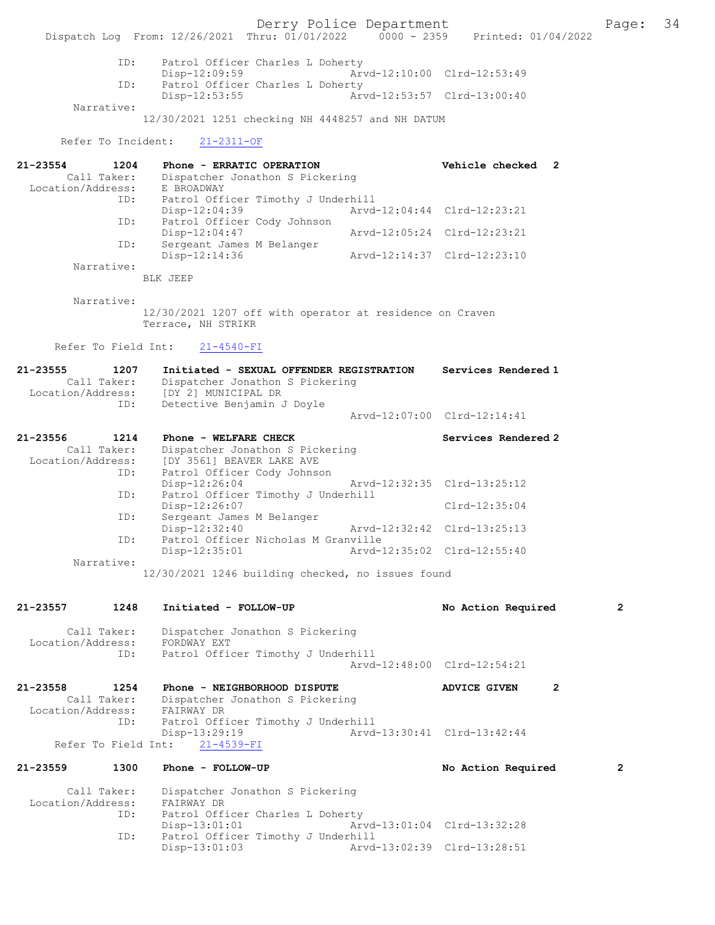Derry Police Department Fage: 34 Dispatch Log From: 12/26/2021 Thru: 01/01/2022 0000 - 2359 Printed: 01/04/2022 ID: Patrol Officer Charles L Doherty Disp-12:09:59 Arvd-12:10:00 Clrd-12:53:49<br>TD: Patrol Officer Charles L Doberty Patrol Officer Charles L Doherty<br>Disp-12:53:55 Art Disp-12:53:55 Arvd-12:53:57 Clrd-13:00:40 Narrative: 12/30/2021 1251 checking NH 4448257 and NH DATUM Refer To Incident: 21-2311-OF 21-23554 1204 Phone - ERRATIC OPERATION Vehicle checked 2 Call Taker: Dispatcher Jonathon S Pickering<br>ion/Address: E BROADWAY Location/Address:<br>ID: Patrol Officer Timothy J Underhill<br>Disp-12:04:39 Arvd-Disp-12:04:39 <br>
Disp-12:04:39 <br>
Disposition Displaced Cody Johnson<br>
Disposition Disposition Disposition Disposition Disposition Disposition Disposition Disposition Disposition Disposition Disposition Disposition Dispositio Patrol Officer Cody Johnson Disp-12:04:47 Arvd-12:05:24 Clrd-12:23:21<br>TD: Sergeant James M Belanger Sergeant James M Belanger<br>Disp-12:14:36 Arvd-12:14:37 Clrd-12:23:10 Narrative: BLK JEEP Narrative: 12/30/2021 1207 off with operator at residence on Craven Terrace, NH STRIKR Refer To Field Int: 21-4540-FI 21-23555 1207 Initiated - SEXUAL OFFENDER REGISTRATION Services Rendered 1 Call Taker: Dispatcher Jonathon S Pickering Location/Address: [DY 2] MUNICIPAL DR ID: Detective Benjamin J Doyle Arvd-12:07:00 Clrd-12:14:41 21-23556 1214 Phone - WELFARE CHECK Services Rendered 2 Call Taker: Dispatcher Jonathon S Pickering Location/Address: [DY 3561] BEAVER LAKE AVE ID: Patrol Officer Cody Johnson Arvd-12:32:35 Clrd-13:25:12 ID: Patrol Officer Timothy J Underhill Disp-12:26:07 Clrd-12:35:04 ID: Sergeant James M Belanger<br>Disp-12:32:40 Disp-12:32:40 Arvd-12:32:42 Clrd-13:25:13<br>ID: Patrol Officer Nicholas M Granville ID: Patrol Officer Nicholas M Granville Disp-12:35:01 Arvd-12:35:02 Clrd-12:55:40 Narrative: 12/30/2021 1246 building checked, no issues found 21-23557 1248 Initiated - FOLLOW-UP No Action Required 2 Call Taker: Dispatcher Jonathon S Pickering Location/Address: FORDWAY EXT ID: Patrol Officer Timothy J Underhill Arvd-12:48:00 Clrd-12:54:21 21-23558 1254 Phone - NEIGHBORHOOD DISPUTE ADVICE GIVEN 2 Call Taker: Dispatcher Jonathon S Pickering Location/Address: FAIRWAY DR ID: Patrol Officer Timothy J Underhill Disp-13:29:19 Arvd-13:30:41 Clrd-13:42:44 Refer To Field Int: 21-4539-FI 21-23559 1300 Phone - FOLLOW-UP No Action Required 2 Call Taker: Dispatcher Jonathon S Pickering<br>ion/Address: FAIRWAY DR Location/Address:<br>TD: Patrol Officer Charles L Doherty Disp-13:01:01 Arvd-13:01:04 Clrd-13:32:28 ID: Patrol Officer Timothy J Underhill<br>Disp-13:01:03 Arvd Arvd-13:02:39 Clrd-13:28:51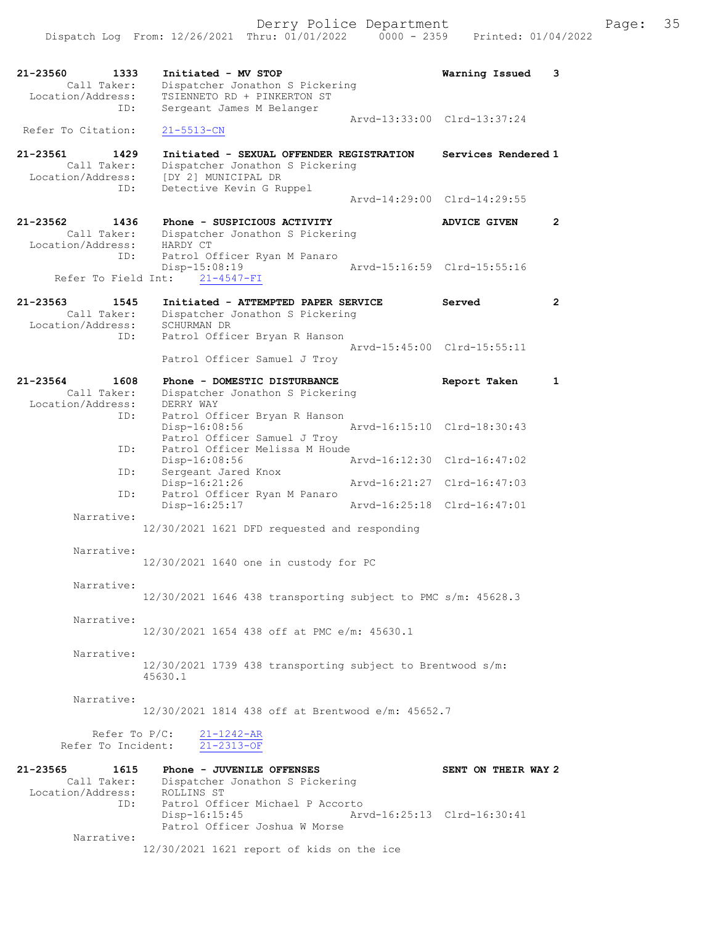Refer To Citation: 21-5513-CN 21-23561 1429 Initiated - SEXUAL OFFENDER REGISTRATION Services Rendered 1 Call Taker: Dispatcher Jonathon S Pickering Location/Address: [DY 2] MUNICIPAL DR ID: Detective Kevin G Ruppel Arvd-14:29:00 Clrd-14:29:55 21-23562 1436 Phone - SUSPICIOUS ACTIVITY ADVICE GIVEN 2 Call Taker: Dispatcher Jonathon S Pickering Location/Address: HARDY CT ID: Patrol Officer Ryan M Panaro<br>Disp-15:08:19 Arvd-15:16:59 Clrd-15:55:16 Refer To Field Int: 21-4547-FI 21-23563 1545 Initiated - ATTEMPTED PAPER SERVICE Served 2 Call Taker: Dispatcher Jonathon S Pickering Location/Address: SCHURMAN DR ID: Patrol Officer Bryan R Hanson Arvd-15:45:00 Clrd-15:55:11 Patrol Officer Samuel J Troy 21-23564 1608 Phone - DOMESTIC DISTURBANCE Report Taken 1 Call Taker: Dispatcher Jonathon S Pickering Location/Address: DERRY WAY ID: Patrol Officer Bryan R Hanson Disp-16:08:56 Arvd-16:15:10 Clrd-18:30:43 Patrol Officer Samuel J Troy ID: Patrol Officer Melissa M Houde Disp-16:08:56 Arvd-16:12:30 Clrd-16:47:02 ID: Sergeant Jared Knox Disp-16:21:26 Arvd-16:21:27 Clrd-16:47:03 ID: Patrol Officer Ryan M Panaro Disp-16:25:17 Arvd-16:25:18 Clrd-16:47:01 Narrative: 12/30/2021 1621 DFD requested and responding Narrative: 12/30/2021 1640 one in custody for PC Narrative: 12/30/2021 1646 438 transporting subject to PMC s/m: 45628.3 Narrative: 12/30/2021 1654 438 off at PMC e/m: 45630.1 Narrative: 12/30/2021 1739 438 transporting subject to Brentwood s/m: 45630.1 Narrative: 12/30/2021 1814 438 off at Brentwood e/m: 45652.7 Refer To P/C: 21-1242-AR Refer To Incident: 21-2313-OF 21-23565 1615 Phone - JUVENILE OFFENSES SENT ON THEIR WAY 2 Call Taker: Dispatcher Jonathon S Pickering Location/Address: ROLLINS ST ID: Patrol Officer Michael P Accorto Disp-16:15:45 Arvd-16:25:13 Clrd-16:30:41 Patrol Officer Joshua W Morse Narrative:

12/30/2021 1621 report of kids on the ice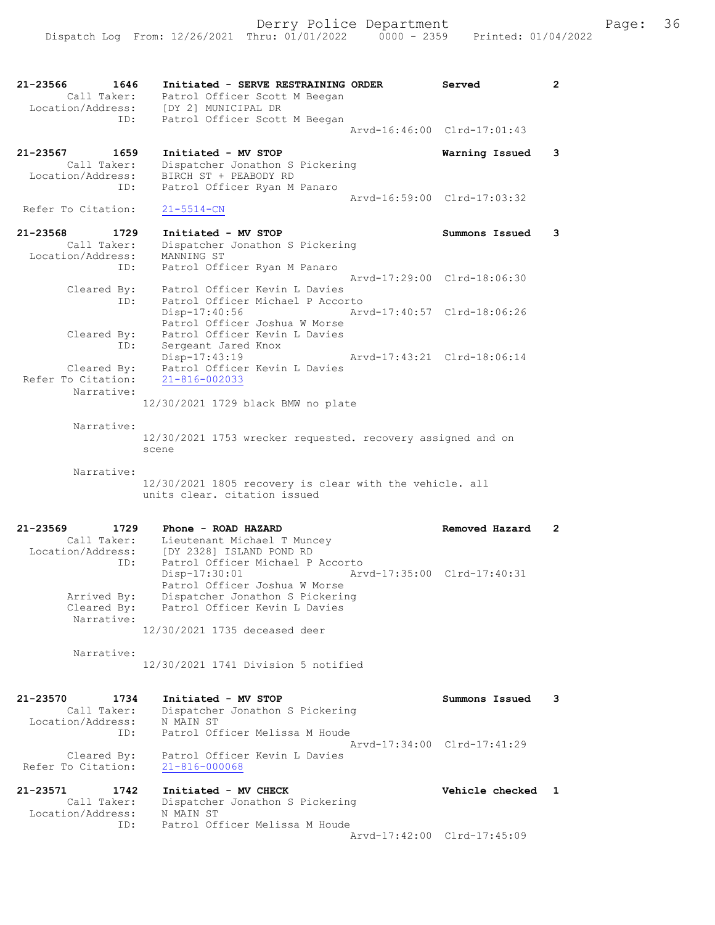21-23566 1646 Initiated - SERVE RESTRAINING ORDER Served 2 Call Taker: Patrol Officer Scott M Beegan Location/Address: [DY 2] MUNICIPAL DR ID: Patrol Officer Scott M Beegan Arvd-16:46:00 Clrd-17:01:43 21-23567 1659 Initiated - MV STOP Warning Issued 3 Call Taker: Dispatcher Jonathon S Pickering Location/Address: BIRCH ST + PEABODY RD ID: Patrol Officer Ryan M Panaro Arvd-16:59:00 Clrd-17:03:32<br>21-5514-CN Refer To Citation: 21-23568 1729 Initiated - MV STOP Summons Issued 3 Call Taker: Dispatcher Jonathon S Pickering Location/Address: MANNING ST ID: Patrol Officer Ryan M Panaro Arvd-17:29:00 Clrd-18:06:30 Cleared By: Patrol Officer Kevin L Davies ID: Patrol Officer Michael P Accorto Disp-17:40:56 Arvd-17:40:57 Clrd-18:06:26 Patrol Officer Joshua W Morse Cleared By: Patrol Officer Kevin L Davies<br>ID: Sergeant Jared Knox<br>27 1919 d by.<br>ID: Sergeant Jared Knox<br>Disp-17:43:19 Disp-17:43:19 Arvd-17:43:21 Clrd-18:06:14 Cleared By: Patrol Officer Kevin L Davies Refer To Citation: 21-816-002033 Narrative: 12/30/2021 1729 black BMW no plate Narrative: 12/30/2021 1753 wrecker requested. recovery assigned and on scene Narrative: 12/30/2021 1805 recovery is clear with the vehicle. all units clear. citation issued 21-23569 1729 Phone - ROAD HAZARD Removed Hazard 2 Call Taker: Lieutenant Michael T Muncey Location/Address: [DY 2328] ISLAND POND RD ID: Patrol Officer Michael P Accorto Disp-17:30:01 Arvd-17:35:00 Clrd-17:40:31 Patrol Officer Joshua W Morse Arrived By: Dispatcher Jonathon S Pickering Cleared By: Patrol Officer Kevin L Davies Narrative: 12/30/2021 1735 deceased deer Narrative: 12/30/2021 1741 Division 5 notified 21-23570 1734 Initiated - MV STOP Summons Issued 3 Call Taker: Dispatcher Jonathon S Pickering Location/Address: N MAIN ST ID: Patrol Officer Melissa M Houde Arvd-17:34:00 Clrd-17:41:29 Cleared By: Patrol Officer Kevin L Davies Refer To Citation: 21-816-000068 21-23571 1742 Initiated - MV CHECK Vehicle checked 1 Call Taker: Dispatcher Jonathon S Pickering Location/Address: N MAIN ST ID: Patrol Officer Melissa M Houde Arvd-17:42:00 Clrd-17:45:09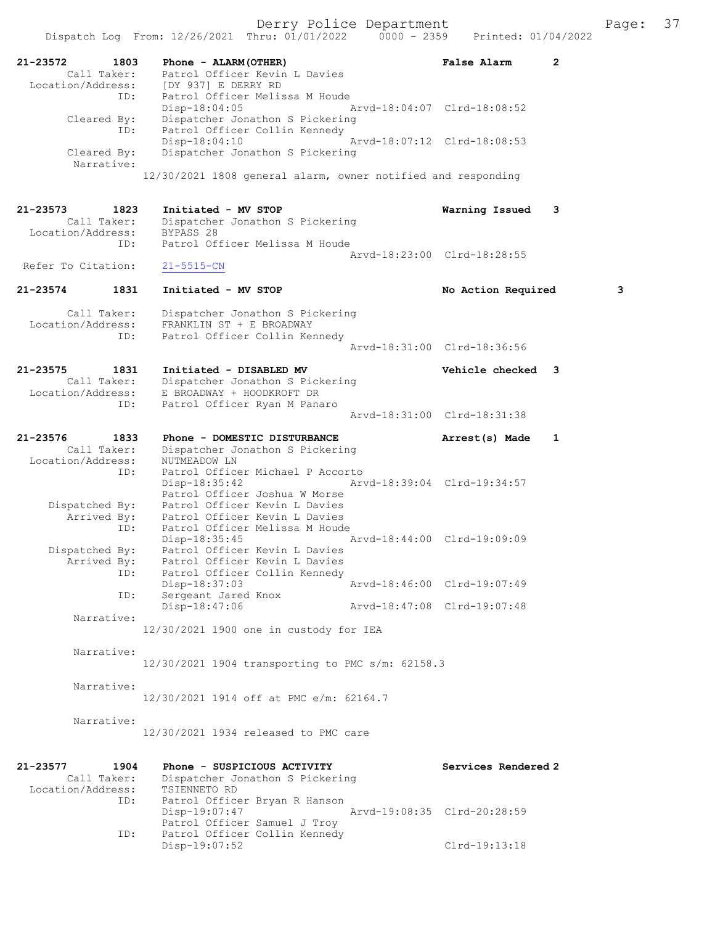| 21-23572<br>1803                 | Phone - ALARM (OTHER)                                                   | <b>False Alarm</b>          | $\overline{2}$ |
|----------------------------------|-------------------------------------------------------------------------|-----------------------------|----------------|
| Call Taker:<br>Location/Address: | Patrol Officer Kevin L Davies<br>[DY 937] E DERRY RD                    |                             |                |
|                                  | ID:<br>Patrol Officer Melissa M Houde                                   |                             |                |
|                                  | $Disp-18:04:05$                                                         | Arvd-18:04:07 Clrd-18:08:52 |                |
| Cleared By:                      | Dispatcher Jonathon S Pickering<br>Patrol Officer Collin Kennedy<br>ID: |                             |                |
|                                  | $Disp-18:04:10$                                                         | Arvd-18:07:12 Clrd-18:08:53 |                |
| Cleared By:                      | Dispatcher Jonathon S Pickering                                         |                             |                |
| Narrative:                       | 12/30/2021 1808 general alarm, owner notified and responding            |                             |                |
|                                  |                                                                         |                             |                |
| 21-23573<br>1823                 | Initiated - MV STOP                                                     | Warning Issued              | 3              |
| Call Taker:                      | Dispatcher Jonathon S Pickering                                         |                             |                |
| Location/Address:                | BYPASS 28<br>Patrol Officer Melissa M Houde<br>ID:                      |                             |                |
|                                  |                                                                         | Arvd-18:23:00 Clrd-18:28:55 |                |
| Refer To Citation:               | $21 - 5515 - CN$                                                        |                             |                |
| 21-23574<br>1831                 | Initiated - MV STOP                                                     | No Action Required          | 3              |
|                                  |                                                                         |                             |                |
| Call Taker:                      | Dispatcher Jonathon S Pickering                                         |                             |                |
| Location/Address:<br>ID:         | FRANKLIN ST + E BROADWAY<br>Patrol Officer Collin Kennedy               |                             |                |
|                                  |                                                                         | Aryd-18:31:00 Clrd-18:36:56 |                |
| 21-23575<br>1831                 | Initiated - DISABLED MV                                                 | <b>Vehicle checked</b>      | 3              |
| Call Taker:                      | Dispatcher Jonathon S Pickering                                         |                             |                |
| Location/Address:                | E BROADWAY + HOODKROFT DR                                               |                             |                |
| ID:                              | Patrol Officer Ryan M Panaro                                            | Arvd-18:31:00 Clrd-18:31:38 |                |
|                                  |                                                                         |                             |                |
| 21-23576<br>1833<br>Call Taker:  | Phone - DOMESTIC DISTURBANCE<br>Dispatcher Jonathon S Pickering         | Arrest(s) Made              | $\mathbf{1}$   |
| Location/Address:                | NUTMEADOW LN                                                            |                             |                |
| ID:                              | Patrol Officer Michael P Accorto                                        |                             |                |
|                                  | $Disp-18:35:42$<br>Patrol Officer Joshua W Morse                        | Arvd-18:39:04 Clrd-19:34:57 |                |
| Dispatched By:                   | Patrol Officer Kevin L Davies                                           |                             |                |
| Arrived By:                      | Patrol Officer Kevin L Davies<br>Patrol Officer Melissa M Houde<br>ID:  |                             |                |
|                                  | $Disp-18:35:45$                                                         | Aryd-18:44:00 Clrd-19:09:09 |                |
| Dispatched By:                   | Patrol Officer Kevin L Davies                                           |                             |                |
| Arrived By:<br>ID:               | Patrol Officer Kevin L Davies<br>Patrol Officer Collin Kennedy          |                             |                |
|                                  | Disp-18:37:03                                                           | Arvd-18:46:00 Clrd-19:07:49 |                |
| ID:                              | Sergeant Jared Knox                                                     | Arvd-18:47:08 Clrd-19:07:48 |                |
| Narrative:                       | Disp-18:47:06                                                           |                             |                |
|                                  | 12/30/2021 1900 one in custody for IEA                                  |                             |                |
| Narrative:                       |                                                                         |                             |                |
|                                  | 12/30/2021 1904 transporting to PMC s/m: 62158.3                        |                             |                |
|                                  |                                                                         |                             |                |
| Narrative:                       | 12/30/2021 1914 off at PMC e/m: 62164.7                                 |                             |                |
|                                  |                                                                         |                             |                |
| Narrative:                       |                                                                         |                             |                |
|                                  | 12/30/2021 1934 released to PMC care                                    |                             |                |
|                                  |                                                                         |                             |                |
| 21-23577<br>1904<br>Call Taker:  | Phone - SUSPICIOUS ACTIVITY<br>Dispatcher Jonathon S Pickering          | Services Rendered 2         |                |
| Location/Address:                | TSIENNETO RD                                                            |                             |                |
| ID:                              | Patrol Officer Bryan R Hanson                                           |                             |                |
|                                  | Disp-19:07:47<br>Patrol Officer Samuel J Troy                           | Arvd-19:08:35 Clrd-20:28:59 |                |
| ID:                              | Patrol Officer Collin Kennedy                                           |                             |                |
|                                  | Disp-19:07:52                                                           | Clrd-19:13:18               |                |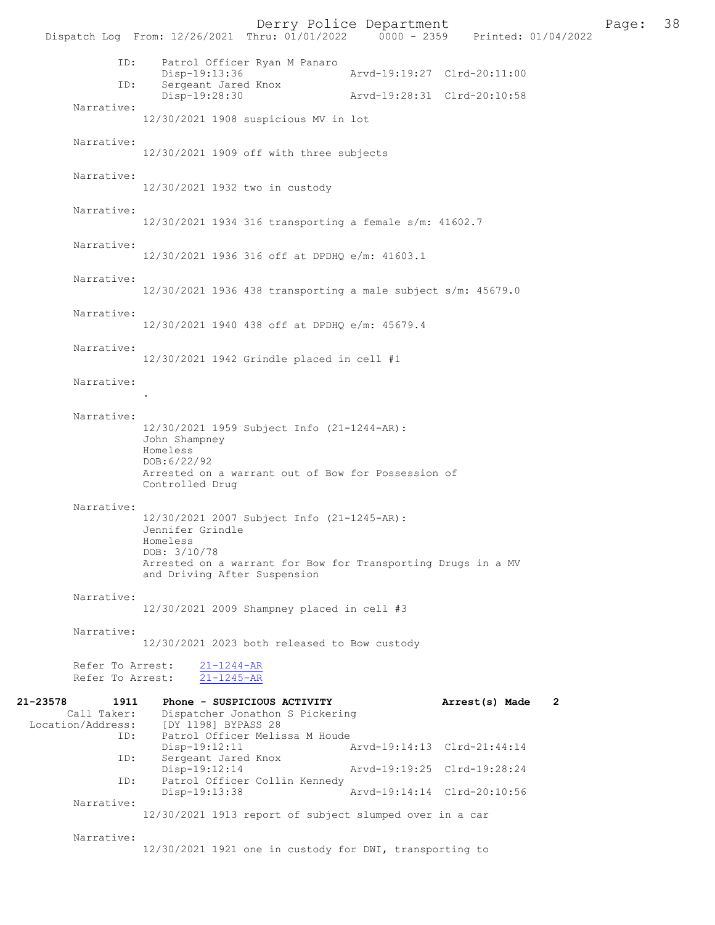Derry Police Department<br>
Page: 38 Printed: 01/04/2022<br>
Printed: 01/04/2022 Dispatch Log From: 12/26/2021 Thru: 01/01/2022 ID: Patrol Officer Ryan M Panaro Disp-19:13:36 Arvd-19:19:27 Clrd-20:11:00<br>TD: Sergeant Jared Knox Sergeant Jared Knox<br>Disp-19:28:30 Disp-19:28:30 Arvd-19:28:31 Clrd-20:10:58 Narrative: 12/30/2021 1908 suspicious MV in lot Narrative: 12/30/2021 1909 off with three subjects Narrative: 12/30/2021 1932 two in custody Narrative: 12/30/2021 1934 316 transporting a female s/m: 41602.7 Narrative: 12/30/2021 1936 316 off at DPDHQ e/m: 41603.1 Narrative: 12/30/2021 1936 438 transporting a male subject s/m: 45679.0 Narrative: 12/30/2021 1940 438 off at DPDHQ e/m: 45679.4 Narrative: 12/30/2021 1942 Grindle placed in cell #1 Narrative: . Narrative: 12/30/2021 1959 Subject Info (21-1244-AR): John Shampney Homeless DOB:6/22/92 Arrested on a warrant out of Bow for Possession of Controlled Drug Narrative: 12/30/2021 2007 Subject Info (21-1245-AR): Jennifer Grindle Homeless DOB: 3/10/78 Arrested on a warrant for Bow for Transporting Drugs in a MV and Driving After Suspension Narrative: 12/30/2021 2009 Shampney placed in cell #3 Narrative: 12/30/2021 2023 both released to Bow custody Refer To Arrest: 21-1244-AR Refer To Arrest: 21-1245-AR 21-23578 1911 Phone - SUSPICIOUS ACTIVITY **Arrest(s) Made 2**<br>Call Taker: Dispatcher Jonathon S Pickering Call Taker: Dispatcher Jonathon S Pickering<br>Location/Address: [DY 1198] BYPASS 28 [DY 1198] BYPASS 28 ID: Patrol Officer Melissa M Houde<br>Disp-19:12:11 1 Disp-19:12:11 Arvd-19:14:13 Clrd-21:44:14<br>ID: Sergeant Jared Knox Sergeant Jared Knox<br>Disp-19:12:14 Disp-19:12:14 Arvd-19:19:25 Clrd-19:28:24<br>ID: Patrol Officer Collin Kennedy Patrol Officer Collin Kennedy<br>Disp-19:13:38 Disp-19:13:38 Arvd-19:14:14 Clrd-20:10:56 Narrative: 12/30/2021 1913 report of subject slumped over in a car Narrative:

12/30/2021 1921 one in custody for DWI, transporting to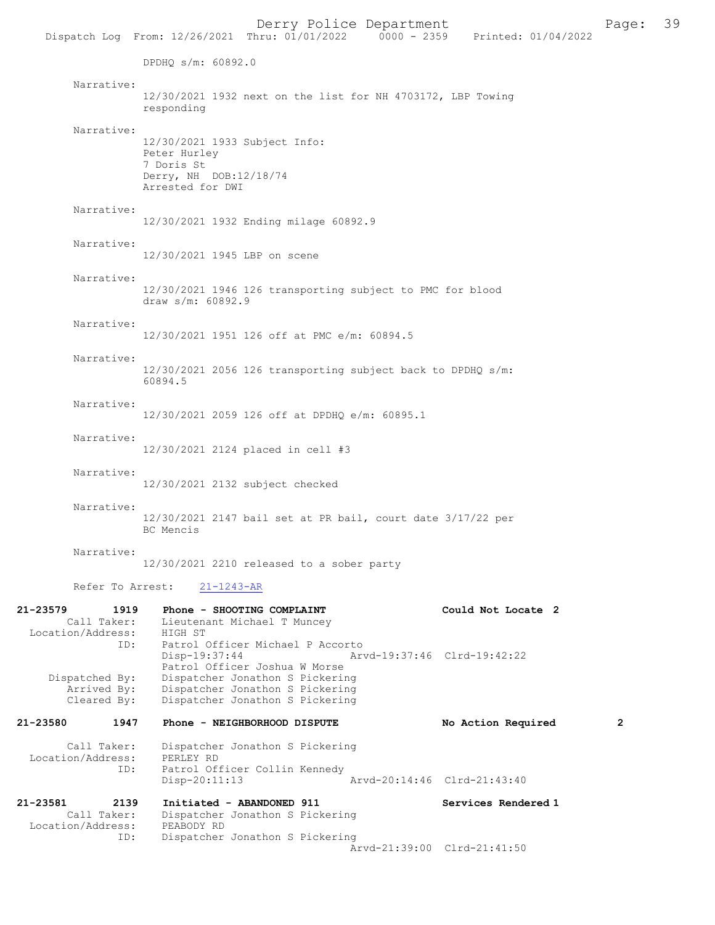Derry Police Department<br>Page: 39 Printed: 01/04/2022 2000 - 2359 Printed: 01/04/2022 Dispatch Log From: 12/26/2021 Thru: 01/01/2022 DPDHQ s/m: 60892.0 Narrative: 12/30/2021 1932 next on the list for NH 4703172, LBP Towing responding Narrative: 12/30/2021 1933 Subject Info: Peter Hurley 7 Doris St Derry, NH DOB:12/18/74 Arrested for DWI Narrative: 12/30/2021 1932 Ending milage 60892.9 Narrative: 12/30/2021 1945 LBP on scene Narrative: 12/30/2021 1946 126 transporting subject to PMC for blood draw s/m: 60892.9 Narrative: 12/30/2021 1951 126 off at PMC e/m: 60894.5 Narrative: 12/30/2021 2056 126 transporting subject back to DPDHQ s/m: 60894.5 Narrative: 12/30/2021 2059 126 off at DPDHQ e/m: 60895.1 Narrative: 12/30/2021 2124 placed in cell #3 Narrative: 12/30/2021 2132 subject checked Narrative: 12/30/2021 2147 bail set at PR bail, court date 3/17/22 per BC Mencis Narrative: 12/30/2021 2210 released to a sober party Refer To Arrest: 21-1243-AR 21-23579 1919 Phone - SHOOTING COMPLAINT Could Not Locate 2<br>Call Taker: Lieutenant Michael T Muncey Lieutenant Michael T Muncey Call Taxel. Lieutena<br>Location/Address: HIGH ST ID: Patrol Officer Michael P Accorto<br>Disp-19:37:44 Ar Disp-19:37:44 Arvd-19:37:46 Clrd-19:42:22 Patrol Officer Joshua W Morse Dispatched By: Dispatcher Jonathon S Pickering Arrived By: Thispatcher Jonathon S Pickering<br>Cleared By: Dispatcher Jonathon S Pickering Dispatcher Jonathon S Pickering 21-23580 1947 Phone - NEIGHBORHOOD DISPUTE No Action Required 2

Call Taker: Dispatcher Jonathon S Pickering<br>ion/Address: PERLEY RD Location/Address: ID: Patrol Officer Collin Kennedy<br>Disp-20:11:13 Disp-20:11:13 Arvd-20:14:46 Clrd-21:43:40

21-23581 2139 Initiated - ABANDONED 911 Services Rendered 1<br>Call Taker: Dispatcher Jonathon S Pickering Dispatcher Jonathon S Pickering Location/Address: PEABODY RD ID: Dispatcher Jonathon S Pickering Arvd-21:39:00 Clrd-21:41:50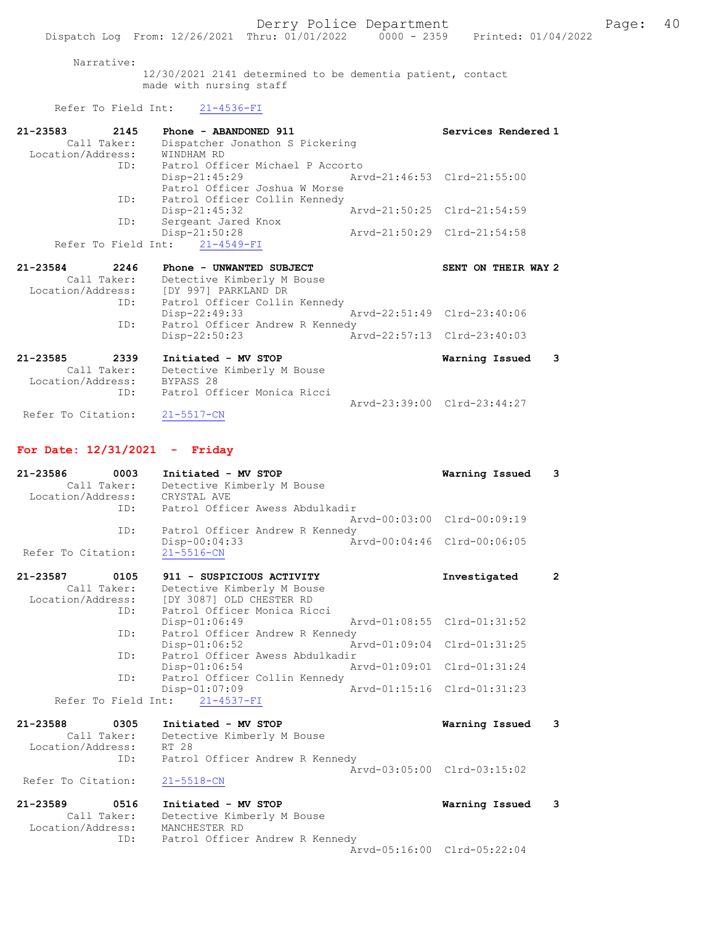#### Narrative:

12/30/2021 2141 determined to be dementia patient, contact made with nursing staff

# Refer To Field Int: 21-4536-FI

| 21-23583      | 2145        | Phone - ABANDONED 911                     |                             | Services Rendered 1                       |
|---------------|-------------|-------------------------------------------|-----------------------------|-------------------------------------------|
|               | Call Taker: | Dispatcher Jonathon S Pickering           |                             |                                           |
|               |             | Location/Address: WINDHAM RD              |                             |                                           |
|               |             | ID: Patrol Officer Michael P Accorto      |                             |                                           |
|               |             | Disp-21:45:29 Arvd-21:46:53 Clrd-21:55:00 |                             |                                           |
|               |             | Patrol Officer Joshua W Morse             |                             |                                           |
|               |             | ID: Patrol Officer Collin Kennedy         |                             |                                           |
|               |             | $Disp-21:45:32$                           | Arvd-21:50:25 Clrd-21:54:59 |                                           |
|               | ID:         | Sergeant Jared Knox                       |                             |                                           |
|               |             | Disp-21:50:28                             |                             | Arvd-21:50:29 Clrd-21:54:58               |
|               |             | Refer To Field Int: 21-4549-FI            |                             |                                           |
|               |             |                                           |                             |                                           |
| 21-23584 2246 |             | Phone - UNWANTED SUBJECT                  |                             | SENT ON THEIR WAY 2                       |
|               |             | Call Taker: Detective Kimberly M Bouse    |                             |                                           |
|               |             | Location/Address: [DY 997] PARKLAND DR    |                             |                                           |
|               |             | ID: Patrol Officer Collin Kennedy         |                             |                                           |
|               |             | Disp-22:49:33                             | Arvd-22:51:49 Clrd-23:40:06 |                                           |
|               | ID:         | Patrol Officer Andrew R Kennedy           |                             |                                           |
|               |             | $Disp-22:50:23$                           | Arvd-22:57:13 Clrd-23:40:03 |                                           |
| 21-23585      | 2339        | Initiated - MV STOP                       |                             | $\overline{\mathbf{3}}$<br>Warning Issued |
|               |             | Call Taker: Detective Kimberly M Bouse    |                             |                                           |

 ID: Patrol Officer Monica Ricci Arvd-23:39:00 Clrd-23:44:27

Refer To Citation: 21-5517-CN

### For Date: 12/31/2021 - Friday

| $21 - 23586$<br>0003<br>Call Taker:<br>Location/Address: | Initiated - MV STOP<br>Detective Kimberly M Bouse<br>CRYSTAL AVE | Warning Issued              | 3              |
|----------------------------------------------------------|------------------------------------------------------------------|-----------------------------|----------------|
| ID:                                                      | Patrol Officer Awess Abdulkadir                                  |                             |                |
|                                                          |                                                                  | Arvd-00:03:00 Clrd-00:09:19 |                |
| ID:                                                      | Patrol Officer Andrew R Kennedy<br>Disp-00:04:33                 | Aryd-00:04:46 Clrd-00:06:05 |                |
| Refer To Citation:                                       | $21 - 5516 - CN$                                                 |                             |                |
| 21-23587<br>0105                                         | 911 - SUSPICIOUS ACTIVITY                                        | Investigated                | $\overline{2}$ |
| Call Taker:                                              | Detective Kimberly M Bouse                                       |                             |                |
| Location/Address:                                        | [DY 3087] OLD CHESTER RD                                         |                             |                |
| ID:                                                      | Patrol Officer Monica Ricci                                      |                             |                |
|                                                          | Disp-01:06:49                                                    | Arvd-01:08:55 Clrd-01:31:52 |                |
| ID:                                                      | Patrol Officer Andrew R Kennedy                                  |                             |                |
|                                                          | Arvd-01:09:04<br>Disp-01:06:52                                   | $Clrd-01:31:25$             |                |
| ID:                                                      | Patrol Officer Awess Abdulkadir                                  |                             |                |
|                                                          | Arvd-01:09:01<br>Disp-01:06:54                                   | $Clrd-01:31:24$             |                |
| ID:                                                      | Patrol Officer Collin Kennedy                                    |                             |                |
|                                                          | Disp-01:07:09                                                    | Arvd-01:15:16 Clrd-01:31:23 |                |
|                                                          | Refer To Field Int: 21-4537-FI                                   |                             |                |
| $21 - 23588$<br>0305                                     | Initiated - MV STOP                                              | Warning Issued              | 3              |
| Call Taker:                                              | Detective Kimberly M Bouse                                       |                             |                |
| Location/Address:                                        | RT 28                                                            |                             |                |
| ID:                                                      | Patrol Officer Andrew R Kennedy                                  |                             |                |
|                                                          |                                                                  | Arvd-03:05:00 Clrd-03:15:02 |                |
| Refer To Citation:                                       | $21 - 5518 - CN$                                                 |                             |                |
| $21 - 23589$<br>0516                                     | Initiated - MV STOP                                              | Warning Issued              | 3              |
| Call Taker:                                              | Detective Kimberly M Bouse                                       |                             |                |
| Location/Address:                                        | MANCHESTER RD                                                    |                             |                |
| ID:                                                      | Patrol Officer Andrew R Kennedy                                  |                             |                |
|                                                          |                                                                  | Arvd-05:16:00 Clrd-05:22:04 |                |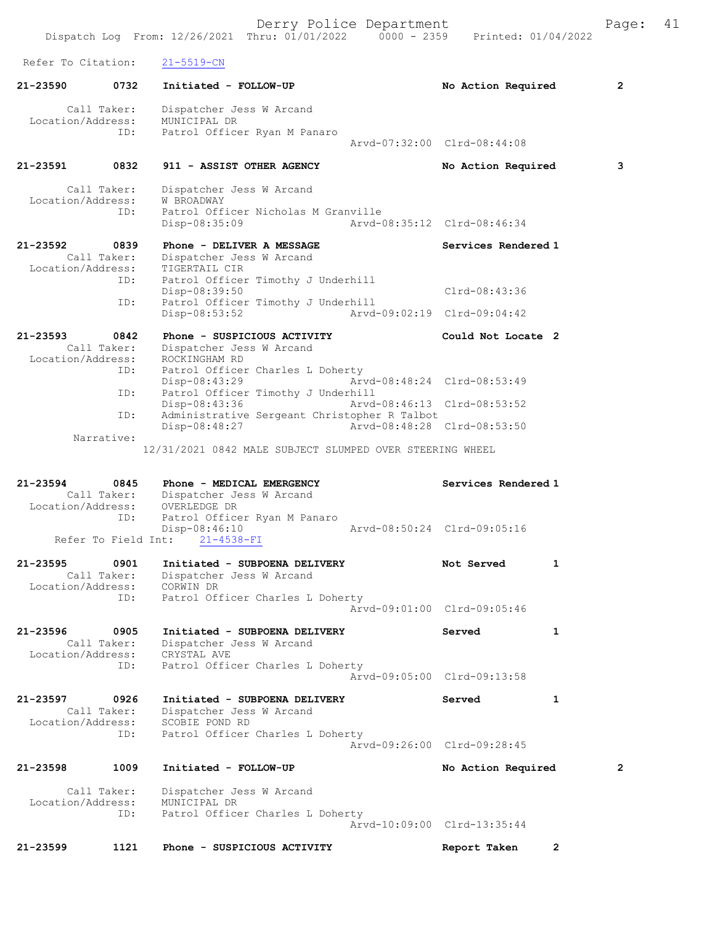Derry Police Department Fage: 41 Dispatch Log From: 12/26/2021 Thru: 01/01/2022 0000 - 2359 Printed: 01/04/2022 Refer To Citation: 21-5519-CN 21-23590 0732 Initiated - FOLLOW-UP No Action Required 2 Call Taker: Dispatcher Jess W Arcand Location/Address: MUNICIPAL DR ID: Patrol Officer Ryan M Panaro Arvd-07:32:00 Clrd-08:44:08 21-23591 0832 911 - ASSIST OTHER AGENCY No Action Required 3 Call Taker: Dispatcher Jess W Arcand Location/Address: W BROADWAY ID: Patrol Officer Nicholas M Granville<br>Disp-08:35:09 Arvd-0 Disp-08:35:09 Arvd-08:35:12 Clrd-08:46:34 21-23592 0839 Phone - DELIVER A MESSAGE Services Rendered 1 Call Taker: Dispatcher Jess W Arcand Location/Address: TIGERTAIL CIR ID: Patrol Officer Timothy J Underhill Disp-08:39:50 Clrd-08:43:36 ID: Patrol Officer Timothy J Underhill Disp-08:53:52 Arvd-09:02:19 Clrd-09:04:42 21-23593 0842 Phone - SUSPICIOUS ACTIVITY Could Not Locate 2 Call Taker: Dispatcher Jess W Arcand Location/Address: ROCKINGHAM RD ID: Patrol Officer Charles L Doherty<br>Disp-08:43:29 Arv Disp-08:43:29 Arvd-08:48:24 Clrd-08:53:49 ID: Patrol Officer Timothy J Underhill<br>Disp-08:43:36 Arvd-Arvd-08:46:13 Clrd-08:53:52 ID: Administrative Sergeant Christopher R Talbot Disp-08:48:27 Arvd-08:48:28 Clrd-08:53:50 Narrative: 12/31/2021 0842 MALE SUBJECT SLUMPED OVER STEERING WHEEL 21-23594 0845 Phone - MEDICAL EMERGENCY Services Rendered 1 Call Taker: Dispatcher Jess W Arcand Location/Address: OVERLEDGE DR ID: Patrol Officer Ryan M Panaro Disp-08:46:10 Arvd-08:50:24 Clrd-09:05:16 Refer To Field Int: 21-4538-FI 21-23595 0901 Initiated - SUBPOENA DELIVERY Not Served 1 Call Taker: Dispatcher Jess W Arcand Location/Address: CORWIN DR ID: Patrol Officer Charles L Doherty Arvd-09:01:00 Clrd-09:05:46 21-23596 0905 Initiated - SUBPOENA DELIVERY Served 1 Call Taker: Dispatcher Jess W Arcand Location/Address: CRYSTAL AVE ID: Patrol Officer Charles L Doherty Arvd-09:05:00 Clrd-09:13:58 21-23597 0926 Initiated - SUBPOENA DELIVERY Served 1 Call Taker: Dispatcher Jess W Arcand Location/Address: SCOBIE POND RD ID: Patrol Officer Charles L Doherty Arvd-09:26:00 Clrd-09:28:45 21-23598 1009 Initiated - FOLLOW-UP No Action Required 2 Call Taker: Dispatcher Jess W Arcand Location/Address: MUNICIPAL DR ID: Patrol Officer Charles L Doherty Arvd-10:09:00 Clrd-13:35:44 21-23599 1121 Phone - SUSPICIOUS ACTIVITY Report Taken 2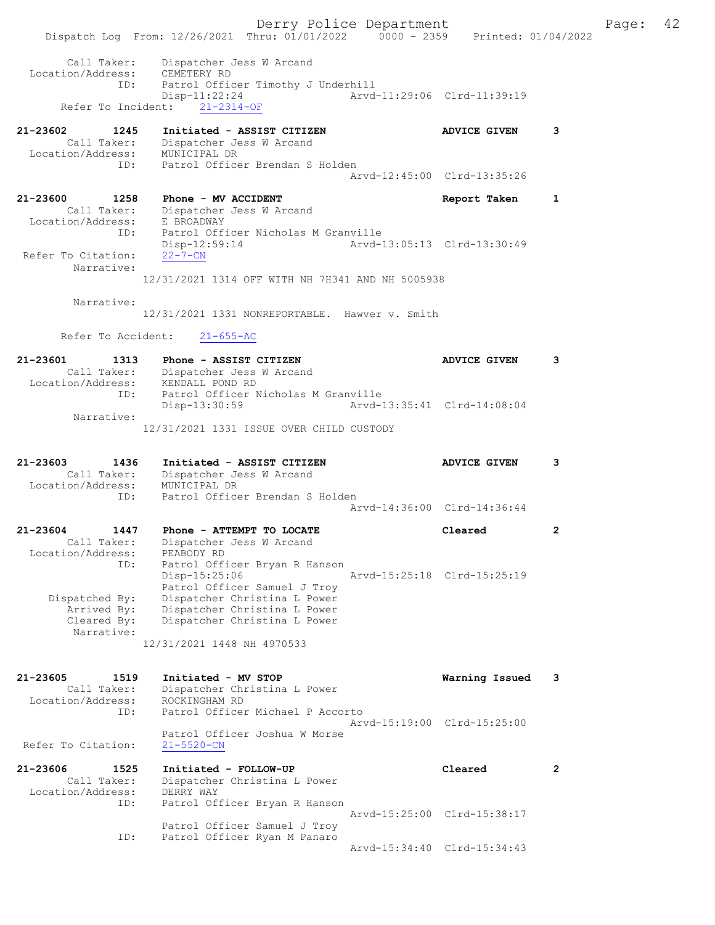Derry Police Department Fage: 42 Dispatch Log From: 12/26/2021 Thru: 01/01/2022 0000 - 2359 Printed: 01/04/2022 Call Taker: Dispatcher Jess W Arcand Location/Address: CEMETERY RD ID: Patrol Officer Timothy J Underhill Disp-11:22:24 Arvd-11:29:06 Clrd-11:39:19 Refer To Incident: 21-2314-OF 21-23602 1245 Initiated - ASSIST CITIZEN ADVICE GIVEN 3 Call Taker: Dispatcher Jess W Arcand Location/Address: MUNICIPAL DR ID: Patrol Officer Brendan S Holden Arvd-12:45:00 Clrd-13:35:26 21-23600 1258 Phone - MV ACCIDENT Report Taken 1 Call Taker: Dispatcher Jess W Arcand Location/Address: E BROADWAY ID: Patrol Officer Nicholas M Granville Disp-12:59:14 Arvd-13:05:13 Clrd-13:30:49<br>22-7-CN Refer To Citation: Narrative: 12/31/2021 1314 OFF WITH NH 7H341 AND NH 5005938 Narrative: 12/31/2021 1331 NONREPORTABLE. Hawver v. Smith Refer To Accident: 21-655-AC 21-23601 1313 Phone - ASSIST CITIZEN ADVICE GIVEN 3 Call Taker: Dispatcher Jess W Arcand Location/Address: KENDALL POND RD ID: Patrol Officer Nicholas M Granville ID: Patrol Officer Nicholas M Granville<br>Disp-13:30:59 Arvd-13:35:41 Clrd-14:08:04 Narrative: 12/31/2021 1331 ISSUE OVER CHILD CUSTODY 21-23603 1436 Initiated - ASSIST CITIZEN ADVICE GIVEN 3 Call Taker: Dispatcher Jess W Arcand Location/Address: MUNICIPAL DR ID: Patrol Officer Brendan S Holden Arvd-14:36:00 Clrd-14:36:44 21-23604 1447 Phone - ATTEMPT TO LOCATE Cleared 2 Call Taker: Dispatcher Jess W Arcand Location/Address: PEABODY RD ID: Patrol Officer Bryan R Hanson Disp-15:25:06 Arvd-15:25:18 Clrd-15:25:19 Patrol Officer Samuel J Troy Dispatched By: Dispatcher Christina L Power Arrived By: Dispatcher Christina L Power Cleared By: Dispatcher Christina L Power Narrative: 12/31/2021 1448 NH 4970533 21-23605 1519 Initiated - MV STOP Warning Issued 3 Call Taker: Dispatcher Christina L Power Location/Address: ROCKINGHAM RD ID: Patrol Officer Michael P Accorto Arvd-15:19:00 Clrd-15:25:00 Patrol Officer Joshua W Morse Refer To Citation: 21-5520-CN 21-23606 1525 Initiated - FOLLOW-UP Cleared 2 Call Taker: Dispatcher Christina L Power Location/Address: DERRY WAY ID: Patrol Officer Bryan R Hanson Arvd-15:25:00 Clrd-15:38:17 Patrol Officer Samuel J Troy ID: Patrol Officer Ryan M Panaro Arvd-15:34:40 Clrd-15:34:43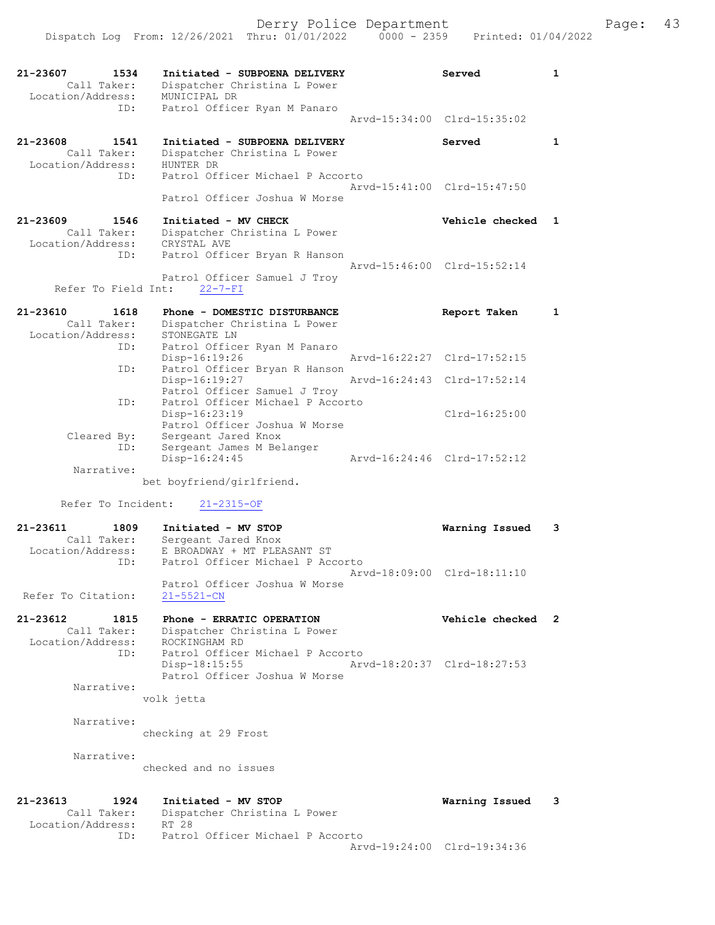|                                                             | Dispatch Log From: 12/26/2021 Thru: 01/01/2022<br>$0000 - 2359$                                                      | Printed: 01/04/2022         |   |
|-------------------------------------------------------------|----------------------------------------------------------------------------------------------------------------------|-----------------------------|---|
| 21-23607<br>1534<br>Call Taker:<br>Location/Address:<br>ID: | Initiated - SUBPOENA DELIVERY<br>Dispatcher Christina L Power<br>MUNICIPAL DR<br>Patrol Officer Ryan M Panaro        | Served                      | 1 |
|                                                             |                                                                                                                      | Arvd-15:34:00 Clrd-15:35:02 |   |
| 21-23608<br>1541<br>Call Taker:<br>Location/Address:<br>ID: | Initiated - SUBPOENA DELIVERY<br>Dispatcher Christina L Power<br>HUNTER DR<br>Patrol Officer Michael P Accorto       | Served                      | 1 |
|                                                             | Patrol Officer Joshua W Morse                                                                                        | Arvd-15:41:00 Clrd-15:47:50 |   |
| 21-23609<br>1546<br>Call Taker:<br>Location/Address:        | Initiated - MV CHECK<br>Dispatcher Christina L Power<br>CRYSTAL AVE                                                  | Vehicle checked 1           |   |
| ID:<br>Refer To Field Int:                                  | Patrol Officer Bryan R Hanson<br>Patrol Officer Samuel J Troy<br>$22 - 7 - FI$                                       | Arvd-15:46:00 Clrd-15:52:14 |   |
|                                                             |                                                                                                                      |                             |   |
| 21-23610<br>1618<br>Call Taker:<br>Location/Address:<br>ID: | Phone - DOMESTIC DISTURBANCE<br>Dispatcher Christina L Power<br>STONEGATE LN                                         | Report Taken                | 1 |
|                                                             | Patrol Officer Ryan M Panaro<br>Disp-16:19:26                                                                        | Arvd-16:22:27 Clrd-17:52:15 |   |
| ID:                                                         | Patrol Officer Bryan R Hanson<br>Disp-16:19:27                                                                       | Arvd-16:24:43 Clrd-17:52:14 |   |
| ID:                                                         | Patrol Officer Samuel J Troy<br>Patrol Officer Michael P Accorto<br>$Disp-16:23:19$<br>Patrol Officer Joshua W Morse | $Clrd-16:25:00$             |   |
| Cleared By:<br>ID:                                          | Sergeant Jared Knox<br>Sergeant James M Belanger<br>Disp-16:24:45                                                    | Arvd-16:24:46 Clrd-17:52:12 |   |
| Narrative:                                                  | bet boyfriend/girlfriend.                                                                                            |                             |   |
| Refer To Incident:                                          | 21-2315-OF                                                                                                           |                             |   |
| 21-23611<br>1809                                            | Initiated - MV STOP                                                                                                  | Warning Issued              | 3 |
| Call Taker:<br>Location/Address:<br>ID:                     | Sergeant Jared Knox<br>E BROADWAY + MT PLEASANT ST<br>Patrol Officer Michael P Accorto                               |                             |   |
| Refer To Citation:                                          | Patrol Officer Joshua W Morse<br>$21 - 5521 - CN$                                                                    | Arvd-18:09:00 Clrd-18:11:10 |   |
| 21-23612<br>1815<br>Call Taker:<br>Location/Address:<br>ID: | Phone - ERRATIC OPERATION<br>Dispatcher Christina L Power<br>ROCKINGHAM RD<br>Patrol Officer Michael P Accorto       | Vehicle checked             | 2 |
| Narrative:                                                  | Disp-18:15:55<br>Patrol Officer Joshua W Morse                                                                       | Arvd-18:20:37 Clrd-18:27:53 |   |
|                                                             | volk jetta                                                                                                           |                             |   |
| Narrative:                                                  | checking at 29 Frost                                                                                                 |                             |   |
| Narrative:                                                  | checked and no issues                                                                                                |                             |   |
| 21-23613<br>1924<br>Call Taker:<br>Location/Address:        | Initiated - MV STOP<br>Dispatcher Christina L Power<br>RT 28                                                         | Warning Issued              | 3 |
| ID:                                                         | Patrol Officer Michael P Accorto                                                                                     | Arvd-19:24:00 Clrd-19:34:36 |   |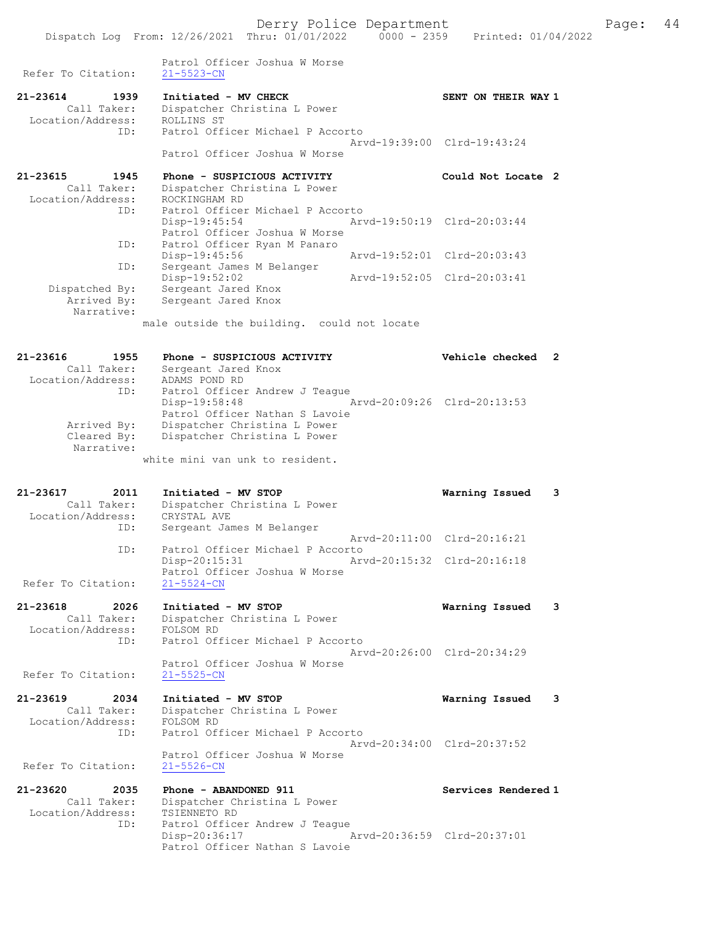Derry Police Department Fage: 44 Dispatch Log From: 12/26/2021 Thru: 01/01/2022 0000 - 2359 Printed: 01/04/2022 Patrol Officer Joshua W Morse Refer To Citation: 21-5523-CN 21-23614 1939 Initiated - MV CHECK SENT ON THEIR WAY 1 Call Taker: Dispatcher Christina L Power Location/Address: ROLLINS ST ID: Patrol Officer Michael P Accorto Arvd-19:39:00 Clrd-19:43:24 Patrol Officer Joshua W Morse 21-23615 1945 Phone - SUSPICIOUS ACTIVITY Could Not Locate 2 Call Taker: Dispatcher Christina L Power Location/Address: ROCKINGHAM RD ID: Patrol Officer Michael P Accorto<br>Disp-19:45:54 Art Disp-19:45:54 Arvd-19:50:19 Clrd-20:03:44 Patrol Officer Joshua W Morse ID: Patrol Officer Ryan M Panaro Disp-19:45:56 Arvd-19:52:01 Clrd-20:03:43 ID: Sergeant James M Belanger Disp-19:52:02 Arvd-19:52:05 Clrd-20:03:41 Dispatched By: Sergeant Jared Knox Arrived By: Sergeant Jared Knox Narrative: male outside the building. could not locate 21-23616 1955 Phone - SUSPICIOUS ACTIVITY Vehicle checked 2 Call Taker: Sergeant Jared Knox Location/Address: ADAMS POND RD ID: Patrol Officer Andrew J Teague Disp-19:58:48 Arvd-20:09:26 Clrd-20:13:53 Patrol Officer Nathan S Lavoie Arrived By: Dispatcher Christina L Power Cleared By: Dispatcher Christina L Power Narrative: white mini van unk to resident. 21-23617 2011 Initiated - MV STOP Warning Issued 3 Call Taker: Dispatcher Christina L Power Location/Address: CRYSTAL AVE ID: Sergeant James M Belanger Arvd-20:11:00 Clrd-20:16:21 ID: Patrol Officer Michael P Accorto<br>Disp-20:15:31 Arv Disp-20:15:31 Arvd-20:15:32 Clrd-20:16:18 Patrol Officer Joshua W Morse Refer To Citation: 21-5524-CN 21-23618 2026 Initiated - MV STOP Warning Issued 3

 Call Taker: Dispatcher Christina L Power Location/Address: FOLSOM RD ID: Patrol Officer Michael P Accorto Arvd-20:26:00 Clrd-20:34:29 Patrol Officer Joshua W Morse Refer To Citation: 21-5525-CN 21-23619 2034 Initiated - MV STOP Warning Issued 3

Call Taker: Dispatcher Christina L Power<br>Cion/Address: FOLSOM RD Location/Address: FOLSOM RD ID: Patrol Officer Michael P Accorto Arvd-20:34:00 Clrd-20:37:52 Patrol Officer Joshua W Morse Refer To Citation: 21-5526-CN

21-23620 2035 Phone - ABANDONED 911<br>Call Taker: Dispatcher Christina L Power<br>Location/Address: Entertainment of Call Taker: Dispatcher Christina L Power Location/Address: TSIENNETO RD ID: Patrol Officer Andrew J Teague Disp-20:36:17 Arvd-20:36:59 Clrd-20:37:01 Patrol Officer Nathan S Lavoie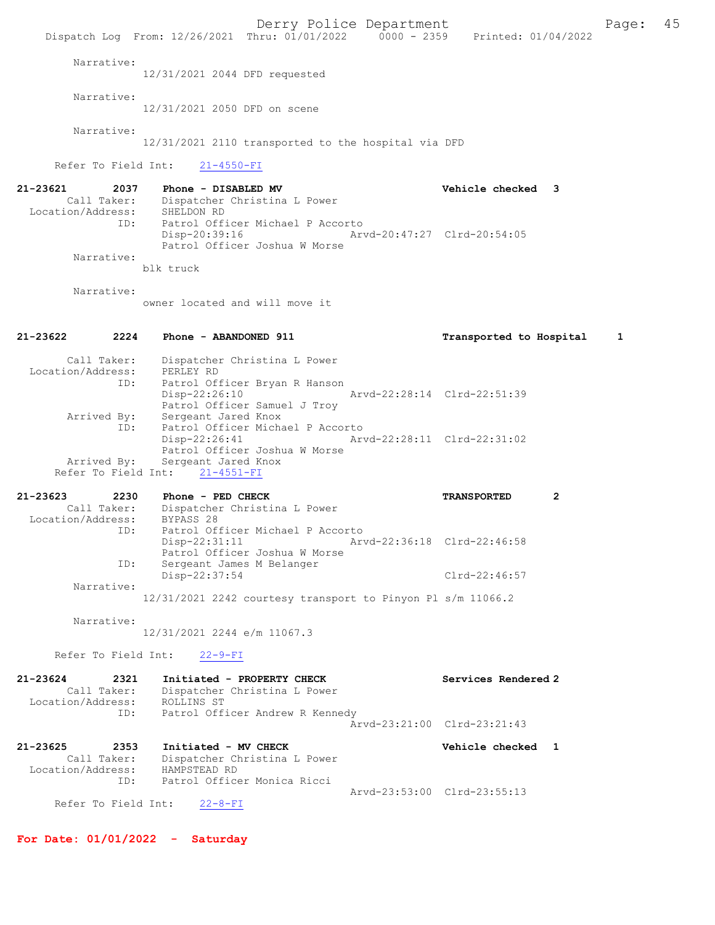Derry Police Department Fage: 45 Dispatch Log From: 12/26/2021 Thru: 01/01/2022 0000 - 2359 Printed: 01/04/2022 Narrative: 12/31/2021 2044 DFD requested Narrative: 12/31/2021 2050 DFD on scene Narrative: 12/31/2021 2110 transported to the hospital via DFD Refer To Field Int: 21-4550-FI 21-23621 2037 Phone - DISABLED MV Vehicle checked 3 Call Taker: Dispatcher Christina L Power<br>:ion/Address: SHELDON RD Location/Address: ID: Patrol Officer Michael P Accorto Disp-20:39:16 Arvd-20:47:27 Clrd-20:54:05 Patrol Officer Joshua W Morse Narrative: blk truck Narrative: owner located and will move it 21-23622 2224 Phone - ABANDONED 911 Transported to Hospital 1 Call Taker: Dispatcher Christina L Power Location/Address: PERLEY RD ID: Patrol Officer Bryan R Hanson Disp-22:26:10 Arvd-22:28:14 Clrd-22:51:39 Patrol Officer Samuel J Troy Arrived By: Sergeant Jared Knox ID: Patrol Officer Michael P Accorto<br>Disp-22:26:41 Arv Disp-22:26:41 Arvd-22:28:11 Clrd-22:31:02 Patrol Officer Joshua W Morse Arrived By: Sergeant Jared Knox Refer To Field Int: 21-4551-FI 21-23623 2230 Phone - PED CHECK TRANSPORTED 2 Call Taker: Dispatcher Christina L Power Location/Address: BYPASS 28 ID: Patrol Officer Michael P Accorto<br>Disp-22:31:11 Art Arvd-22:36:18 Clrd-22:46:58 Patrol Officer Joshua W Morse ID: Sergeant James M Belanger Disp-22:37:54 Clrd-22:46:57 Narrative: 12/31/2021 2242 courtesy transport to Pinyon Pl s/m 11066.2 Narrative: 12/31/2021 2244 e/m 11067.3 Refer To Field Int: 22-9-FI 21-23624 2321 Initiated - PROPERTY CHECK Services Rendered 2<br>Call Taker: Dispatcher Christina L Power Call Taker: Dispatcher Christina L Power Location/Address: ROLLINS ST ID: Patrol Officer Andrew R Kennedy Arvd-23:21:00 Clrd-23:21:43 21-23625 2353 Initiated - MV CHECK 21 23625 Vehicle checked 1 Call Taker: Dispatcher Christina L Power Location/Address: HAMPSTEAD RD ID: Patrol Officer Monica Ricci Arvd-23:53:00 Clrd-23:55:13 Refer To Field Int: 22-8-FI

For Date: 01/01/2022 - Saturday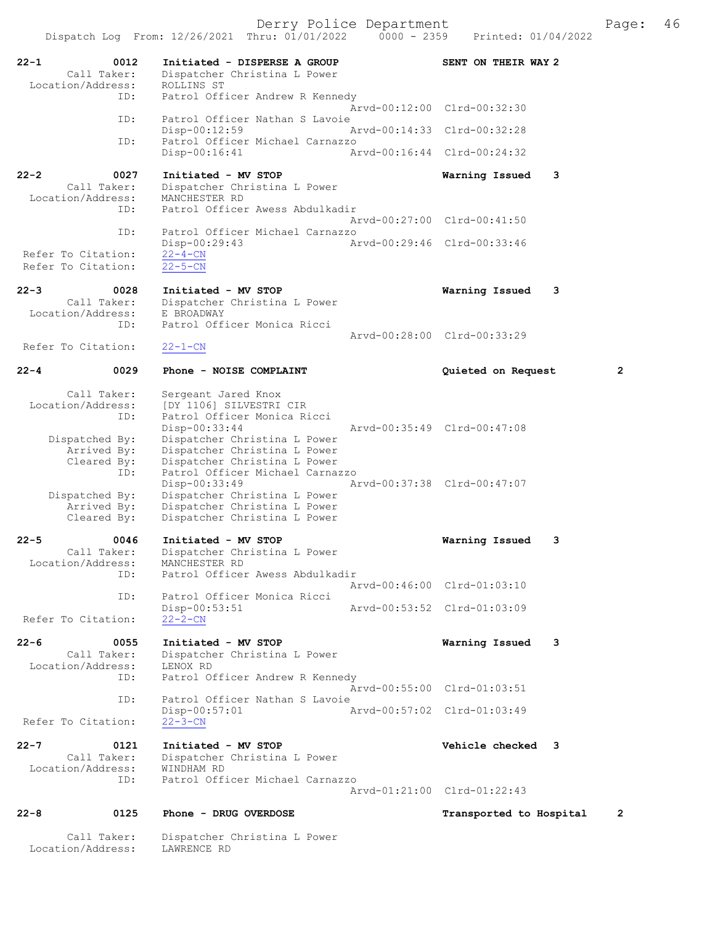Derry Police Department<br>Page: 46 (Printed: 01/04/2022 - 0000 - 2359 - Printed: 01/04/2022 Dispatch Log From:  $12/26/2021$  Thru:  $01/01/2022$  0000 - 2359 22-1 0012 Initiated - DISPERSE A GROUP SENT ON THEIR WAY 2<br>Call Taker: Dispatcher Christina L Power Dispatcher Christina L Power<br>ROLLINS ST Location/Address: ID: Patrol Officer Andrew R Kennedy Arvd-00:12:00 Clrd-00:32:30 ID: Patrol Officer Nathan S Lavoie<br>Disp-00:12:59 Disp-00:12:59 Arvd-00:14:33 Clrd-00:32:28<br>ID: Patrol Officer Michael Carnazzo Patrol Officer Michael Carnazzo<br>Disp-00:16:41 Am Disp-00:16:41 Arvd-00:16:44 Clrd-00:24:32 22-2 0027 Initiated - MV STOP Warning Issued 3 Call Taker: Dispatcher Christina L Power<br>ion/Address: MANCHESTER RD Location/Address:<br>ID: Patrol Officer Awess Abdulkadir Arvd-00:27:00 Clrd-00:41:50<br>TD: Patrol Officer Michael Carnazzo Patrol Officer Michael Carnazzo<br>Disp-00:29:43 Ar Disp-00:29:43 Arvd-00:29:46 Clrd-00:33:46 Refer To Citation:  $\frac{22-4-CN}{22-5-CN}$ Refer To Citation: 22-3 0028 Initiated - MV STOP **Warning Issued 3**<br>Call Taker: Dispatcher Christina L Power Dispatcher Christina L Power<br>E BROADWAY Location/Address:<br>ID: Patrol Officer Monica Ricci Arvd-00:28:00 Clrd-00:33:29<br>
22-1-CN Refer To Citation: 22-4 0029 Phone - NOISE COMPLAINT Quieted on Request 2 Call Taker: Sergeant Jared Knox Location/Address: [DY 1106] SILVESTRI CIR<br>TD: Patrol Officer Monica Ri Patrol Officer Monica Ricci Disp-00:33:44 Arvd-00:35:49 Clrd-00:47:08<br>Dispatched By: Dispatcher Christina L Power patched By: Dispatcher Christina L Power<br>Arrived By: Dispatcher Christina L Power Arrived By: Dispatcher Christina L Power Cleared By: Dispatcher Christina L Power ID: Patrol Officer Michael Carnazzo<br>Disp-00:33:49 A: Disp-00:33:49 Arvd-00:37:38 Clrd-00:47:07<br>Dispatched By: Dispatcher Christina L Power spatched By: Dispatcher Christina L Power<br>Arrived By: Dispatcher Christina L Power Dispatcher Christina L Power Cleared By: Dispatcher Christina L Power 22-5 0046 Initiated - MV STOP Warning Issued 3 Call Taker: Dispatcher Christina L Power<br>ion/Address: MANCHESTER RD Location/Address:<br>TD: Patrol Officer Awess Abdulkadir Arvd-00:46:00 Clrd-01:03:10<br>TD: Patrol Officer Monica Ricci Patrol Officer Monica Ricci<br>Disp-00:53:51 Disp-00:53:51 Arvd-00:53:52 Clrd-01:03:09 Refer To Citation: 22-6 0055 Initiated - MV STOP Warning Issued 3 Call Taker: Dispatcher Christina L Power<br>ion/Address: LENOX RD Location/Address: ID: Patrol Officer Andrew R Kennedy Arvd-00:55:00 Clrd-01:03:51<br>TD: Patrol Officer Nathan S Lavoie Patrol Officer Nathan S Lavoie<br>Disp-00:57:01 A Disp-00:57:01 <br>
22-3-CN<br>
22-3-CN Refer To Citation: 22-7 0121 Initiated - MV STOP Vehicle checked 3<br>Call Taker: Dispatcher Christina L Power Dispatcher Christina L Power<br>WINDHAM RD Location/Address: ID: Patrol Officer Michael Carnazzo Arvd-01:21:00 Clrd-01:22:43 22-8 0125 Phone - DRUG OVERDOSE 10 100 Pransported to Hospital 2

Call Taker: Dispatcher Christina L Power<br>.on/Address: LAWRENCE RD Location/Address: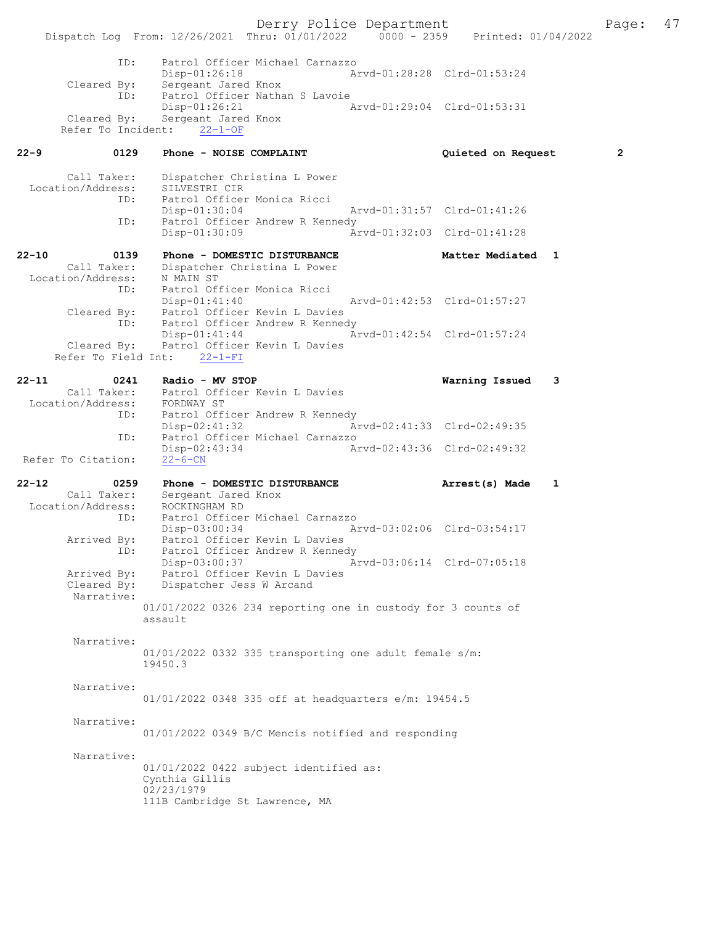Derry Police Department The Page: 47 Dispatch Log From: 12/26/2021 Thru: 01/01/2022 0000 - 2359 Printed: 01/04/2022 ID: Patrol Officer Michael Carnazzo Disp-01:26:18 Arvd-01:28:28 Clrd-01:53:24 Cleared By: Sergeant Jared Knox ID: Patrol Officer Nathan S Lavoie<br>Disp-01:26:21 A Disp-01:26:21 Arvd-01:29:04 Cleared By: Sergeant Jared Knox Arvd-01:29:04 Clrd-01:53:31 Sergeant Jared Knox Refer To Incident: 22-1-OF 22-9 0129 Phone - NOISE COMPLAINT Quieted on Request 2 Call Taker: Dispatcher Christina L Power Location/Address: SILVESTRI CIR ID: Patrol Officer Monica Ricci Disp-01:30:04 Arvd-01:31:57 Clrd-01:41:26<br>ID: Patrol Officer Andrew R Kennedy Patrol Officer Andrew R Kennedy Disp-01:30:09 Arvd-01:32:03 Clrd-01:41:28 22-10 0139 Phone - DOMESTIC DISTURBANCE Matter Mediated 1 Call Taker: Dispatcher Christina L Power Dispatcher Christina L Power<br>N MAIN ST<br>District Location/Address: ID: Patrol Officer Monica Ricci Disp-01:41:40 Arvd-01:42:53 Clrd-01:57:27<br>Cleared By: Patrol Officer Kevin L Davies Patrol Officer Kevin L Davies ID: Patrol Officer Andrew R Kennedy<br>Disp-01:41:44 A Disp-01:41:44 Arvd-01:42:54 Cleared By: Patrol Officer Kevin L Davies Patrol Officer Kevin L Davies Refer To Field Int: 22-1-FI 22-11 0241 Radio - MV STOP Warning Issued 3 Call Taker: Patrol Officer Kevin L Davies<br>ion/Address: FORDWAY ST Location/Address:<br>ID: Patrol Officer Andrew R Kennedy<br>Disp-02:41:32 Ar Disp-02:41:32 Arvd-02:41:33 Clrd-02:49:35<br>ID: Patrol Officer Michael Carnazzo ID: Patrol Officer Michael Carnazzo Disp-02:43:34 Arvd-02:43:36 Clrd-02:49:32 Refer To Citation: 22-12 0259 Phone - DOMESTIC DISTURBANCE Arrest(s) Made 1 Call Taker: Sergeant Jared Knox Location/Address: ess: ROCKINGHAM RD<br>ID: Patrol Officer Michael Carnazzo<br>Disp-03:00:34 Ar Disp-03:00:34 Arvd-03:02:06 Clrd-03:54:17 Arrived By: Patrol Officer Kevin L Davies ID: Patrol Officer Andrew R Kennedy Disp-03:00:37 Arvd-03:06:14 Clrd-07:05:18 Arrived By: Patrol Officer Kevin L Davies Cleared By: Dispatcher Jess W Arcand Narrative: 01/01/2022 0326 234 reporting one in custody for 3 counts of assault Narrative: 01/01/2022 0332 335 transporting one adult female s/m: 19450.3 Narrative: 01/01/2022 0348 335 off at headquarters e/m: 19454.5 Narrative: 01/01/2022 0349 B/C Mencis notified and responding Narrative: 01/01/2022 0422 subject identified as: Cynthia Gillis 02/23/1979 111B Cambridge St Lawrence, MA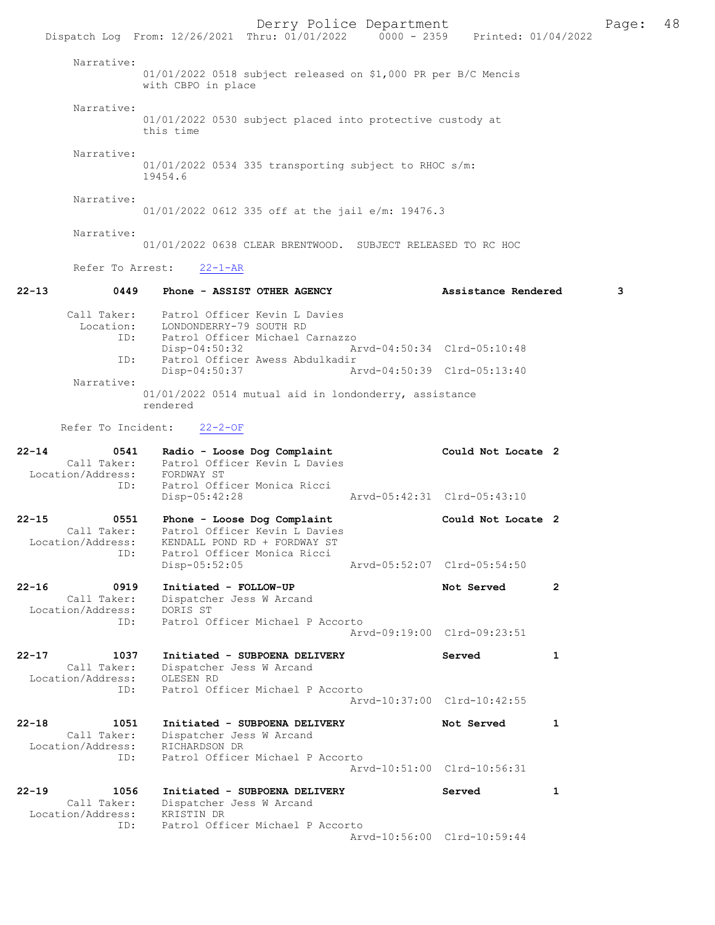Derry Police Department Fage: 48 Dispatch Log From: 12/26/2021 Thru: 01/01/2022 0000 - 2359 Printed: 01/04/2022 Narrative: 01/01/2022 0518 subject released on \$1,000 PR per B/C Mencis with CBPO in place Narrative: 01/01/2022 0530 subject placed into protective custody at this time Narrative: 01/01/2022 0534 335 transporting subject to RHOC s/m: 19454.6 Narrative: 01/01/2022 0612 335 off at the jail e/m: 19476.3 Narrative: 01/01/2022 0638 CLEAR BRENTWOOD. SUBJECT RELEASED TO RC HOC Refer To Arrest: 22-1-AR 22-13 0449 Phone - ASSIST OTHER AGENCY Assistance Rendered 3 Call Taker: Patrol Officer Kevin L Davies Location: LONDONDERRY-79 SOUTH RD ID: Patrol Officer Michael Carnazzo Disp-04:50:32 Arvd-04:50:34 Clrd-05:10:48<br>TD: Patrol Officer Awess Abdulkadir ID: Patrol Officer Awess Abdulkadir Disp-04:50:37 Narrative: 01/01/2022 0514 mutual aid in londonderry, assistance rendered Refer To Incident: 22-2-OF 22-14 0541 Radio - Loose Dog Complaint Could Not Locate 2 Call Taker: Patrol Officer Kevin L Davies Location/Address: FORDWAY ST ID: Patrol Officer Monica Ricci Disp-05:42:28 Arvd-05:42:31 Clrd-05:43:10 22-15 0551 Phone - Loose Dog Complaint Could Not Locate 2 Call Taker: Patrol Officer Kevin L Davies Location/Address: KENDALL POND RD + FORDWAY ST Ess. ALNUALL FUND KD + FORDWAY ST<br>ID: Patrol Officer Monica Ricci<br>Disp-05:52:05 Disp-05:52:05 Arvd-05:52:07 Clrd-05:54:50 22-16 0919 Initiated - FOLLOW-UP Not Served 2 Call Taker: Dispatcher Jess W Arcand Location/Address: DORIS ST ID: Patrol Officer Michael P Accorto Arvd-09:19:00 Clrd-09:23:51 22-17 1037 Initiated - SUBPOENA DELIVERY Served 1 Call Taker: Dispatcher Jess W Arcand<br>ion/Address: OLESEN RD Location/Address: ID: Patrol Officer Michael P Accorto Arvd-10:37:00 Clrd-10:42:55 22-18 1051 Initiated - SUBPOENA DELIVERY Not Served 1 Call Taker: Dispatcher Jess W Arcand<br>ion/Address: RICHARDSON DR Location/Address: ID: Patrol Officer Michael P Accorto Arvd-10:51:00 Clrd-10:56:31 22-19 1056 Initiated - SUBPOENA DELIVERY Served 1 Call Taker: Dispatcher Jess W Arcand Location/Address: KRISTIN DR ID: Patrol Officer Michael P Accorto Arvd-10:56:00 Clrd-10:59:44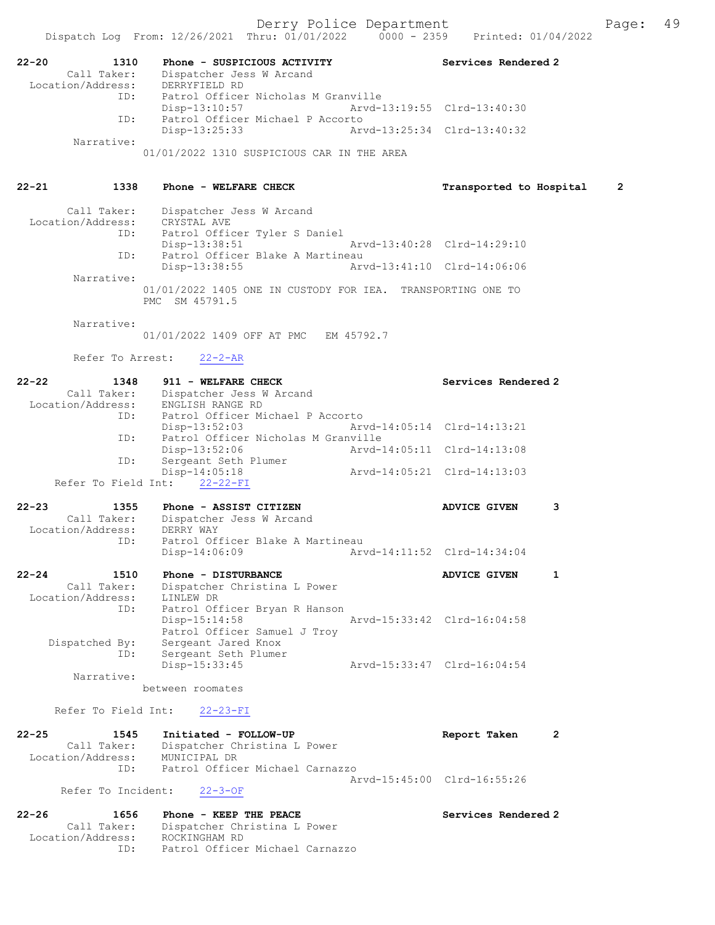| 22-20<br>1310     | Phone - SUSPICIOUS ACTIVITY         | Services Rendered 2         |
|-------------------|-------------------------------------|-----------------------------|
| Call Taker:       | Dispatcher Jess W Arcand            |                             |
| Location/Address: | DERRYFTELD RD                       |                             |
| ID:               | Patrol Officer Nicholas M Granville |                             |
|                   | Disp-13:10:57                       | Arvd-13:19:55 Clrd-13:40:30 |
| TD:               | Patrol Officer Michael P Accorto    |                             |

 Disp-13:25:33 Arvd-13:25:34 Clrd-13:40:32 Narrative:

01/01/2022 1310 SUSPICIOUS CAR IN THE AREA

# 22-21 1338 Phone - WELFARE CHECK Transported to Hospital 2

| Call Taker:       | Dispatcher Jess W Arcand                                    |
|-------------------|-------------------------------------------------------------|
| Location/Address: | CRYSTAL AVE                                                 |
| ID:               | Patrol Officer Tyler S Daniel                               |
|                   | Disp-13:38:51<br>Arvd-13:40:28 Clrd-14:29:10                |
| ID:               | Patrol Officer Blake A Martineau                            |
|                   | Arvd-13:41:10 Clrd-14:06:06<br>Disp-13:38:55                |
| Narrative:        |                                                             |
|                   | 01/01/2022 1405 ONE IN CUSTODY FOR IEA. TRANSPORTING ONE TO |
|                   | PMC SM 45791.5                                              |

Narrative:

01/01/2022 1409 OFF AT PMC EM 45792.7

Refer To Arrest: 22-2-AR

| $22 - 22$<br>1348                  | 911 - WELFARE CHECK                  |                             | Services Rendered 2         |              |
|------------------------------------|--------------------------------------|-----------------------------|-----------------------------|--------------|
| Call Taker:                        | Dispatcher Jess W Arcand             |                             |                             |              |
| Location/Address: ENGLISH RANGE RD |                                      |                             |                             |              |
|                                    | ID: Patrol Officer Michael P Accorto |                             |                             |              |
|                                    | Disp-13:52:03                        | Arvd-14:05:14 Clrd-14:13:21 |                             |              |
| ID:                                | Patrol Officer Nicholas M Granville  |                             |                             |              |
|                                    | Disp-13:52:06                        | Aryd-14:05:11 Clrd-14:13:08 |                             |              |
| ID:                                | Sergeant Seth Plumer                 |                             |                             |              |
|                                    | $Disp-14:05:18$                      |                             | Arvd-14:05:21 Clrd-14:13:03 |              |
| Refer To Field Int: 22-22-FI       |                                      |                             |                             |              |
| $22 - 23$<br>1355                  | Phone - ASSIST CITIZEN               |                             | ADVICE GIVEN                | 3            |
| Call Taker:                        | Dispatcher Jess W Arcand             |                             |                             |              |
| Location/Address: DERRY WAY        |                                      |                             |                             |              |
| ID:                                | Patrol Officer Blake A Martineau     |                             |                             |              |
|                                    | Disp-14:06:09                        |                             |                             |              |
| $22 - 24$<br>1510                  | Phone - DISTURBANCE                  |                             | <b>ADVICE GIVEN</b>         | $\mathbf{1}$ |
| Call Taker:                        | Dispatcher Christina L Power         |                             |                             |              |
| Location/Address:                  | LINLEW DR                            |                             |                             |              |
| ID:                                | Patrol Officer Bryan R Hanson        |                             |                             |              |
|                                    | $Disp-15:14:58$                      |                             | Arvd-15:33:42 Clrd-16:04:58 |              |
|                                    | Patrol Officer Samuel J Troy         |                             |                             |              |
| Dispatched By:                     | Sergeant Jared Knox                  |                             |                             |              |
| ID:                                | Sergeant Seth Plumer                 |                             |                             |              |
|                                    | Disp-15:33:45                        |                             | Arvd-15:33:47 Clrd-16:04:54 |              |
| Narrative:                         |                                      |                             |                             |              |

between roomates

Refer To Field Int: 22-23-FI

| $22 - 25$ | 1545              | Initiated - FOLLOW-UP           | Report Taken                |  |
|-----------|-------------------|---------------------------------|-----------------------------|--|
|           | Call Taker:       | Dispatcher Christina L Power    |                             |  |
|           | Location/Address: | MUNICIPAL DR                    |                             |  |
|           | TD:               | Patrol Officer Michael Carnazzo |                             |  |
|           |                   |                                 | Arvd-15:45:00 Clrd-16:55:26 |  |
|           |                   | $\sim$ $\sim$ $\sim$ $\sim$     |                             |  |

# Refer To Incident: 22-3-OF

| $22 - 26$<br>1656 | Phone - KEEP THE PEACE          | Services Rendered 2 |
|-------------------|---------------------------------|---------------------|
| Call Taker:       | Dispatcher Christina L Power    |                     |
| Location/Address: | ROCKINGHAM RD                   |                     |
| TD:               | Patrol Officer Michael Carnazzo |                     |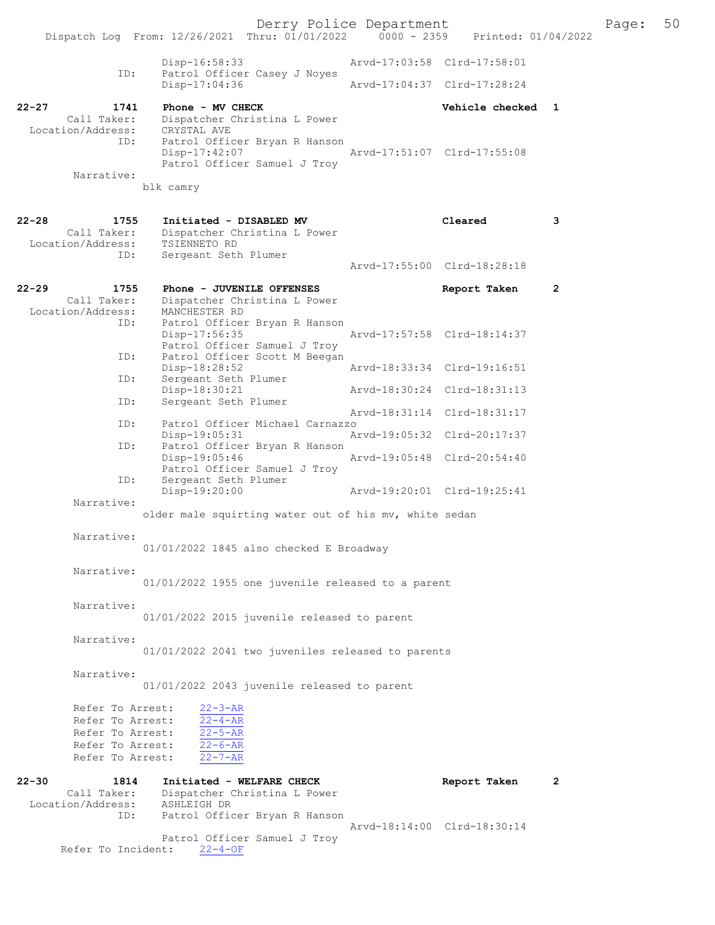Derry Police Department Page: 50 Dispatch Log From: 12/26/2021 Thru: 01/01/2022 Disp-16:58:33 Arvd-17:03:58 Clrd-17:58:01 ID: Patrol Officer Casey J Noyes<br>Disp-17:04:36 Disp-17:04:36 Arvd-17:04:37 Clrd-17:28:24 22-27 1741 Phone - MV CHECK Vehicle checked 1 Call Taker: Dispatcher Christina L Power<br>ion/Address: CRYSTAL AVE Location/Address:<br>ID: Patrol Officer Bryan R Hanson<br>Disp-17:42:07 Disp-17:42:07 Arvd-17:51:07 Clrd-17:55:08 Patrol Officer Samuel J Troy Narrative: blk camry 22-28 1755 Initiated - DISABLED MV Cleared 3<br>Call Taker: Dispatcher Christina L Power Dispatcher Christina L Power Location/Address: TSIENNETO RD<br>ID: Sergeant Seth Sergeant Seth Plumer Arvd-17:55:00 Clrd-18:28:18 22-29 1755 Phone - JUVENILE OFFENSES<br>Call Taker: Dispatcher Christina L Power Dispatcher Christina L Power<br>MANCHESTER RD Location/Address: ID: Patrol Officer Bryan R Hanson<br>Disp-17:56:35 Disp-17:56:35 Arvd-17:57:58 Clrd-18:14:37 Patrol Officer Samuel J Troy ID: Patrol Officer Scott M Beegan Disp-18:28:52 Arvd-18:33:34 Clrd-19:16:51 Sergeant Seth Plumer<br>Disp-18:30:21 Disp-18:30:21 Arvd-18:30:24 Clrd-18:31:13<br>ID: Sergeant Seth Plumer Sergeant Seth Plumer Arvd-18:31:14 Clrd-18:31:17 ID: Patrol Officer Michael Carnazzo Disp-19:05:31 Arvd-19:05:32 Clrd-20:17:37 ID: Patrol Officer Bryan R Hanson<br>Disp-19:05:46 Disp-19:05:46 Arvd-19:05:48 Clrd-20:54:40 Patrol Officer Samuel J Troy ID: Sergeant Seth Plumer<br>Disp-19:20:00 Disp-19:20:00 Arvd-19:20:01 Clrd-19:25:41 Narrative: older male squirting water out of his mv, white sedan Narrative: 01/01/2022 1845 also checked E Broadway Narrative: 01/01/2022 1955 one juvenile released to a parent Narrative: 01/01/2022 2015 juvenile released to parent Narrative: 01/01/2022 2041 two juveniles released to parents Narrative: 01/01/2022 2043 juvenile released to parent Refer To Arrest:  $\frac{22-3-AR}{22-4-AR}$ Refer To Arrest:  $\frac{22-4-AR}{22-5-AR}$ Refer To Arrest:  $\frac{22-5-AR}{22-6-AR}$ Refer To Arrest:  $\frac{22-6-AR}{22-7-AR}$ Refer To Arrest: 22-30 1814 Initiated - WELFARE CHECK Report Taken 2 Call Taker: Dispatcher Christina L Power Location/Address: ASHLEIGH DR ID: Patrol Officer Bryan R Hanson Arvd-18:14:00 Clrd-18:30:14 Patrol Officer Samuel J Troy Refer To Incident: 22-4-OF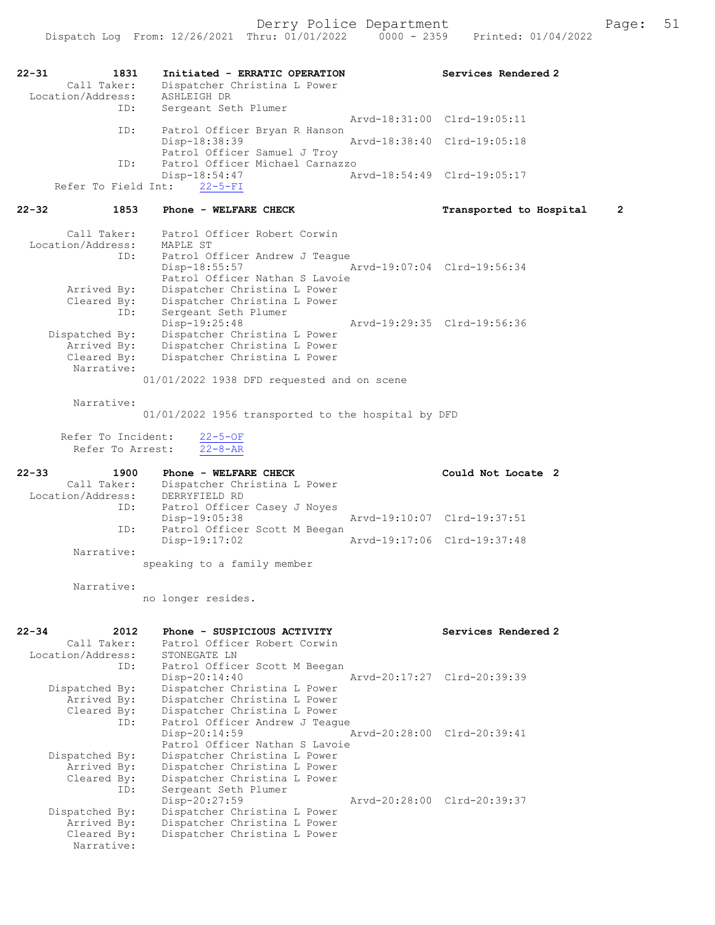| $22 - 31$<br>1831          | Initiated - ERRATIC OPERATION                                | Services Rendered 2          |
|----------------------------|--------------------------------------------------------------|------------------------------|
| Call Taker:                | Dispatcher Christina L Power                                 |                              |
| Location/Address:          | ASHLEIGH DR                                                  |                              |
| ID:                        | Sergeant Seth Plumer                                         |                              |
|                            |                                                              | Arvd-18:31:00 Clrd-19:05:11  |
| ID:                        | Patrol Officer Bryan R Hanson<br>Disp-18:38:39               | Arvd-18:38:40 Clrd-19:05:18  |
|                            | Patrol Officer Samuel J Troy                                 |                              |
| ID:                        | Patrol Officer Michael Carnazzo                              |                              |
|                            | Disp-18:54:47                                                | Arvd-18:54:49 Clrd-19:05:17  |
| Refer To Field Int:        | $22 - 5 - FI$                                                |                              |
| $22 - 32$<br>1853          | Phone - WELFARE CHECK                                        | 2<br>Transported to Hospital |
| Call Taker:                | Patrol Officer Robert Corwin                                 |                              |
| Location/Address:          | MAPLE ST                                                     |                              |
| ID:                        | Patrol Officer Andrew J Teague<br>Disp-18:55:57              | Arvd-19:07:04 Clrd-19:56:34  |
|                            | Patrol Officer Nathan S Lavoie                               |                              |
| Arrived By:                | Dispatcher Christina L Power                                 |                              |
| Cleared By:                | Dispatcher Christina L Power                                 |                              |
| ID:                        | Sergeant Seth Plumer                                         |                              |
| Dispatched By:             | Disp-19:25:48<br>Dispatcher Christina L Power                | Arvd-19:29:35 Clrd-19:56:36  |
| Arrived By:                | Dispatcher Christina L Power                                 |                              |
| Cleared By:                | Dispatcher Christina L Power                                 |                              |
| Narrative:                 |                                                              |                              |
|                            | 01/01/2022 1938 DFD requested and on scene                   |                              |
| Narrative:                 | 01/01/2022 1956 transported to the hospital by DFD           |                              |
|                            |                                                              |                              |
| Refer To Incident:         | $22 - 5 - OF$                                                |                              |
| Refer To Arrest:           | $22 - 8 - AR$                                                |                              |
|                            |                                                              |                              |
| $22 - 33$<br>1900          | Phone - WELFARE CHECK                                        | Could Not Locate 2           |
| Call Taker:                | Dispatcher Christina L Power                                 |                              |
| Location/Address:          | DERRYFIELD RD                                                |                              |
| ID:                        | Patrol Officer Casey J Noyes                                 | Arvd-19:10:07 Clrd-19:37:51  |
| ID:                        | Disp-19:05:38<br>Patrol Officer Scott M Beegan               |                              |
|                            | Disp-19:17:02                                                | Arvd-19:17:06 Clrd-19:37:48  |
| Narrative:                 |                                                              |                              |
|                            | speaking to a family member                                  |                              |
| Narrative:                 |                                                              |                              |
|                            | no longer resides.                                           |                              |
|                            |                                                              |                              |
| $22 - 34$<br>2012          | Phone - SUSPICIOUS ACTIVITY                                  | Services Rendered 2          |
| Call Taker:                | Patrol Officer Robert Corwin                                 |                              |
| Location/Address:          | STONEGATE LN                                                 |                              |
| ID:                        | Patrol Officer Scott M Beegan                                |                              |
|                            | Disp-20:14:40                                                | Arvd-20:17:27 Clrd-20:39:39  |
| Dispatched By:             | Dispatcher Christina L Power                                 |                              |
| Arrived By:<br>Cleared By: | Dispatcher Christina L Power<br>Dispatcher Christina L Power |                              |
| ID:                        | Patrol Officer Andrew J Teaque                               |                              |
|                            | Disp-20:14:59                                                | Arvd-20:28:00 Clrd-20:39:41  |
|                            | Patrol Officer Nathan S Lavoie                               |                              |
| Dispatched By:             | Dispatcher Christina L Power                                 |                              |
| Arrived By:<br>Cleared By: | Dispatcher Christina L Power<br>Dispatcher Christina L Power |                              |
| ID:                        | Sergeant Seth Plumer                                         |                              |
|                            | Disp-20:27:59                                                | Arvd-20:28:00 Clrd-20:39:37  |
| Dispatched By:             | Dispatcher Christina L Power                                 |                              |
| Arrived By:<br>Cleared By: | Dispatcher Christina L Power<br>Dispatcher Christina L Power |                              |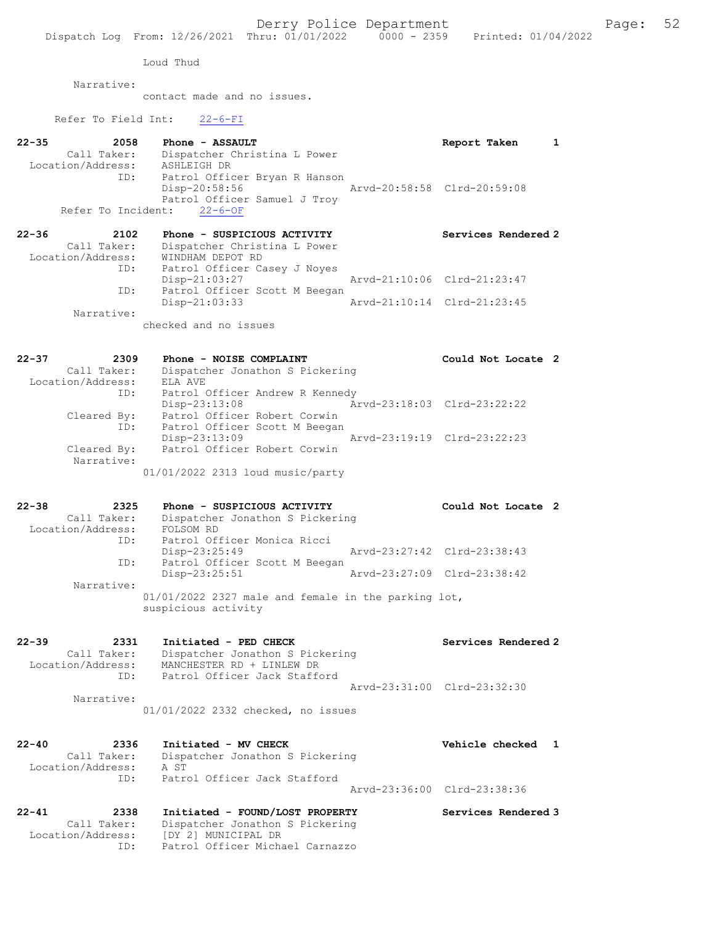Loud Thud

Narrative:

contact made and no issues.

Refer To Field Int: 22-6-FI

| Call Taker:<br>Dispatcher Christina L Power<br>Location/Address:<br>ASHLEIGH DR<br>Patrol Officer Bryan R Hanson<br>ID:<br>Disp-20:58:56<br>Arvd-20:58:58 Clrd-20:59:08<br>Patrol Officer Samuel J Troy<br>Refer To Incident:<br>$22 - 6 - OF$<br>2102<br>Phone - SUSPICIOUS ACTIVITY<br>Services Rendered 2<br>Call Taker:<br>Dispatcher Christina L Power<br>Location/Address:<br>WINDHAM DEPOT RD<br>Patrol Officer Casey J Noyes<br>ID:<br>Arvd-21:10:06 Clrd-21:23:47<br>Disp-21:03:27<br>Patrol Officer Scott M Beegan<br>ID:<br>$Disp-21:03:33$<br>Arvd-21:10:14 Clrd-21:23:45<br>Narrative:<br>checked and no issues<br>2309<br>Phone - NOISE COMPLAINT<br>Could Not Locate 2<br>Call Taker:<br>Dispatcher Jonathon S Pickering<br>Location/Address:<br>ELA AVE<br>Patrol Officer Andrew R Kennedy<br>ID:<br>Disp-23:13:08<br>Arvd-23:18:03 Clrd-23:22:22<br>Patrol Officer Robert Corwin<br>Cleared By:<br>Patrol Officer Scott M Beegan<br>ID:<br>Disp-23:13:09<br>Arvd-23:19:19 Clrd-23:22:23<br>Patrol Officer Robert Corwin<br>Cleared By:<br>Narrative:<br>01/01/2022 2313 loud music/party<br>2325<br>Could Not Locate 2<br>Phone - SUSPICIOUS ACTIVITY<br>Call Taker:<br>Dispatcher Jonathon S Pickering<br>Location/Address:<br>FOLSOM RD<br>Patrol Officer Monica Ricci<br>ID:<br>Disp-23:25:49<br>Arvd-23:27:42 Clrd-23:38:43<br>Patrol Officer Scott M Beegan<br>ID:<br>Arvd-23:27:09 Clrd-23:38:42<br>$Disp-23:25:51$<br>Narrative:<br>$01/01/2022$ 2327 male and female in the parking lot,<br>suspicious activity<br>2331<br>Initiated - PED CHECK<br>Services Rendered 2<br>Call Taker:<br>Dispatcher Jonathon S Pickering<br>Location/Address:<br>MANCHESTER RD + LINLEW DR<br>Patrol Officer Jack Stafford<br>ID:<br>Arvd-23:31:00 Clrd-23:32:30<br>Narrative:<br>01/01/2022 2332 checked, no issues<br>2336<br>Initiated - MV CHECK<br>Vehicle checked<br>1<br>Call Taker:<br>Dispatcher Jonathon S Pickering<br>Location/Address:<br>A ST<br>Patrol Officer Jack Stafford<br>ID:<br>Arvd-23:36:00 Clrd-23:38:36<br>Initiated - FOUND/LOST PROPERTY<br>2338<br>Services Rendered 3<br>Call Taker:<br>Dispatcher Jonathon S Pickering | $22 - 35$<br>2058 | Phone - ASSAULT |                   |
|-----------------------------------------------------------------------------------------------------------------------------------------------------------------------------------------------------------------------------------------------------------------------------------------------------------------------------------------------------------------------------------------------------------------------------------------------------------------------------------------------------------------------------------------------------------------------------------------------------------------------------------------------------------------------------------------------------------------------------------------------------------------------------------------------------------------------------------------------------------------------------------------------------------------------------------------------------------------------------------------------------------------------------------------------------------------------------------------------------------------------------------------------------------------------------------------------------------------------------------------------------------------------------------------------------------------------------------------------------------------------------------------------------------------------------------------------------------------------------------------------------------------------------------------------------------------------------------------------------------------------------------------------------------------------------------------------------------------------------------------------------------------------------------------------------------------------------------------------------------------------------------------------------------------------------------------------------------------------------------------------------------------------------------------------------------------------------------------------------------------------------------------------------------------|-------------------|-----------------|-------------------|
|                                                                                                                                                                                                                                                                                                                                                                                                                                                                                                                                                                                                                                                                                                                                                                                                                                                                                                                                                                                                                                                                                                                                                                                                                                                                                                                                                                                                                                                                                                                                                                                                                                                                                                                                                                                                                                                                                                                                                                                                                                                                                                                                                                 |                   |                 | Report Taken<br>1 |
|                                                                                                                                                                                                                                                                                                                                                                                                                                                                                                                                                                                                                                                                                                                                                                                                                                                                                                                                                                                                                                                                                                                                                                                                                                                                                                                                                                                                                                                                                                                                                                                                                                                                                                                                                                                                                                                                                                                                                                                                                                                                                                                                                                 |                   |                 |                   |
|                                                                                                                                                                                                                                                                                                                                                                                                                                                                                                                                                                                                                                                                                                                                                                                                                                                                                                                                                                                                                                                                                                                                                                                                                                                                                                                                                                                                                                                                                                                                                                                                                                                                                                                                                                                                                                                                                                                                                                                                                                                                                                                                                                 |                   |                 |                   |
|                                                                                                                                                                                                                                                                                                                                                                                                                                                                                                                                                                                                                                                                                                                                                                                                                                                                                                                                                                                                                                                                                                                                                                                                                                                                                                                                                                                                                                                                                                                                                                                                                                                                                                                                                                                                                                                                                                                                                                                                                                                                                                                                                                 |                   |                 |                   |
|                                                                                                                                                                                                                                                                                                                                                                                                                                                                                                                                                                                                                                                                                                                                                                                                                                                                                                                                                                                                                                                                                                                                                                                                                                                                                                                                                                                                                                                                                                                                                                                                                                                                                                                                                                                                                                                                                                                                                                                                                                                                                                                                                                 |                   |                 |                   |
|                                                                                                                                                                                                                                                                                                                                                                                                                                                                                                                                                                                                                                                                                                                                                                                                                                                                                                                                                                                                                                                                                                                                                                                                                                                                                                                                                                                                                                                                                                                                                                                                                                                                                                                                                                                                                                                                                                                                                                                                                                                                                                                                                                 | $22 - 36$         |                 |                   |
|                                                                                                                                                                                                                                                                                                                                                                                                                                                                                                                                                                                                                                                                                                                                                                                                                                                                                                                                                                                                                                                                                                                                                                                                                                                                                                                                                                                                                                                                                                                                                                                                                                                                                                                                                                                                                                                                                                                                                                                                                                                                                                                                                                 |                   |                 |                   |
|                                                                                                                                                                                                                                                                                                                                                                                                                                                                                                                                                                                                                                                                                                                                                                                                                                                                                                                                                                                                                                                                                                                                                                                                                                                                                                                                                                                                                                                                                                                                                                                                                                                                                                                                                                                                                                                                                                                                                                                                                                                                                                                                                                 |                   |                 |                   |
|                                                                                                                                                                                                                                                                                                                                                                                                                                                                                                                                                                                                                                                                                                                                                                                                                                                                                                                                                                                                                                                                                                                                                                                                                                                                                                                                                                                                                                                                                                                                                                                                                                                                                                                                                                                                                                                                                                                                                                                                                                                                                                                                                                 |                   |                 |                   |
|                                                                                                                                                                                                                                                                                                                                                                                                                                                                                                                                                                                                                                                                                                                                                                                                                                                                                                                                                                                                                                                                                                                                                                                                                                                                                                                                                                                                                                                                                                                                                                                                                                                                                                                                                                                                                                                                                                                                                                                                                                                                                                                                                                 |                   |                 |                   |
|                                                                                                                                                                                                                                                                                                                                                                                                                                                                                                                                                                                                                                                                                                                                                                                                                                                                                                                                                                                                                                                                                                                                                                                                                                                                                                                                                                                                                                                                                                                                                                                                                                                                                                                                                                                                                                                                                                                                                                                                                                                                                                                                                                 |                   |                 |                   |
|                                                                                                                                                                                                                                                                                                                                                                                                                                                                                                                                                                                                                                                                                                                                                                                                                                                                                                                                                                                                                                                                                                                                                                                                                                                                                                                                                                                                                                                                                                                                                                                                                                                                                                                                                                                                                                                                                                                                                                                                                                                                                                                                                                 |                   |                 |                   |
|                                                                                                                                                                                                                                                                                                                                                                                                                                                                                                                                                                                                                                                                                                                                                                                                                                                                                                                                                                                                                                                                                                                                                                                                                                                                                                                                                                                                                                                                                                                                                                                                                                                                                                                                                                                                                                                                                                                                                                                                                                                                                                                                                                 | $22 - 37$         |                 |                   |
|                                                                                                                                                                                                                                                                                                                                                                                                                                                                                                                                                                                                                                                                                                                                                                                                                                                                                                                                                                                                                                                                                                                                                                                                                                                                                                                                                                                                                                                                                                                                                                                                                                                                                                                                                                                                                                                                                                                                                                                                                                                                                                                                                                 |                   |                 |                   |
|                                                                                                                                                                                                                                                                                                                                                                                                                                                                                                                                                                                                                                                                                                                                                                                                                                                                                                                                                                                                                                                                                                                                                                                                                                                                                                                                                                                                                                                                                                                                                                                                                                                                                                                                                                                                                                                                                                                                                                                                                                                                                                                                                                 |                   |                 |                   |
|                                                                                                                                                                                                                                                                                                                                                                                                                                                                                                                                                                                                                                                                                                                                                                                                                                                                                                                                                                                                                                                                                                                                                                                                                                                                                                                                                                                                                                                                                                                                                                                                                                                                                                                                                                                                                                                                                                                                                                                                                                                                                                                                                                 |                   |                 |                   |
|                                                                                                                                                                                                                                                                                                                                                                                                                                                                                                                                                                                                                                                                                                                                                                                                                                                                                                                                                                                                                                                                                                                                                                                                                                                                                                                                                                                                                                                                                                                                                                                                                                                                                                                                                                                                                                                                                                                                                                                                                                                                                                                                                                 |                   |                 |                   |
|                                                                                                                                                                                                                                                                                                                                                                                                                                                                                                                                                                                                                                                                                                                                                                                                                                                                                                                                                                                                                                                                                                                                                                                                                                                                                                                                                                                                                                                                                                                                                                                                                                                                                                                                                                                                                                                                                                                                                                                                                                                                                                                                                                 |                   |                 |                   |
|                                                                                                                                                                                                                                                                                                                                                                                                                                                                                                                                                                                                                                                                                                                                                                                                                                                                                                                                                                                                                                                                                                                                                                                                                                                                                                                                                                                                                                                                                                                                                                                                                                                                                                                                                                                                                                                                                                                                                                                                                                                                                                                                                                 |                   |                 |                   |
|                                                                                                                                                                                                                                                                                                                                                                                                                                                                                                                                                                                                                                                                                                                                                                                                                                                                                                                                                                                                                                                                                                                                                                                                                                                                                                                                                                                                                                                                                                                                                                                                                                                                                                                                                                                                                                                                                                                                                                                                                                                                                                                                                                 |                   |                 |                   |
|                                                                                                                                                                                                                                                                                                                                                                                                                                                                                                                                                                                                                                                                                                                                                                                                                                                                                                                                                                                                                                                                                                                                                                                                                                                                                                                                                                                                                                                                                                                                                                                                                                                                                                                                                                                                                                                                                                                                                                                                                                                                                                                                                                 |                   |                 |                   |
|                                                                                                                                                                                                                                                                                                                                                                                                                                                                                                                                                                                                                                                                                                                                                                                                                                                                                                                                                                                                                                                                                                                                                                                                                                                                                                                                                                                                                                                                                                                                                                                                                                                                                                                                                                                                                                                                                                                                                                                                                                                                                                                                                                 | $22 - 38$         |                 |                   |
|                                                                                                                                                                                                                                                                                                                                                                                                                                                                                                                                                                                                                                                                                                                                                                                                                                                                                                                                                                                                                                                                                                                                                                                                                                                                                                                                                                                                                                                                                                                                                                                                                                                                                                                                                                                                                                                                                                                                                                                                                                                                                                                                                                 |                   |                 |                   |
|                                                                                                                                                                                                                                                                                                                                                                                                                                                                                                                                                                                                                                                                                                                                                                                                                                                                                                                                                                                                                                                                                                                                                                                                                                                                                                                                                                                                                                                                                                                                                                                                                                                                                                                                                                                                                                                                                                                                                                                                                                                                                                                                                                 |                   |                 |                   |
|                                                                                                                                                                                                                                                                                                                                                                                                                                                                                                                                                                                                                                                                                                                                                                                                                                                                                                                                                                                                                                                                                                                                                                                                                                                                                                                                                                                                                                                                                                                                                                                                                                                                                                                                                                                                                                                                                                                                                                                                                                                                                                                                                                 |                   |                 |                   |
|                                                                                                                                                                                                                                                                                                                                                                                                                                                                                                                                                                                                                                                                                                                                                                                                                                                                                                                                                                                                                                                                                                                                                                                                                                                                                                                                                                                                                                                                                                                                                                                                                                                                                                                                                                                                                                                                                                                                                                                                                                                                                                                                                                 |                   |                 |                   |
|                                                                                                                                                                                                                                                                                                                                                                                                                                                                                                                                                                                                                                                                                                                                                                                                                                                                                                                                                                                                                                                                                                                                                                                                                                                                                                                                                                                                                                                                                                                                                                                                                                                                                                                                                                                                                                                                                                                                                                                                                                                                                                                                                                 |                   |                 |                   |
|                                                                                                                                                                                                                                                                                                                                                                                                                                                                                                                                                                                                                                                                                                                                                                                                                                                                                                                                                                                                                                                                                                                                                                                                                                                                                                                                                                                                                                                                                                                                                                                                                                                                                                                                                                                                                                                                                                                                                                                                                                                                                                                                                                 |                   |                 |                   |
|                                                                                                                                                                                                                                                                                                                                                                                                                                                                                                                                                                                                                                                                                                                                                                                                                                                                                                                                                                                                                                                                                                                                                                                                                                                                                                                                                                                                                                                                                                                                                                                                                                                                                                                                                                                                                                                                                                                                                                                                                                                                                                                                                                 |                   |                 |                   |
|                                                                                                                                                                                                                                                                                                                                                                                                                                                                                                                                                                                                                                                                                                                                                                                                                                                                                                                                                                                                                                                                                                                                                                                                                                                                                                                                                                                                                                                                                                                                                                                                                                                                                                                                                                                                                                                                                                                                                                                                                                                                                                                                                                 | 22-39             |                 |                   |
|                                                                                                                                                                                                                                                                                                                                                                                                                                                                                                                                                                                                                                                                                                                                                                                                                                                                                                                                                                                                                                                                                                                                                                                                                                                                                                                                                                                                                                                                                                                                                                                                                                                                                                                                                                                                                                                                                                                                                                                                                                                                                                                                                                 |                   |                 |                   |
|                                                                                                                                                                                                                                                                                                                                                                                                                                                                                                                                                                                                                                                                                                                                                                                                                                                                                                                                                                                                                                                                                                                                                                                                                                                                                                                                                                                                                                                                                                                                                                                                                                                                                                                                                                                                                                                                                                                                                                                                                                                                                                                                                                 |                   |                 |                   |
|                                                                                                                                                                                                                                                                                                                                                                                                                                                                                                                                                                                                                                                                                                                                                                                                                                                                                                                                                                                                                                                                                                                                                                                                                                                                                                                                                                                                                                                                                                                                                                                                                                                                                                                                                                                                                                                                                                                                                                                                                                                                                                                                                                 |                   |                 |                   |
|                                                                                                                                                                                                                                                                                                                                                                                                                                                                                                                                                                                                                                                                                                                                                                                                                                                                                                                                                                                                                                                                                                                                                                                                                                                                                                                                                                                                                                                                                                                                                                                                                                                                                                                                                                                                                                                                                                                                                                                                                                                                                                                                                                 |                   |                 |                   |
|                                                                                                                                                                                                                                                                                                                                                                                                                                                                                                                                                                                                                                                                                                                                                                                                                                                                                                                                                                                                                                                                                                                                                                                                                                                                                                                                                                                                                                                                                                                                                                                                                                                                                                                                                                                                                                                                                                                                                                                                                                                                                                                                                                 |                   |                 |                   |
|                                                                                                                                                                                                                                                                                                                                                                                                                                                                                                                                                                                                                                                                                                                                                                                                                                                                                                                                                                                                                                                                                                                                                                                                                                                                                                                                                                                                                                                                                                                                                                                                                                                                                                                                                                                                                                                                                                                                                                                                                                                                                                                                                                 | $22 - 40$         |                 |                   |
|                                                                                                                                                                                                                                                                                                                                                                                                                                                                                                                                                                                                                                                                                                                                                                                                                                                                                                                                                                                                                                                                                                                                                                                                                                                                                                                                                                                                                                                                                                                                                                                                                                                                                                                                                                                                                                                                                                                                                                                                                                                                                                                                                                 |                   |                 |                   |
|                                                                                                                                                                                                                                                                                                                                                                                                                                                                                                                                                                                                                                                                                                                                                                                                                                                                                                                                                                                                                                                                                                                                                                                                                                                                                                                                                                                                                                                                                                                                                                                                                                                                                                                                                                                                                                                                                                                                                                                                                                                                                                                                                                 |                   |                 |                   |
|                                                                                                                                                                                                                                                                                                                                                                                                                                                                                                                                                                                                                                                                                                                                                                                                                                                                                                                                                                                                                                                                                                                                                                                                                                                                                                                                                                                                                                                                                                                                                                                                                                                                                                                                                                                                                                                                                                                                                                                                                                                                                                                                                                 |                   |                 |                   |
|                                                                                                                                                                                                                                                                                                                                                                                                                                                                                                                                                                                                                                                                                                                                                                                                                                                                                                                                                                                                                                                                                                                                                                                                                                                                                                                                                                                                                                                                                                                                                                                                                                                                                                                                                                                                                                                                                                                                                                                                                                                                                                                                                                 | $22 - 41$         |                 |                   |
| Location/Address:<br>[DY 2] MUNICIPAL DR                                                                                                                                                                                                                                                                                                                                                                                                                                                                                                                                                                                                                                                                                                                                                                                                                                                                                                                                                                                                                                                                                                                                                                                                                                                                                                                                                                                                                                                                                                                                                                                                                                                                                                                                                                                                                                                                                                                                                                                                                                                                                                                        |                   |                 |                   |

ID: Patrol Officer Michael Carnazzo